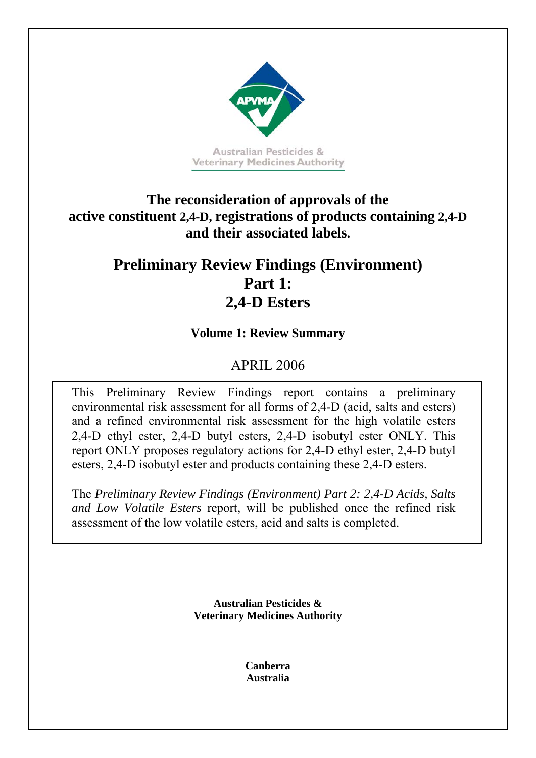

# **The reconsideration of approvals of the active constituent 2,4-D, registrations of products containing 2,4-D and their associated labels.**

# **Preliminary Review Findings (Environment) Part 1: 2,4-D Esters**

## **Volume 1: Review Summary**

# APRIL 2006

This Preliminary Review Findings report contains a preliminary environmental risk assessment for all forms of 2,4-D (acid, salts and esters) and a refined environmental risk assessment for the high volatile esters 2,4-D ethyl ester, 2,4-D butyl esters, 2,4-D isobutyl ester ONLY. This report ONLY proposes regulatory actions for 2,4-D ethyl ester, 2,4-D butyl esters, 2,4-D isobutyl ester and products containing these 2,4-D esters.

The *Preliminary Review Findings (Environment) Part 2: 2,4-D Acids, Salts and Low Volatile Esters* report, will be published once the refined risk assessment of the low volatile esters, acid and salts is completed.

> **Australian Pesticides & Veterinary Medicines Authority**

> > **Canberra Australia**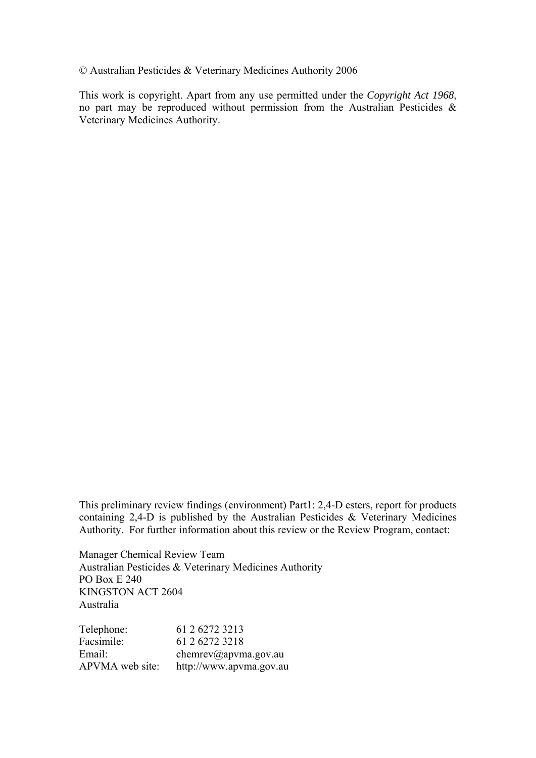© Australian Pesticides & Veterinary Medicines Authority 2006

This work is copyright. Apart from any use permitted under the *Copyright Act 1968*, no part may be reproduced without permission from the Australian Pesticides & Veterinary Medicines Authority.

This preliminary review findings (environment) Part1: 2,4-D esters, report for products containing 2,4-D is published by the Australian Pesticides & Veterinary Medicines Authority. For further information about this review or the Review Program, contact:

Manager Chemical Review Team Australian Pesticides & Veterinary Medicines Authority PO Box E 240 KINGSTON ACT 2604 Australia

Telephone: 61 2 6272 3213 Facsimile: 61 2 6272 3218 Email: chemrev@apvma.gov.au APVMA web site: http://www.apvma.gov.au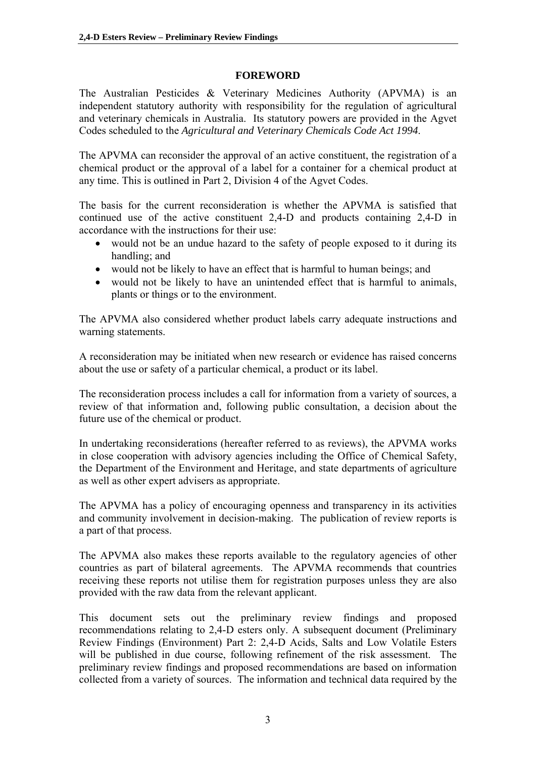#### **FOREWORD**

The Australian Pesticides & Veterinary Medicines Authority (APVMA) is an independent statutory authority with responsibility for the regulation of agricultural and veterinary chemicals in Australia. Its statutory powers are provided in the Agvet Codes scheduled to the *Agricultural and Veterinary Chemicals Code Act 1994*.

The APVMA can reconsider the approval of an active constituent, the registration of a chemical product or the approval of a label for a container for a chemical product at any time. This is outlined in Part 2, Division 4 of the Agvet Codes.

The basis for the current reconsideration is whether the APVMA is satisfied that continued use of the active constituent 2,4-D and products containing 2,4-D in accordance with the instructions for their use:

- would not be an undue hazard to the safety of people exposed to it during its handling; and
- would not be likely to have an effect that is harmful to human beings; and
- would not be likely to have an unintended effect that is harmful to animals, plants or things or to the environment.

The APVMA also considered whether product labels carry adequate instructions and warning statements.

A reconsideration may be initiated when new research or evidence has raised concerns about the use or safety of a particular chemical, a product or its label.

The reconsideration process includes a call for information from a variety of sources, a review of that information and, following public consultation, a decision about the future use of the chemical or product.

In undertaking reconsiderations (hereafter referred to as reviews), the APVMA works in close cooperation with advisory agencies including the Office of Chemical Safety, the Department of the Environment and Heritage, and state departments of agriculture as well as other expert advisers as appropriate.

The APVMA has a policy of encouraging openness and transparency in its activities and community involvement in decision-making. The publication of review reports is a part of that process.

The APVMA also makes these reports available to the regulatory agencies of other countries as part of bilateral agreements. The APVMA recommends that countries receiving these reports not utilise them for registration purposes unless they are also provided with the raw data from the relevant applicant.

This document sets out the preliminary review findings and proposed recommendations relating to 2,4-D esters only. A subsequent document (Preliminary Review Findings (Environment) Part 2: 2,4-D Acids, Salts and Low Volatile Esters will be published in due course, following refinement of the risk assessment. The preliminary review findings and proposed recommendations are based on information collected from a variety of sources. The information and technical data required by the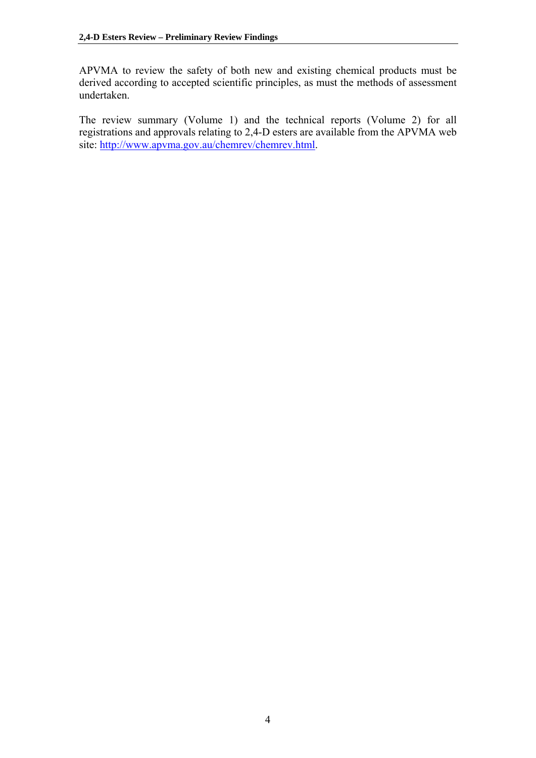APVMA to review the safety of both new and existing chemical products must be derived according to accepted scientific principles, as must the methods of assessment undertaken.

The review summary (Volume 1) and the technical reports (Volume 2) for all registrations and approvals relating to 2,4-D esters are available from the APVMA web site: <http://www.apvma.gov.au/chemrev/chemrev.html>.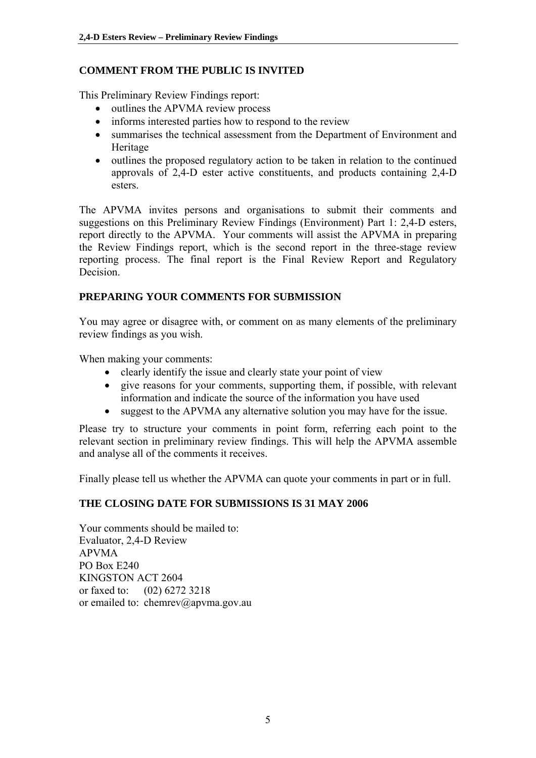### **COMMENT FROM THE PUBLIC IS INVITED**

This Preliminary Review Findings report:

- outlines the APVMA review process
- informs interested parties how to respond to the review
- summarises the technical assessment from the Department of Environment and Heritage
- outlines the proposed regulatory action to be taken in relation to the continued approvals of 2,4-D ester active constituents, and products containing 2,4-D esters.

The APVMA invites persons and organisations to submit their comments and suggestions on this Preliminary Review Findings (Environment) Part 1: 2,4-D esters, report directly to the APVMA. Your comments will assist the APVMA in preparing the Review Findings report, which is the second report in the three-stage review reporting process. The final report is the Final Review Report and Regulatory Decision.

### **PREPARING YOUR COMMENTS FOR SUBMISSION**

You may agree or disagree with, or comment on as many elements of the preliminary review findings as you wish.

When making your comments:

- clearly identify the issue and clearly state your point of view
- give reasons for your comments, supporting them, if possible, with relevant information and indicate the source of the information you have used
- suggest to the APVMA any alternative solution you may have for the issue.

Please try to structure your comments in point form, referring each point to the relevant section in preliminary review findings. This will help the APVMA assemble and analyse all of the comments it receives.

Finally please tell us whether the APVMA can quote your comments in part or in full.

### **THE CLOSING DATE FOR SUBMISSIONS IS 31 MAY 2006**

Your comments should be mailed to: Evaluator, 2,4-D Review APVMA PO Box E240 KINGSTON ACT 2604 or faxed to: (02) 6272 3218 or emailed to: chemrev@apvma.gov.au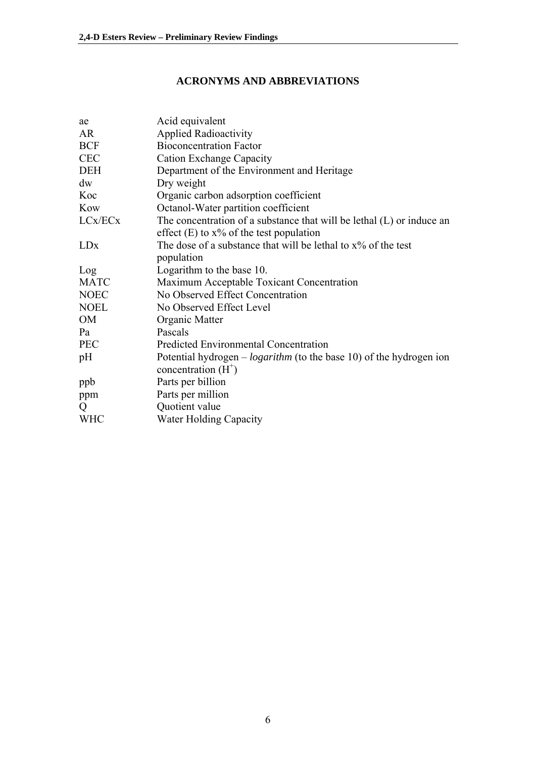### **ACRONYMS AND ABBREVIATIONS**

<span id="page-5-0"></span>

| ae                     | Acid equivalent                                                            |
|------------------------|----------------------------------------------------------------------------|
| <b>AR</b>              | <b>Applied Radioactivity</b>                                               |
| <b>BCF</b>             | <b>Bioconcentration Factor</b>                                             |
| <b>CEC</b>             | <b>Cation Exchange Capacity</b>                                            |
| DEH                    | Department of the Environment and Heritage                                 |
| dw                     | Dry weight                                                                 |
| Koc                    | Organic carbon adsorption coefficient                                      |
| Kow                    | Octanol-Water partition coefficient                                        |
| LCx/ECx                | The concentration of a substance that will be lethal (L) or induce an      |
|                        | effect $(E)$ to $x\%$ of the test population                               |
| <b>LD</b> <sub>x</sub> | The dose of a substance that will be lethal to $x\%$ of the test           |
|                        | population                                                                 |
| Log                    | Logarithm to the base 10.                                                  |
| <b>MATC</b>            | Maximum Acceptable Toxicant Concentration                                  |
| <b>NOEC</b>            | No Observed Effect Concentration                                           |
| <b>NOEL</b>            | No Observed Effect Level                                                   |
| OM                     | Organic Matter                                                             |
| Pa                     | Pascals                                                                    |
| <b>PEC</b>             | <b>Predicted Environmental Concentration</b>                               |
| pH                     | Potential hydrogen – <i>logarithm</i> (to the base 10) of the hydrogen ion |
|                        | concentration $(H+)$                                                       |
| ppb                    | Parts per billion                                                          |
| ppm                    | Parts per million                                                          |
| Q                      | Quotient value                                                             |
| <b>WHC</b>             | <b>Water Holding Capacity</b>                                              |
|                        |                                                                            |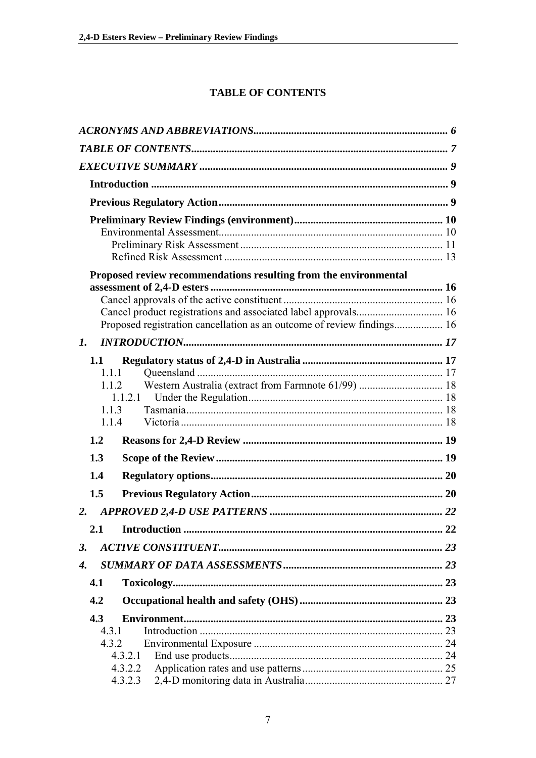### **TABLE OF CONTENTS**

<span id="page-6-0"></span>

|                    | Proposed review recommendations resulting from the environmental       |  |
|--------------------|------------------------------------------------------------------------|--|
|                    |                                                                        |  |
|                    |                                                                        |  |
|                    | Proposed registration cancellation as an outcome of review findings 16 |  |
| $\boldsymbol{I}$ . |                                                                        |  |
|                    | 1.1                                                                    |  |
|                    | 111                                                                    |  |
|                    | 1 1 2                                                                  |  |
|                    | 1.1.2.1                                                                |  |
|                    | 1.1.3<br>1.1.4                                                         |  |
|                    | 1.2                                                                    |  |
|                    | 1.3                                                                    |  |
|                    | 1.4                                                                    |  |
|                    |                                                                        |  |
|                    | 1.5                                                                    |  |
| 2.                 |                                                                        |  |
|                    | 2.1                                                                    |  |
| 3.                 |                                                                        |  |
| 4.                 |                                                                        |  |
|                    | 4.1                                                                    |  |
|                    | 4.2                                                                    |  |
|                    | 4.3                                                                    |  |
|                    | 4.3.1                                                                  |  |
|                    | 4.3.2                                                                  |  |
|                    | 4.3.2.1                                                                |  |
|                    | 4.3.2.2<br>4.3.2.3                                                     |  |
|                    |                                                                        |  |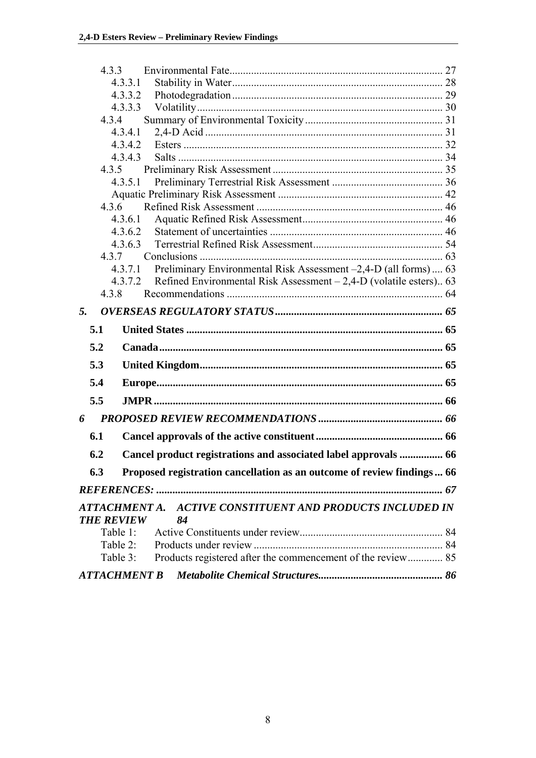|    | 4.3.3                |                                                                        |  |
|----|----------------------|------------------------------------------------------------------------|--|
|    | 4.3.3.1              |                                                                        |  |
|    | 4.3.3.2              |                                                                        |  |
|    | 4.3.3.3              |                                                                        |  |
|    | 4.3.4                |                                                                        |  |
|    | 4.3.4.1              |                                                                        |  |
|    | 4.3.4.2              |                                                                        |  |
|    | 4.3.4.3              |                                                                        |  |
|    |                      |                                                                        |  |
|    | 4.3.5.1              |                                                                        |  |
|    |                      |                                                                        |  |
|    | 4.3.6                |                                                                        |  |
|    | 4.3.6.1              |                                                                        |  |
|    | 4.3.6.2              |                                                                        |  |
|    | 4.3.6.3              |                                                                        |  |
|    | 4.3.7                |                                                                        |  |
|    | 4.3.7.1              | Preliminary Environmental Risk Assessment -2,4-D (all forms) 63        |  |
|    | 4.3.7.2              | Refined Environmental Risk Assessment $-2,4-D$ (volatile esters) 63    |  |
|    | 4.3.8                |                                                                        |  |
| 5. |                      |                                                                        |  |
|    | 5.1                  |                                                                        |  |
|    | 5.2                  |                                                                        |  |
|    | 5.3                  |                                                                        |  |
|    |                      |                                                                        |  |
|    |                      |                                                                        |  |
|    | 5.4                  |                                                                        |  |
|    | 5.5                  |                                                                        |  |
| 6  |                      |                                                                        |  |
|    | 6.1                  |                                                                        |  |
|    | 6.2                  | Cancel product registrations and associated label approvals  66        |  |
|    |                      |                                                                        |  |
|    | 6.3                  | Proposed registration cancellation as an outcome of review findings 66 |  |
|    |                      |                                                                        |  |
|    |                      | ATTACHMENT A. ACTIVE CONSTITUENT AND PRODUCTS INCLUDED IN              |  |
|    | <b>THE REVIEW</b>    | 84                                                                     |  |
|    | Table 1:             |                                                                        |  |
|    | Table 2:<br>Table 3: | Products registered after the commencement of the review 85            |  |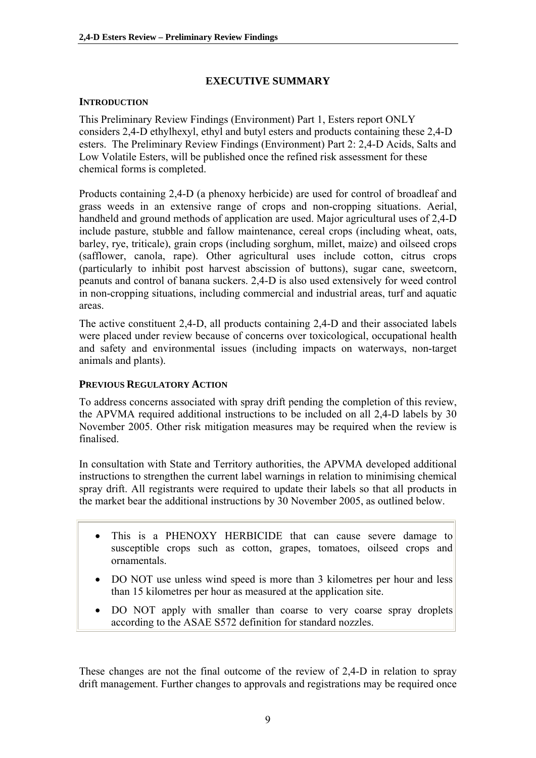### **EXECUTIVE SUMMARY**

#### <span id="page-8-0"></span>**INTRODUCTION**

This Preliminary Review Findings (Environment) Part 1, Esters report ONLY considers 2,4-D ethylhexyl, ethyl and butyl esters and products containing these 2,4-D esters. The Preliminary Review Findings (Environment) Part 2: 2,4-D Acids, Salts and Low Volatile Esters, will be published once the refined risk assessment for these chemical forms is completed.

Products containing 2,4-D (a phenoxy herbicide) are used for control of broadleaf and grass weeds in an extensive range of crops and non-cropping situations. Aerial, handheld and ground methods of application are used. Major agricultural uses of 2,4-D include pasture, stubble and fallow maintenance, cereal crops (including wheat, oats, barley, rye, triticale), grain crops (including sorghum, millet, maize) and oilseed crops (safflower, canola, rape). Other agricultural uses include cotton, citrus crops (particularly to inhibit post harvest abscission of buttons), sugar cane, sweetcorn, peanuts and control of banana suckers. 2,4-D is also used extensively for weed control in non-cropping situations, including commercial and industrial areas, turf and aquatic areas.

The active constituent 2,4-D, all products containing 2,4-D and their associated labels were placed under review because of concerns over toxicological, occupational health and safety and environmental issues (including impacts on waterways, non-target animals and plants).

### **PREVIOUS REGULATORY ACTION**

To address concerns associated with spray drift pending the completion of this review, the APVMA required additional instructions to be included on all 2,4-D labels by 30 November 2005. Other risk mitigation measures may be required when the review is finalised.

In consultation with State and Territory authorities, the APVMA developed additional instructions to strengthen the current label warnings in relation to minimising chemical spray drift. All registrants were required to update their labels so that all products in the market bear the additional instructions by 30 November 2005, as outlined below.

- This is a PHENOXY HERBICIDE that can cause severe damage to susceptible crops such as cotton, grapes, tomatoes, oilseed crops and ornamentals.
- DO NOT use unless wind speed is more than 3 kilometres per hour and less than 15 kilometres per hour as measured at the application site.
- DO NOT apply with smaller than coarse to very coarse spray droplets according to the ASAE S572 definition for standard nozzles.

These changes are not the final outcome of the review of 2,4-D in relation to spray drift management. Further changes to approvals and registrations may be required once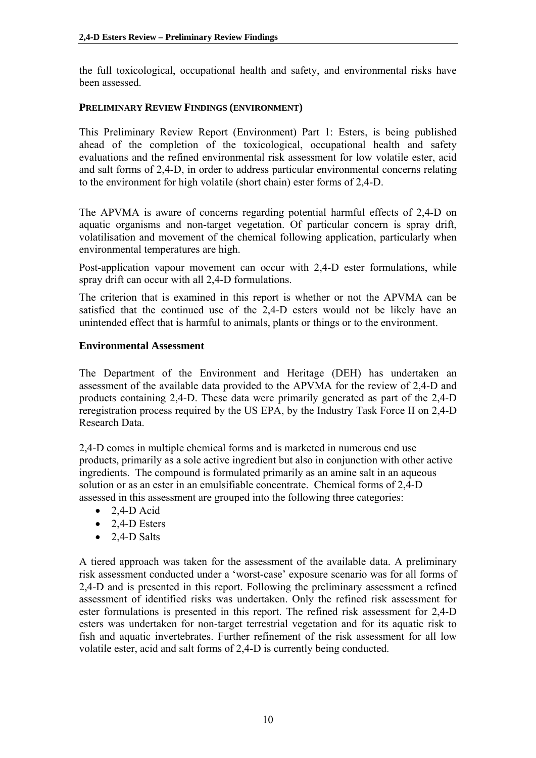<span id="page-9-0"></span>the full toxicological, occupational health and safety, and environmental risks have been assessed.

### **PRELIMINARY REVIEW FINDINGS (ENVIRONMENT)**

This Preliminary Review Report (Environment) Part 1: Esters, is being published ahead of the completion of the toxicological, occupational health and safety evaluations and the refined environmental risk assessment for low volatile ester, acid and salt forms of 2,4-D, in order to address particular environmental concerns relating to the environment for high volatile (short chain) ester forms of 2,4-D.

The APVMA is aware of concerns regarding potential harmful effects of 2,4-D on aquatic organisms and non-target vegetation. Of particular concern is spray drift, volatilisation and movement of the chemical following application, particularly when environmental temperatures are high.

Post-application vapour movement can occur with 2,4-D ester formulations, while spray drift can occur with all 2,4-D formulations.

The criterion that is examined in this report is whether or not the APVMA can be satisfied that the continued use of the 2,4-D esters would not be likely have an unintended effect that is harmful to animals, plants or things or to the environment.

#### **Environmental Assessment**

The Department of the Environment and Heritage (DEH) has undertaken an assessment of the available data provided to the APVMA for the review of 2,4-D and products containing 2,4-D. These data were primarily generated as part of the 2,4-D reregistration process required by the US EPA, by the Industry Task Force II on 2,4-D Research Data.

2,4-D comes in multiple chemical forms and is marketed in numerous end use products, primarily as a sole active ingredient but also in conjunction with other active ingredients. The compound is formulated primarily as an amine salt in an aqueous solution or as an ester in an emulsifiable concentrate. Chemical forms of 2,4-D assessed in this assessment are grouped into the following three categories:

- $\bullet$  2.4-D Acid
- $\bullet$  2.4-D Esters
- $\bullet$  2,4-D Salts

A tiered approach was taken for the assessment of the available data. A preliminary risk assessment conducted under a 'worst-case' exposure scenario was for all forms of 2,4-D and is presented in this report. Following the preliminary assessment a refined assessment of identified risks was undertaken. Only the refined risk assessment for ester formulations is presented in this report. The refined risk assessment for 2,4-D esters was undertaken for non-target terrestrial vegetation and for its aquatic risk to fish and aquatic invertebrates. Further refinement of the risk assessment for all low volatile ester, acid and salt forms of 2,4-D is currently being conducted.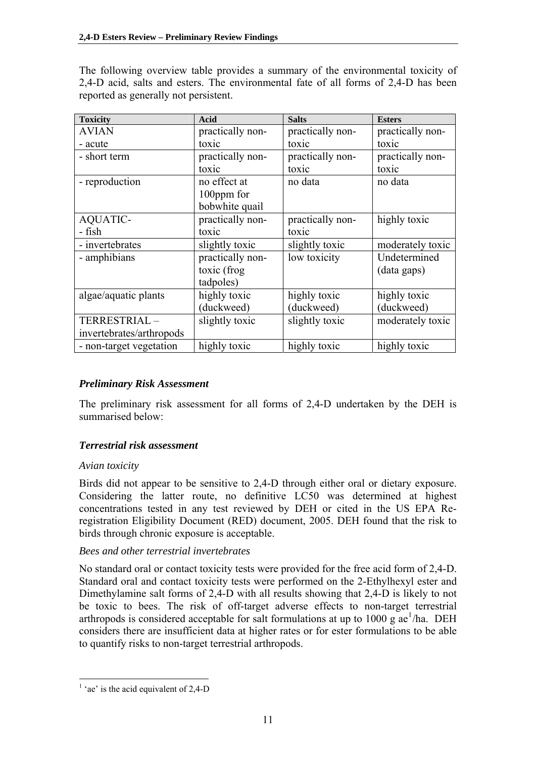<span id="page-10-0"></span>The following overview table provides a summary of the environmental toxicity of 2,4-D acid, salts and esters. The environmental fate of all forms of 2,4-D has been reported as generally not persistent.

| <b>Toxicity</b>          | <b>Acid</b>      | <b>Salts</b>     | <b>Esters</b>    |
|--------------------------|------------------|------------------|------------------|
| <b>AVIAN</b>             | practically non- | practically non- | practically non- |
| - acute                  | toxic            | toxic            | toxic            |
| - short term             | practically non- | practically non- | practically non- |
|                          | toxic            | toxic            | toxic            |
| - reproduction           | no effect at     | no data          | no data          |
|                          | 100ppm for       |                  |                  |
|                          | bobwhite quail   |                  |                  |
| <b>AQUATIC-</b>          | practically non- | practically non- | highly toxic     |
| - fish                   | toxic            | toxic            |                  |
| - invertebrates          | slightly toxic   | slightly toxic   | moderately toxic |
| - amphibians             | practically non- | low toxicity     | Undetermined     |
|                          | toxic (frog      |                  | (data gaps)      |
|                          | tadpoles)        |                  |                  |
| algae/aquatic plants     | highly toxic     | highly toxic     | highly toxic     |
|                          | (duckweed)       | (duckweed)       | (duckweed)       |
| TERRESTRIAL-             | slightly toxic   | slightly toxic   | moderately toxic |
| invertebrates/arthropods |                  |                  |                  |
| - non-target vegetation  | highly toxic     | highly toxic     | highly toxic     |

### *Preliminary Risk Assessment*

The preliminary risk assessment for all forms of 2,4-D undertaken by the DEH is summarised below:

### *Terrestrial risk assessment*

### *Avian toxicity*

Birds did not appear to be sensitive to 2,4-D through either oral or dietary exposure. Considering the latter route, no definitive LC50 was determined at highest concentrations tested in any test reviewed by DEH or cited in the US EPA Reregistration Eligibility Document (RED) document, 2005. DEH found that the risk to birds through chronic exposure is acceptable.

### *Bees and other terrestrial invertebrates*

No standard oral or contact toxicity tests were provided for the free acid form of 2,4-D. Standard oral and contact toxicity tests were performed on the 2-Ethylhexyl ester and Dimethylamine salt forms of 2,4-D with all results showing that 2,4-D is likely to not be toxic to bees. The risk of off-target adverse effects to non-target terrestrial arthropods is considered acceptable for salt formulations at up to  $1000 \text{ g}$  $1000 \text{ g}$  ae<sup>1</sup>/ha. DEH considers there are insufficient data at higher rates or for ester formulations to be able to quantify risks to non-target terrestrial arthropods.

<span id="page-10-1"></span> $\overline{a}$  $<sup>1</sup>$  'ae' is the acid equivalent of 2,4-D</sup>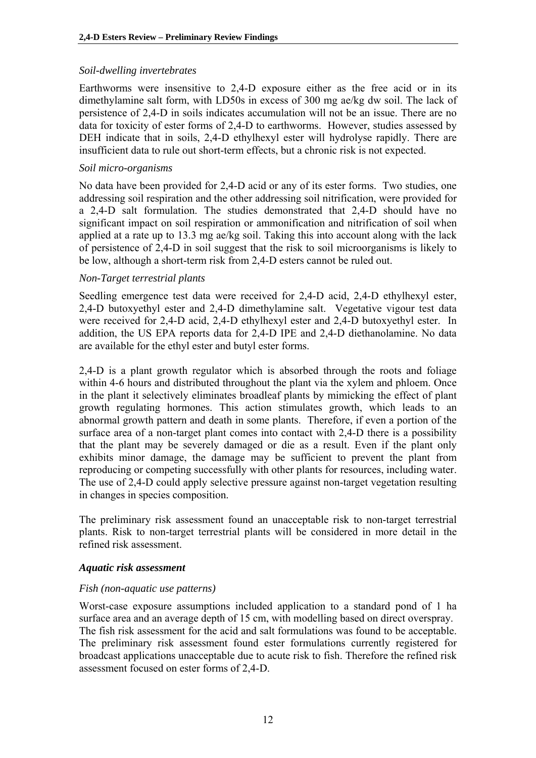### *Soil-dwelling invertebrates*

Earthworms were insensitive to 2,4-D exposure either as the free acid or in its dimethylamine salt form, with LD50s in excess of 300 mg ae/kg dw soil. The lack of persistence of 2,4-D in soils indicates accumulation will not be an issue. There are no data for toxicity of ester forms of 2,4-D to earthworms. However, studies assessed by DEH indicate that in soils, 2,4-D ethylhexyl ester will hydrolyse rapidly. There are insufficient data to rule out short-term effects, but a chronic risk is not expected.

#### *Soil micro-organisms*

No data have been provided for 2,4-D acid or any of its ester forms. Two studies, one addressing soil respiration and the other addressing soil nitrification, were provided for a 2,4-D salt formulation. The studies demonstrated that 2,4-D should have no significant impact on soil respiration or ammonification and nitrification of soil when applied at a rate up to 13.3 mg ae/kg soil. Taking this into account along with the lack of persistence of 2,4-D in soil suggest that the risk to soil microorganisms is likely to be low, although a short-term risk from 2,4-D esters cannot be ruled out.

#### *Non-Target terrestrial plants*

Seedling emergence test data were received for 2,4-D acid, 2,4-D ethylhexyl ester, 2,4-D butoxyethyl ester and 2,4-D dimethylamine salt. Vegetative vigour test data were received for 2,4-D acid, 2,4-D ethylhexyl ester and 2,4-D butoxyethyl ester. In addition, the US EPA reports data for 2,4-D IPE and 2,4-D diethanolamine. No data are available for the ethyl ester and butyl ester forms.

2,4-D is a plant growth regulator which is absorbed through the roots and foliage within 4-6 hours and distributed throughout the plant via the xylem and phloem. Once in the plant it selectively eliminates broadleaf plants by mimicking the effect of plant growth regulating hormones. This action stimulates growth, which leads to an abnormal growth pattern and death in some plants. Therefore, if even a portion of the surface area of a non-target plant comes into contact with 2,4-D there is a possibility that the plant may be severely damaged or die as a result. Even if the plant only exhibits minor damage, the damage may be sufficient to prevent the plant from reproducing or competing successfully with other plants for resources, including water. The use of 2,4-D could apply selective pressure against non-target vegetation resulting in changes in species composition.

The preliminary risk assessment found an unacceptable risk to non-target terrestrial plants. Risk to non-target terrestrial plants will be considered in more detail in the refined risk assessment.

#### *Aquatic risk assessment*

#### *Fish (non-aquatic use patterns)*

Worst-case exposure assumptions included application to a standard pond of 1 ha surface area and an average depth of 15 cm, with modelling based on direct overspray. The fish risk assessment for the acid and salt formulations was found to be acceptable. The preliminary risk assessment found ester formulations currently registered for broadcast applications unacceptable due to acute risk to fish. Therefore the refined risk assessment focused on ester forms of 2,4-D.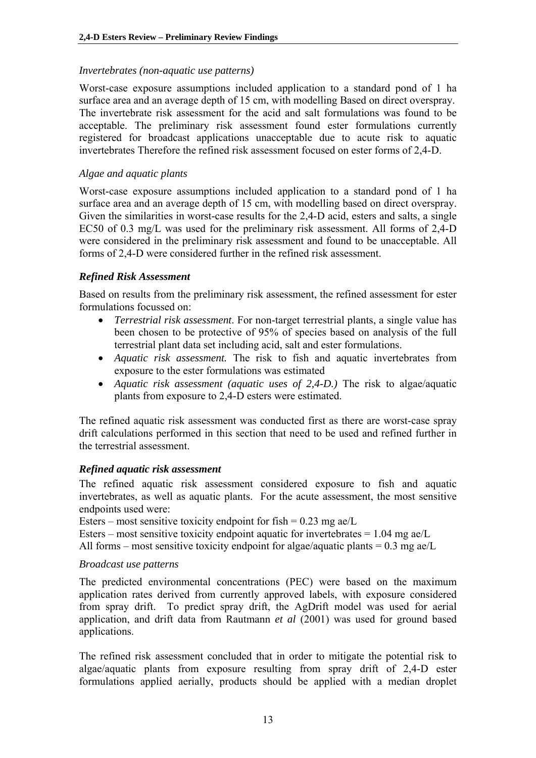#### <span id="page-12-0"></span>*Invertebrates (non-aquatic use patterns)*

Worst-case exposure assumptions included application to a standard pond of 1 ha surface area and an average depth of 15 cm, with modelling Based on direct overspray. The invertebrate risk assessment for the acid and salt formulations was found to be acceptable. The preliminary risk assessment found ester formulations currently registered for broadcast applications unacceptable due to acute risk to aquatic invertebrates Therefore the refined risk assessment focused on ester forms of 2,4-D.

#### *Algae and aquatic plants*

Worst-case exposure assumptions included application to a standard pond of 1 ha surface area and an average depth of 15 cm, with modelling based on direct overspray. Given the similarities in worst-case results for the 2,4-D acid, esters and salts, a single EC50 of 0.3 mg/L was used for the preliminary risk assessment. All forms of 2,4-D were considered in the preliminary risk assessment and found to be unacceptable. All forms of 2,4-D were considered further in the refined risk assessment.

### *Refined Risk Assessment*

Based on results from the preliminary risk assessment, the refined assessment for ester formulations focussed on:

- *Terrestrial risk assessment*. For non-target terrestrial plants, a single value has been chosen to be protective of 95% of species based on analysis of the full terrestrial plant data set including acid, salt and ester formulations.
- *Aquatic risk assessment.* The risk to fish and aquatic invertebrates from exposure to the ester formulations was estimated
- *Aquatic risk assessment (aquatic uses of 2,4-D.)* The risk to algae/aquatic plants from exposure to 2,4-D esters were estimated.

The refined aquatic risk assessment was conducted first as there are worst-case spray drift calculations performed in this section that need to be used and refined further in the terrestrial assessment.

### *Refined aquatic risk assessment*

The refined aquatic risk assessment considered exposure to fish and aquatic invertebrates, as well as aquatic plants. For the acute assessment, the most sensitive endpoints used were:

Esters – most sensitive toxicity endpoint for fish =  $0.23$  mg ae/L

Esters – most sensitive toxicity endpoint aquatic for invertebrates  $= 1.04$  mg ae/L

All forms – most sensitive toxicity endpoint for algae/aquatic plants  $= 0.3$  mg ae/L

#### *Broadcast use patterns*

The predicted environmental concentrations (PEC) were based on the maximum application rates derived from currently approved labels, with exposure considered from spray drift. To predict spray drift, the AgDrift model was used for aerial application, and drift data from Rautmann *et al* (2001) was used for ground based applications.

The refined risk assessment concluded that in order to mitigate the potential risk to algae/aquatic plants from exposure resulting from spray drift of 2,4-D ester formulations applied aerially, products should be applied with a median droplet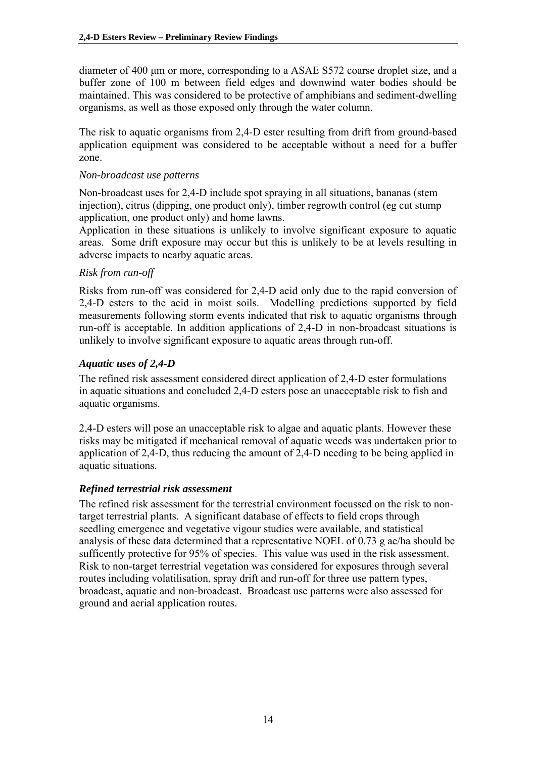diameter of 400 μm or more, corresponding to a ASAE S572 coarse droplet size, and a buffer zone of 100 m between field edges and downwind water bodies should be maintained. This was considered to be protective of amphibians and sediment-dwelling organisms, as well as those exposed only through the water column.

The risk to aquatic organisms from 2,4-D ester resulting from drift from ground-based application equipment was considered to be acceptable without a need for a buffer zone.

#### *Non-broadcast use patterns*

Non-broadcast uses for 2,4-D include spot spraying in all situations, bananas (stem injection), citrus (dipping, one product only), timber regrowth control (eg cut stump application, one product only) and home lawns.

Application in these situations is unlikely to involve significant exposure to aquatic areas. Some drift exposure may occur but this is unlikely to be at levels resulting in adverse impacts to nearby aquatic areas.

### *Risk from run-off*

Risks from run-off was considered for 2,4-D acid only due to the rapid conversion of 2,4-D esters to the acid in moist soils. Modelling predictions supported by field measurements following storm events indicated that risk to aquatic organisms through run-off is acceptable. In addition applications of 2,4-D in non-broadcast situations is unlikely to involve significant exposure to aquatic areas through run-off.

### *Aquatic uses of 2,4-D*

The refined risk assessment considered direct application of 2,4-D ester formulations in aquatic situations and concluded 2,4-D esters pose an unacceptable risk to fish and aquatic organisms.

2,4-D esters will pose an unacceptable risk to algae and aquatic plants. However these risks may be mitigated if mechanical removal of aquatic weeds was undertaken prior to application of 2,4-D, thus reducing the amount of 2,4-D needing to be being applied in aquatic situations.

### *Refined terrestrial risk assessment*

The refined risk assessment for the terrestrial environment focussed on the risk to nontarget terrestrial plants. A significant database of effects to field crops through seedling emergence and vegetative vigour studies were available, and statistical analysis of these data determined that a representative NOEL of 0.73 g ae/ha should be sufficently protective for 95% of species. This value was used in the risk assessment. Risk to non-target terrestrial vegetation was considered for exposures through several routes including volatilisation, spray drift and run-off for three use pattern types, broadcast, aquatic and non-broadcast. Broadcast use patterns were also assessed for ground and aerial application routes.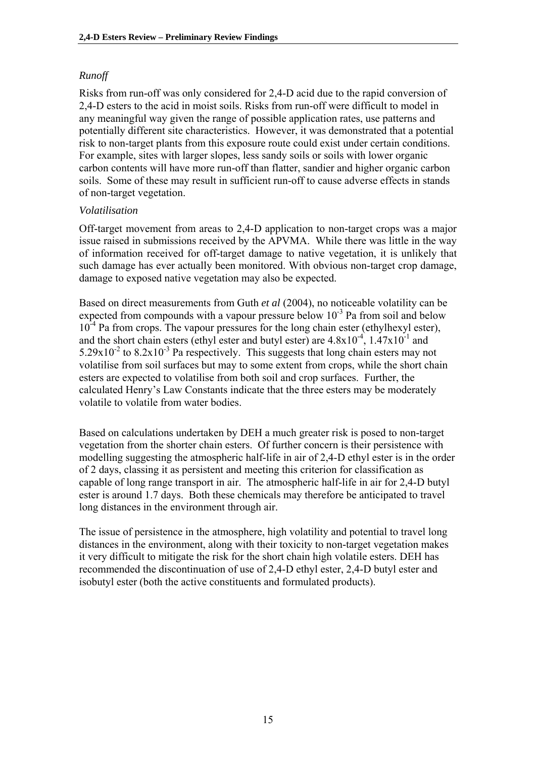### *Runoff*

Risks from run-off was only considered for 2,4-D acid due to the rapid conversion of 2,4-D esters to the acid in moist soils. Risks from run-off were difficult to model in any meaningful way given the range of possible application rates, use patterns and potentially different site characteristics. However, it was demonstrated that a potential risk to non-target plants from this exposure route could exist under certain conditions. For example, sites with larger slopes, less sandy soils or soils with lower organic carbon contents will have more run-off than flatter, sandier and higher organic carbon soils. Some of these may result in sufficient run-off to cause adverse effects in stands of non-target vegetation.

### *Volatilisation*

Off-target movement from areas to 2,4-D application to non-target crops was a major issue raised in submissions received by the APVMA. While there was little in the way of information received for off-target damage to native vegetation, it is unlikely that such damage has ever actually been monitored. With obvious non-target crop damage, damage to exposed native vegetation may also be expected.

Based on direct measurements from Guth *et al* (2004), no noticeable volatility can be expected from compounds with a vapour pressure below  $10^{-3}$  Pa from soil and below  $10^{-4}$  Pa from crops. The vapour pressures for the long chain ester (ethylhexyl ester), and the short chain esters (ethyl ester and butyl ester) are  $4.8 \times 10^{-4}$ ,  $1.47 \times 10^{-1}$  and  $5.29x10<sup>-2</sup>$  to  $8.2x10<sup>-3</sup>$  Pa respectively. This suggests that long chain esters may not volatilise from soil surfaces but may to some extent from crops, while the short chain esters are expected to volatilise from both soil and crop surfaces. Further, the calculated Henry's Law Constants indicate that the three esters may be moderately volatile to volatile from water bodies.

Based on calculations undertaken by DEH a much greater risk is posed to non-target vegetation from the shorter chain esters. Of further concern is their persistence with modelling suggesting the atmospheric half-life in air of 2,4-D ethyl ester is in the order of 2 days, classing it as persistent and meeting this criterion for classification as capable of long range transport in air. The atmospheric half-life in air for 2,4-D butyl ester is around 1.7 days. Both these chemicals may therefore be anticipated to travel long distances in the environment through air.

The issue of persistence in the atmosphere, high volatility and potential to travel long distances in the environment, along with their toxicity to non-target vegetation makes it very difficult to mitigate the risk for the short chain high volatile esters. DEH has recommended the discontinuation of use of 2,4-D ethyl ester, 2,4-D butyl ester and isobutyl ester (both the active constituents and formulated products).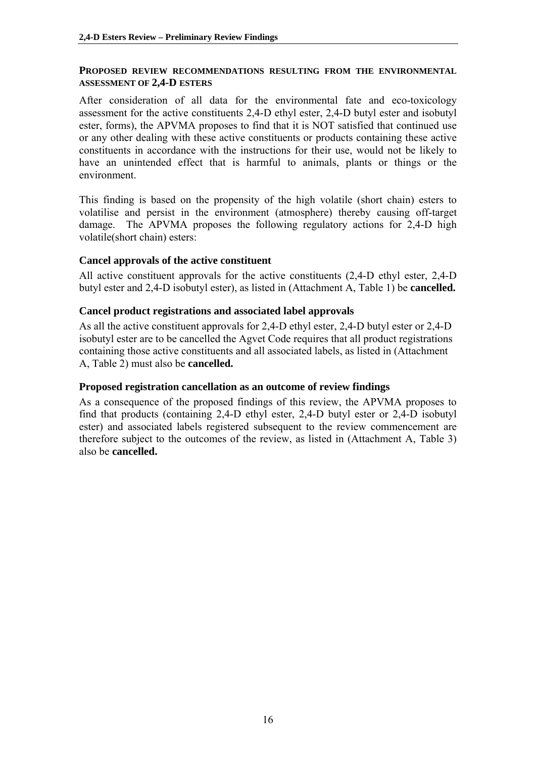#### <span id="page-15-0"></span>**PROPOSED REVIEW RECOMMENDATIONS RESULTING FROM THE ENVIRONMENTAL ASSESSMENT OF 2,4-D ESTERS**

After consideration of all data for the environmental fate and eco-toxicology assessment for the active constituents 2,4-D ethyl ester, 2,4-D butyl ester and isobutyl ester, forms), the APVMA proposes to find that it is NOT satisfied that continued use or any other dealing with these active constituents or products containing these active constituents in accordance with the instructions for their use, would not be likely to have an unintended effect that is harmful to animals, plants or things or the environment.

This finding is based on the propensity of the high volatile (short chain) esters to volatilise and persist in the environment (atmosphere) thereby causing off-target damage. The APVMA proposes the following regulatory actions for 2,4-D high volatile(short chain) esters:

#### **Cancel approvals of the active constituent**

All active constituent approvals for the active constituents (2,4-D ethyl ester, 2,4-D butyl ester and 2,4-D isobutyl ester), as listed in (Attachment A, Table 1) be **cancelled.**

#### **Cancel product registrations and associated label approvals**

As all the active constituent approvals for 2,4-D ethyl ester, 2,4-D butyl ester or 2,4-D isobutyl ester are to be cancelled the Agvet Code requires that all product registrations containing those active constituents and all associated labels, as listed in (Attachment A, Table 2) must also be **cancelled.** 

#### **Proposed registration cancellation as an outcome of review findings**

As a consequence of the proposed findings of this review, the APVMA proposes to find that products (containing 2,4-D ethyl ester, 2,4-D butyl ester or 2,4-D isobutyl ester) and associated labels registered subsequent to the review commencement are therefore subject to the outcomes of the review, as listed in (Attachment A, Table 3) also be **cancelled.**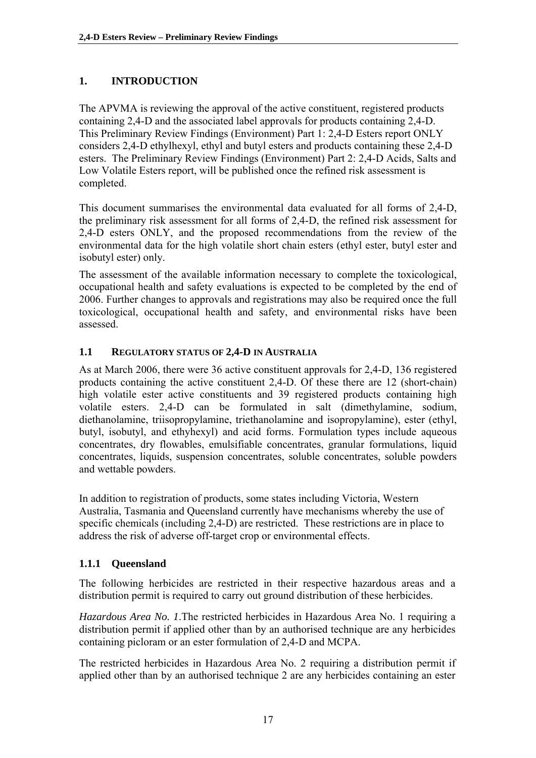### <span id="page-16-0"></span>**1. INTRODUCTION**

The APVMA is reviewing the approval of the active constituent, registered products containing 2,4-D and the associated label approvals for products containing 2,4-D. This Preliminary Review Findings (Environment) Part 1: 2,4-D Esters report ONLY considers 2,4-D ethylhexyl, ethyl and butyl esters and products containing these 2,4-D esters. The Preliminary Review Findings (Environment) Part 2: 2,4-D Acids, Salts and Low Volatile Esters report, will be published once the refined risk assessment is completed.

This document summarises the environmental data evaluated for all forms of 2,4-D, the preliminary risk assessment for all forms of 2,4-D, the refined risk assessment for 2,4-D esters ONLY, and the proposed recommendations from the review of the environmental data for the high volatile short chain esters (ethyl ester, butyl ester and isobutyl ester) only.

The assessment of the available information necessary to complete the toxicological, occupational health and safety evaluations is expected to be completed by the end of 2006. Further changes to approvals and registrations may also be required once the full toxicological, occupational health and safety, and environmental risks have been assessed.

### **1.1 REGULATORY STATUS OF 2,4-D IN AUSTRALIA**

As at March 2006, there were 36 active constituent approvals for 2,4-D, 136 registered products containing the active constituent 2,4-D. Of these there are 12 (short-chain) high volatile ester active constituents and 39 registered products containing high volatile esters. 2,4-D can be formulated in salt (dimethylamine, sodium, diethanolamine, triisopropylamine, triethanolamine and isopropylamine), ester (ethyl, butyl, isobutyl, and ethyhexyl) and acid forms. Formulation types include aqueous concentrates, dry flowables, emulsifiable concentrates, granular formulations, liquid concentrates, liquids, suspension concentrates, soluble concentrates, soluble powders and wettable powders.

In addition to registration of products, some states including Victoria, Western Australia, Tasmania and Queensland currently have mechanisms whereby the use of specific chemicals (including 2,4-D) are restricted. These restrictions are in place to address the risk of adverse off-target crop or environmental effects.

### **1.1.1 Queensland**

The following herbicides are restricted in their respective hazardous areas and a distribution permit is required to carry out ground distribution of these herbicides.

*Hazardous Area No. 1*.The restricted herbicides in Hazardous Area No. 1 requiring a distribution permit if applied other than by an authorised technique are any herbicides containing picloram or an ester formulation of 2,4-D and MCPA.

The restricted herbicides in Hazardous Area No. 2 requiring a distribution permit if applied other than by an authorised technique 2 are any herbicides containing an ester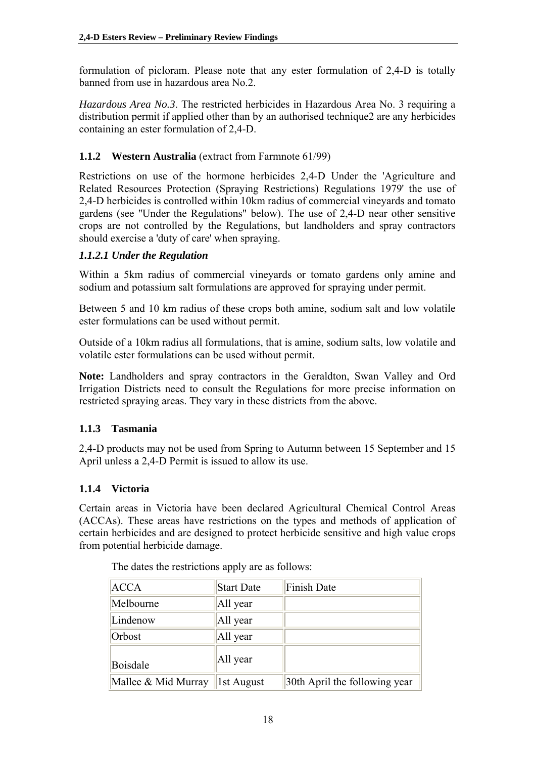<span id="page-17-0"></span>formulation of picloram. Please note that any ester formulation of 2,4-D is totally banned from use in hazardous area No.2.

*Hazardous Area No.3*. The restricted herbicides in Hazardous Area No. 3 requiring a distribution permit if applied other than by an authorised technique2 are any herbicides containing an ester formulation of 2,4-D.

### **1.1.2 Western Australia** (extract from Farmnote 61/99)

Restrictions on use of the hormone herbicides 2,4-D Under the 'Agriculture and Related Resources Protection (Spraying Restrictions) Regulations 1979' the use of 2,4-D herbicides is controlled within 10km radius of commercial vineyards and tomato gardens (see "Under the Regulations" below). The use of 2,4-D near other sensitive crops are not controlled by the Regulations, but landholders and spray contractors should exercise a 'duty of care' when spraying.

### *1.1.2.1 Under the Regulation*

Within a 5km radius of commercial vineyards or tomato gardens only amine and sodium and potassium salt formulations are approved for spraying under permit.

Between 5 and 10 km radius of these crops both amine, sodium salt and low volatile ester formulations can be used without permit.

Outside of a 10km radius all formulations, that is amine, sodium salts, low volatile and volatile ester formulations can be used without permit.

**Note:** Landholders and spray contractors in the Geraldton, Swan Valley and Ord Irrigation Districts need to consult the Regulations for more precise information on restricted spraying areas. They vary in these districts from the above.

### **1.1.3 Tasmania**

2,4-D products may not be used from Spring to Autumn between 15 September and 15 April unless a 2,4-D Permit is issued to allow its use.

### **1.1.4 Victoria**

Certain areas in Victoria have been declared Agricultural Chemical Control Areas (ACCAs). These areas have restrictions on the types and methods of application of certain herbicides and are designed to protect herbicide sensitive and high value crops from potential herbicide damage.

| <b>ACCA</b>         | <b>Start Date</b> | Finish Date                   |
|---------------------|-------------------|-------------------------------|
| Melbourne           | All year          |                               |
| Lindenow            | All year          |                               |
| Orbost              | All year          |                               |
| Boisdale            | All year          |                               |
| Mallee & Mid Murray | 1st August        | 30th April the following year |

The dates the restrictions apply are as follows: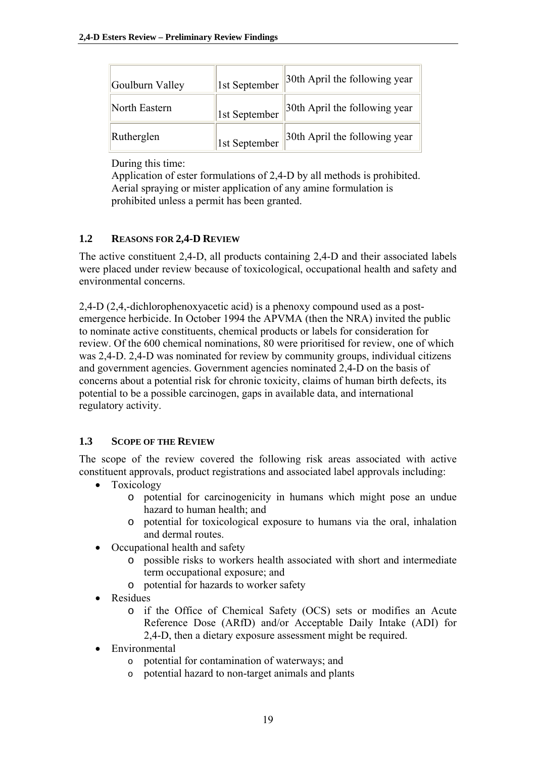<span id="page-18-0"></span>

| Goulburn Valley | 1st September | 30th April the following year |
|-----------------|---------------|-------------------------------|
| North Eastern   | 1st September | 30th April the following year |
| Rutherglen      | 1st September | 30th April the following year |

During this time:

Application of ester formulations of 2,4-D by all methods is prohibited. Aerial spraying or mister application of any amine formulation is prohibited unless a permit has been granted.

### **1.2 REASONS FOR 2,4-D REVIEW**

The active constituent 2,4-D, all products containing 2,4-D and their associated labels were placed under review because of toxicological, occupational health and safety and environmental concerns.

2,4-D (2,4,-dichlorophenoxyacetic acid) is a phenoxy compound used as a postemergence herbicide. In October 1994 the APVMA (then the NRA) invited the public to nominate active constituents, chemical products or labels for consideration for review. Of the 600 chemical nominations, 80 were prioritised for review, one of which was 2,4-D. 2,4-D was nominated for review by community groups, individual citizens and government agencies. Government agencies nominated 2,4-D on the basis of concerns about a potential risk for chronic toxicity, claims of human birth defects, its potential to be a possible carcinogen, gaps in available data, and international regulatory activity.

### **1.3 SCOPE OF THE REVIEW**

The scope of the review covered the following risk areas associated with active constituent approvals, product registrations and associated label approvals including:

- Toxicology
	- o potential for carcinogenicity in humans which might pose an undue hazard to human health; and
	- o potential for toxicological exposure to humans via the oral, inhalation and dermal routes.
- Occupational health and safety
	- o possible risks to workers health associated with short and intermediate term occupational exposure; and
	- o potential for hazards to worker safety
- Residues
	- o if the Office of Chemical Safety (OCS) sets or modifies an Acute Reference Dose (ARfD) and/or Acceptable Daily Intake (ADI) for 2,4-D, then a dietary exposure assessment might be required.
- Environmental
	- o potential for contamination of waterways; and
	- o potential hazard to non-target animals and plants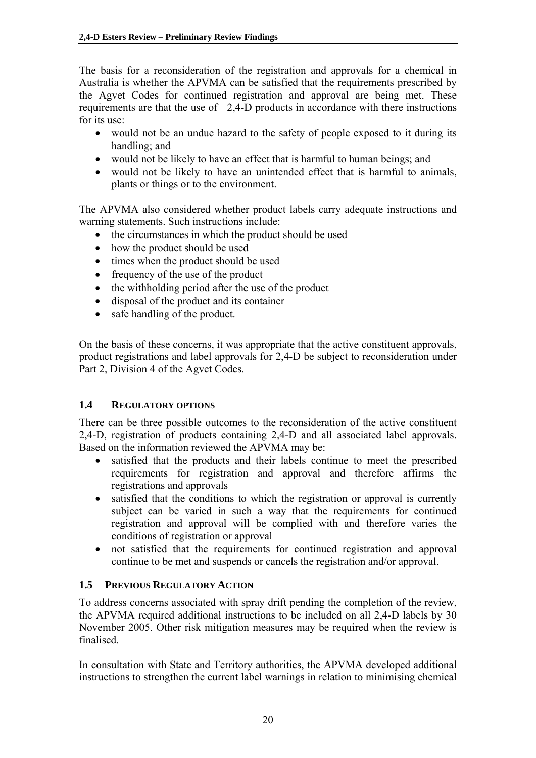<span id="page-19-0"></span>The basis for a reconsideration of the registration and approvals for a chemical in Australia is whether the APVMA can be satisfied that the requirements prescribed by the Agvet Codes for continued registration and approval are being met. These requirements are that the use of 2,4-D products in accordance with there instructions for its use:

- would not be an undue hazard to the safety of people exposed to it during its handling; and
- would not be likely to have an effect that is harmful to human beings; and
- would not be likely to have an unintended effect that is harmful to animals, plants or things or to the environment.

The APVMA also considered whether product labels carry adequate instructions and warning statements. Such instructions include:

- the circumstances in which the product should be used
- how the product should be used
- times when the product should be used
- frequency of the use of the product
- the withholding period after the use of the product
- disposal of the product and its container
- safe handling of the product.

On the basis of these concerns, it was appropriate that the active constituent approvals, product registrations and label approvals for 2,4-D be subject to reconsideration under Part 2, Division 4 of the Agvet Codes.

### **1.4 REGULATORY OPTIONS**

There can be three possible outcomes to the reconsideration of the active constituent 2,4-D, registration of products containing 2,4-D and all associated label approvals. Based on the information reviewed the APVMA may be:

- satisfied that the products and their labels continue to meet the prescribed requirements for registration and approval and therefore affirms the registrations and approvals
- satisfied that the conditions to which the registration or approval is currently subject can be varied in such a way that the requirements for continued registration and approval will be complied with and therefore varies the conditions of registration or approval
- not satisfied that the requirements for continued registration and approval continue to be met and suspends or cancels the registration and/or approval.

### **1.5 PREVIOUS REGULATORY ACTION**

To address concerns associated with spray drift pending the completion of the review, the APVMA required additional instructions to be included on all 2,4-D labels by 30 November 2005. Other risk mitigation measures may be required when the review is finalised.

In consultation with State and Territory authorities, the APVMA developed additional instructions to strengthen the current label warnings in relation to minimising chemical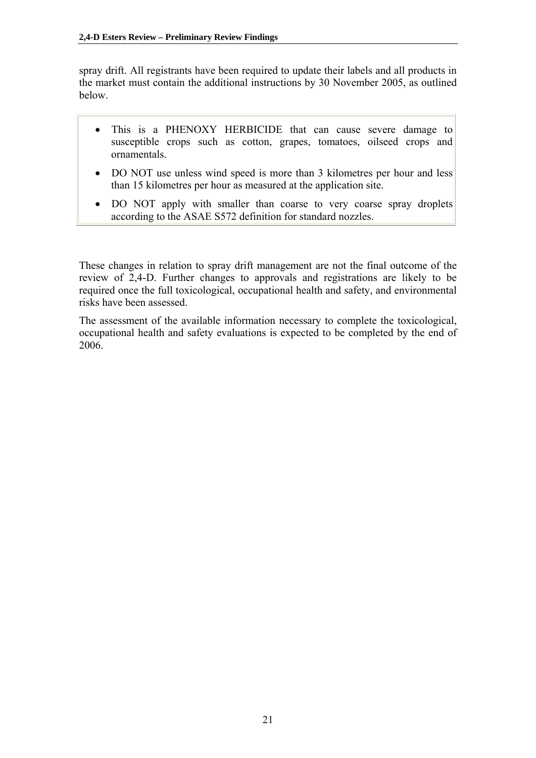spray drift. All registrants have been required to update their labels and all products in the market must contain the additional instructions by 30 November 2005, as outlined below.

- This is a PHENOXY HERBICIDE that can cause severe damage to susceptible crops such as cotton, grapes, tomatoes, oilseed crops and ornamentals.
- DO NOT use unless wind speed is more than 3 kilometres per hour and less than 15 kilometres per hour as measured at the application site.
- DO NOT apply with smaller than coarse to very coarse spray droplets according to the ASAE S572 definition for standard nozzles.

These changes in relation to spray drift management are not the final outcome of the review of 2,4-D. Further changes to approvals and registrations are likely to be required once the full toxicological, occupational health and safety, and environmental risks have been assessed.

The assessment of the available information necessary to complete the toxicological, occupational health and safety evaluations is expected to be completed by the end of 2006.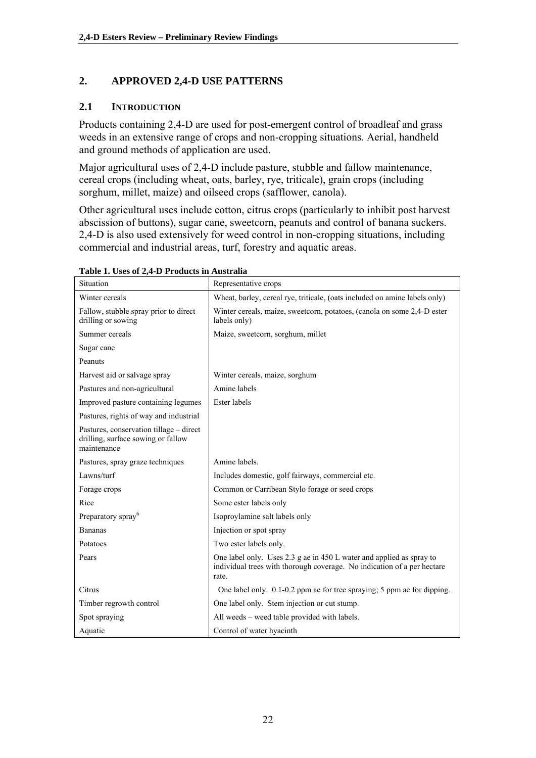### <span id="page-21-0"></span>**2. APPROVED 2,4-D USE PATTERNS**

### **2.1 INTRODUCTION**

Products containing 2,4-D are used for post-emergent control of broadleaf and grass weeds in an extensive range of crops and non-cropping situations. Aerial, handheld and ground methods of application are used.

Major agricultural uses of 2,4-D include pasture, stubble and fallow maintenance, cereal crops (including wheat, oats, barley, rye, triticale), grain crops (including sorghum, millet, maize) and oilseed crops (safflower, canola).

Other agricultural uses include cotton, citrus crops (particularly to inhibit post harvest abscission of buttons), sugar cane, sweetcorn, peanuts and control of banana suckers. 2,4-D is also used extensively for weed control in non-cropping situations, including commercial and industrial areas, turf, forestry and aquatic areas.

| Situation                                                                                    | Representative crops                                                                                                                                     |  |
|----------------------------------------------------------------------------------------------|----------------------------------------------------------------------------------------------------------------------------------------------------------|--|
| Winter cereals                                                                               | Wheat, barley, cereal rye, triticale, (oats included on amine labels only)                                                                               |  |
| Fallow, stubble spray prior to direct<br>drilling or sowing                                  | Winter cereals, maize, sweetcorn, potatoes, (canola on some 2,4-D ester<br>labels only)                                                                  |  |
| Summer cereals                                                                               | Maize, sweetcorn, sorghum, millet                                                                                                                        |  |
| Sugar cane                                                                                   |                                                                                                                                                          |  |
| Peanuts                                                                                      |                                                                                                                                                          |  |
| Harvest aid or salvage spray                                                                 | Winter cereals, maize, sorghum                                                                                                                           |  |
| Pastures and non-agricultural                                                                | Amine labels                                                                                                                                             |  |
| Improved pasture containing legumes                                                          | Ester labels                                                                                                                                             |  |
| Pastures, rights of way and industrial                                                       |                                                                                                                                                          |  |
| Pastures, conservation tillage – direct<br>drilling, surface sowing or fallow<br>maintenance |                                                                                                                                                          |  |
| Pastures, spray graze techniques                                                             | Amine labels.                                                                                                                                            |  |
| Lawns/turf                                                                                   | Includes domestic, golf fairways, commercial etc.                                                                                                        |  |
| Forage crops                                                                                 | Common or Carribean Stylo forage or seed crops                                                                                                           |  |
| Rice                                                                                         | Some ester labels only                                                                                                                                   |  |
| Preparatory spray <sup>6</sup>                                                               | Isoproylamine salt labels only                                                                                                                           |  |
| <b>Bananas</b>                                                                               | Injection or spot spray                                                                                                                                  |  |
| Potatoes                                                                                     | Two ester labels only.                                                                                                                                   |  |
| Pears                                                                                        | One label only. Uses 2.3 g ae in 450 L water and applied as spray to<br>individual trees with thorough coverage. No indication of a per hectare<br>rate. |  |
| Citrus                                                                                       | One label only. 0.1-0.2 ppm ae for tree spraying; 5 ppm ae for dipping.                                                                                  |  |
| Timber regrowth control                                                                      | One label only. Stem injection or cut stump.                                                                                                             |  |
| Spot spraying                                                                                | All weeds – weed table provided with labels.                                                                                                             |  |
| Aquatic                                                                                      | Control of water hyacinth                                                                                                                                |  |

**Table 1. Uses of 2,4-D Products in Australia**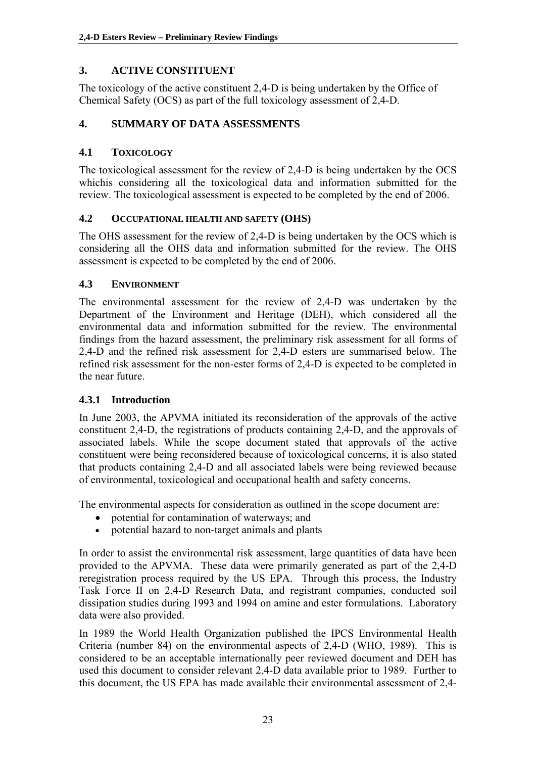### <span id="page-22-0"></span>**3. ACTIVE CONSTITUENT**

The toxicology of the active constituent 2,4-D is being undertaken by the Office of Chemical Safety (OCS) as part of the full toxicology assessment of 2,4-D.

### **4. SUMMARY OF DATA ASSESSMENTS**

### **4.1 TOXICOLOGY**

The toxicological assessment for the review of 2,4-D is being undertaken by the OCS whichis considering all the toxicological data and information submitted for the review. The toxicological assessment is expected to be completed by the end of 2006.

### **4.2 OCCUPATIONAL HEALTH AND SAFETY (OHS)**

The OHS assessment for the review of 2,4-D is being undertaken by the OCS which is considering all the OHS data and information submitted for the review. The OHS assessment is expected to be completed by the end of 2006.

### **4.3 ENVIRONMENT**

The environmental assessment for the review of 2,4-D was undertaken by the Department of the Environment and Heritage (DEH), which considered all the environmental data and information submitted for the review. The environmental findings from the hazard assessment, the preliminary risk assessment for all forms of 2,4-D and the refined risk assessment for 2,4-D esters are summarised below. The refined risk assessment for the non-ester forms of 2,4-D is expected to be completed in the near future.

### **4.3.1 Introduction**

In June 2003, the APVMA initiated its reconsideration of the approvals of the active constituent 2,4-D, the registrations of products containing 2,4-D, and the approvals of associated labels. While the scope document stated that approvals of the active constituent were being reconsidered because of toxicological concerns, it is also stated that products containing 2,4-D and all associated labels were being reviewed because of environmental, toxicological and occupational health and safety concerns.

The environmental aspects for consideration as outlined in the scope document are:

- potential for contamination of waterways; and
- potential hazard to non-target animals and plants

In order to assist the environmental risk assessment, large quantities of data have been provided to the APVMA. These data were primarily generated as part of the 2,4-D reregistration process required by the US EPA. Through this process, the Industry Task Force II on 2,4-D Research Data, and registrant companies, conducted soil dissipation studies during 1993 and 1994 on amine and ester formulations. Laboratory data were also provided.

In 1989 the World Health Organization published the IPCS Environmental Health Criteria (number 84) on the environmental aspects of 2,4-D (WHO, 1989). This is considered to be an acceptable internationally peer reviewed document and DEH has used this document to consider relevant 2,4-D data available prior to 1989. Further to this document, the US EPA has made available their environmental assessment of 2,4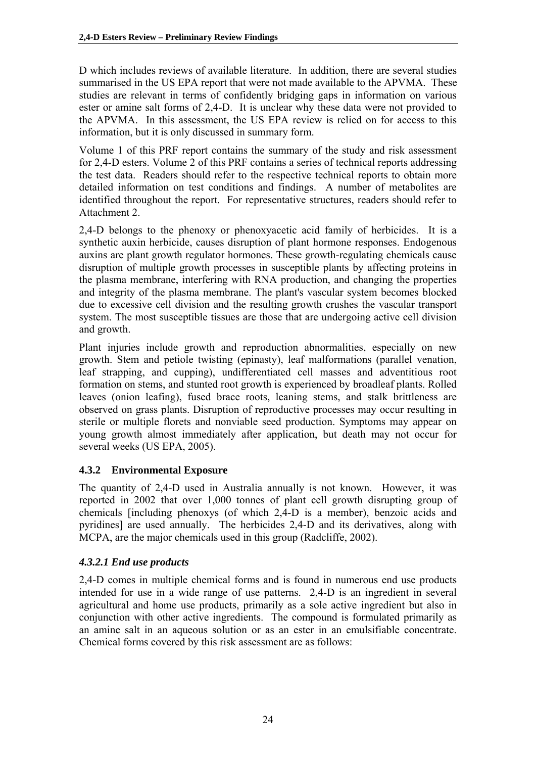<span id="page-23-0"></span>D which includes reviews of available literature. In addition, there are several studies summarised in the US EPA report that were not made available to the APVMA. These studies are relevant in terms of confidently bridging gaps in information on various ester or amine salt forms of 2,4-D. It is unclear why these data were not provided to the APVMA. In this assessment, the US EPA review is relied on for access to this information, but it is only discussed in summary form.

Volume 1 of this PRF report contains the summary of the study and risk assessment for 2,4-D esters. Volume 2 of this PRF contains a series of technical reports addressing the test data. Readers should refer to the respective technical reports to obtain more detailed information on test conditions and findings. A number of metabolites are identified throughout the report. For representative structures, readers should refer to Attachment 2.

2,4-D belongs to the phenoxy or phenoxyacetic acid family of herbicides. It is a synthetic auxin herbicide, causes disruption of plant hormone responses. Endogenous auxins are plant growth regulator hormones. These growth-regulating chemicals cause disruption of multiple growth processes in susceptible plants by affecting proteins in the plasma membrane, interfering with RNA production, and changing the properties and integrity of the plasma membrane. The plant's vascular system becomes blocked due to excessive cell division and the resulting growth crushes the vascular transport system. The most susceptible tissues are those that are undergoing active cell division and growth.

Plant injuries include growth and reproduction abnormalities, especially on new growth. Stem and petiole twisting (epinasty), leaf malformations (parallel venation, leaf strapping, and cupping), undifferentiated cell masses and adventitious root formation on stems, and stunted root growth is experienced by broadleaf plants. Rolled leaves (onion leafing), fused brace roots, leaning stems, and stalk brittleness are observed on grass plants. Disruption of reproductive processes may occur resulting in sterile or multiple florets and nonviable seed production. Symptoms may appear on young growth almost immediately after application, but death may not occur for several weeks (US EPA, 2005).

### **4.3.2 Environmental Exposure**

The quantity of 2,4-D used in Australia annually is not known. However, it was reported in 2002 that over 1,000 tonnes of plant cell growth disrupting group of chemicals [including phenoxys (of which 2,4-D is a member), benzoic acids and pyridines] are used annually. The herbicides 2,4-D and its derivatives, along with MCPA, are the major chemicals used in this group (Radcliffe, 2002).

### *4.3.2.1 End use products*

2,4-D comes in multiple chemical forms and is found in numerous end use products intended for use in a wide range of use patterns. 2,4-D is an ingredient in several agricultural and home use products, primarily as a sole active ingredient but also in conjunction with other active ingredients. The compound is formulated primarily as an amine salt in an aqueous solution or as an ester in an emulsifiable concentrate. Chemical forms covered by this risk assessment are as follows: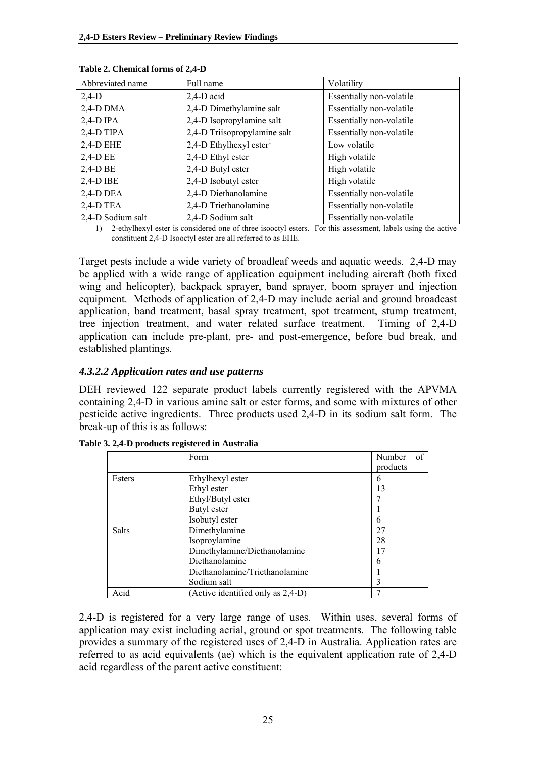| Abbreviated name  | Full name                           | Volatility               |
|-------------------|-------------------------------------|--------------------------|
| $2,4-D$           | $2,4-D$ acid                        | Essentially non-volatile |
| $2,4$ -D DMA      | 2,4-D Dimethylamine salt            | Essentially non-volatile |
| $2,4-D$ IPA       | 2,4-D Isopropylamine salt           | Essentially non-volatile |
| 2,4-D TIPA        | 2,4-D Triisopropylamine salt        | Essentially non-volatile |
| $2,4-D$ EHE       | 2,4-D Ethylhexyl ester <sup>1</sup> | Low volatile             |
| 2,4-D EE          | 2,4-D Ethyl ester                   | High volatile            |
| $2,4-D$ BE        | 2,4-D Butyl ester                   | High volatile            |
| $2,4-D$ IBE       | 2,4-D Isobutyl ester                | High volatile            |
| $2,4$ -D DEA      | 2,4-D Diethanolamine                | Essentially non-volatile |
| $2,4$ -D TEA      | 2,4-D Triethanolamine               | Essentially non-volatile |
| 2,4-D Sodium salt | 2,4-D Sodium salt                   | Essentially non-volatile |

<span id="page-24-0"></span>**Table 2. Chemical forms of 2,4-D** 

1) 2-ethylhexyl ester is considered one of three isooctyl esters. For this assessment, labels using the active constituent 2,4-D Isooctyl ester are all referred to as EHE.

Target pests include a wide variety of broadleaf weeds and aquatic weeds. 2,4-D may be applied with a wide range of application equipment including aircraft (both fixed wing and helicopter), backpack sprayer, band sprayer, boom sprayer and injection equipment. Methods of application of 2,4-D may include aerial and ground broadcast application, band treatment, basal spray treatment, spot treatment, stump treatment, tree injection treatment, and water related surface treatment. Timing of 2,4-D application can include pre-plant, pre- and post-emergence, before bud break, and established plantings.

#### *4.3.2.2 Application rates and use patterns*

DEH reviewed 122 separate product labels currently registered with the APVMA containing 2,4-D in various amine salt or ester forms, and some with mixtures of other pesticide active ingredients. Three products used 2,4-D in its sodium salt form. The break-up of this is as follows:

|              | Form                              | Number   | of |
|--------------|-----------------------------------|----------|----|
|              |                                   | products |    |
| Esters       | Ethylhexyl ester                  | 6        |    |
|              | Ethyl ester                       | 13       |    |
|              | Ethyl/Butyl ester                 |          |    |
|              | Butyl ester                       |          |    |
|              | Isobutyl ester                    | n        |    |
| <b>Salts</b> | Dimethylamine                     | 27       |    |
|              | Isoproylamine                     | 28       |    |
|              | Dimethylamine/Diethanolamine      | 17       |    |
|              | Diethanolamine                    | 6        |    |
|              | Diethanolamine/Triethanolamine    |          |    |
|              | Sodium salt                       |          |    |
| Acid         | (Active identified only as 2,4-D) |          |    |

**Table 3. 2,4-D products registered in Australia** 

2,4-D is registered for a very large range of uses. Within uses, several forms of application may exist including aerial, ground or spot treatments. The following table provides a summary of the registered uses of 2,4-D in Australia. Application rates are referred to as acid equivalents (ae) which is the equivalent application rate of 2,4-D acid regardless of the parent active constituent: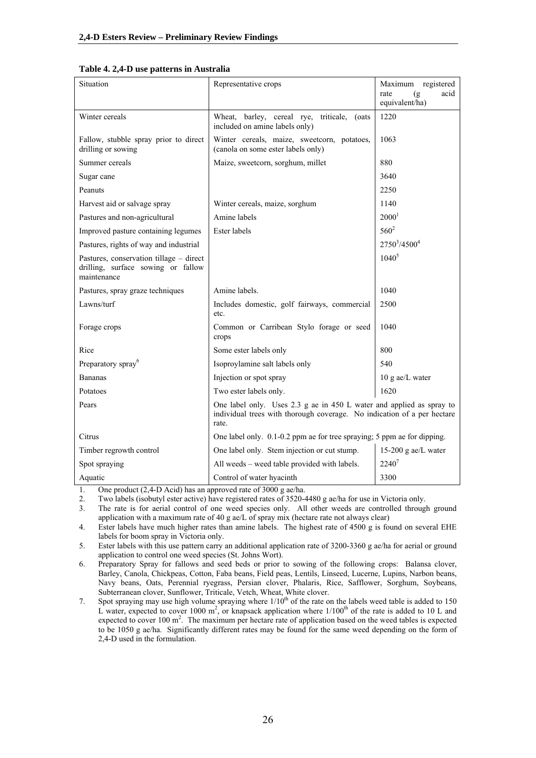| Situation                                                                                    | Representative crops                                                                                                                                     | Maximum registered<br>(g)<br>acid<br>rate<br>equivalent/ha) |
|----------------------------------------------------------------------------------------------|----------------------------------------------------------------------------------------------------------------------------------------------------------|-------------------------------------------------------------|
| Winter cereals                                                                               | Wheat, barley, cereal rye,<br>triticale, (oats<br>included on amine labels only)                                                                         | 1220                                                        |
| Fallow, stubble spray prior to direct<br>drilling or sowing                                  | Winter cereals, maize, sweetcorn, potatoes,<br>(canola on some ester labels only)                                                                        | 1063                                                        |
| Summer cereals                                                                               | Maize, sweetcorn, sorghum, millet                                                                                                                        | 880                                                         |
| Sugar cane                                                                                   |                                                                                                                                                          | 3640                                                        |
| Peanuts                                                                                      |                                                                                                                                                          | 2250                                                        |
| Harvest aid or salvage spray                                                                 | Winter cereals, maize, sorghum                                                                                                                           | 1140                                                        |
| Pastures and non-agricultural                                                                | Amine labels                                                                                                                                             | $2000^1$                                                    |
| Improved pasture containing legumes                                                          | <b>Ester labels</b>                                                                                                                                      | $560^2$                                                     |
| Pastures, rights of way and industrial                                                       |                                                                                                                                                          | $2750^{3}/4500^{4}$                                         |
| Pastures, conservation tillage – direct<br>drilling, surface sowing or fallow<br>maintenance |                                                                                                                                                          | $1040^5$                                                    |
| Pastures, spray graze techniques                                                             | Amine labels.                                                                                                                                            | 1040                                                        |
| Lawns/turf                                                                                   | Includes domestic, golf fairways, commercial<br>etc.                                                                                                     | 2500                                                        |
| Forage crops                                                                                 | Common or Carribean Stylo forage or seed<br>crops                                                                                                        | 1040                                                        |
| Rice                                                                                         | Some ester labels only                                                                                                                                   | 800                                                         |
| Preparatory spray <sup>6</sup>                                                               | Isoproylamine salt labels only                                                                                                                           | 540                                                         |
| <b>Bananas</b>                                                                               | Injection or spot spray                                                                                                                                  | $10$ g ae/L water                                           |
| Potatoes                                                                                     | Two ester labels only.                                                                                                                                   | 1620                                                        |
| Pears                                                                                        | One label only. Uses 2.3 g ae in 450 L water and applied as spray to<br>individual trees with thorough coverage. No indication of a per hectare<br>rate. |                                                             |
| Citrus                                                                                       | One label only. 0.1-0.2 ppm ae for tree spraying; 5 ppm ae for dipping.                                                                                  |                                                             |
| Timber regrowth control                                                                      | One label only. Stem injection or cut stump.                                                                                                             | 15-200 g ae/L water                                         |
| Spot spraying                                                                                | All weeds - weed table provided with labels.                                                                                                             | 22407                                                       |
| Aquatic                                                                                      | Control of water hyacinth                                                                                                                                | 3300                                                        |

**Table 4. 2,4-D use patterns in Australia** 

1. One product (2,4-D Acid) has an approved rate of 3000 g ae/ha.

2. Two labels (isobutyl ester active) have registered rates of 3520-4480 g ae/ha for use in Victoria only.

3. The rate is for aerial control of one weed species only. All other weeds are controlled through ground application with a maximum rate of 40 g ae/L of spray mix (hectare rate not always clear)

4. Ester labels have much higher rates than amine labels. The highest rate of 4500 g is found on several EHE labels for boom spray in Victoria only.

5. Ester labels with this use pattern carry an additional application rate of 3200-3360 g ae/ha for aerial or ground application to control one weed species (St. Johns Wort).

6. Preparatory Spray for fallows and seed beds or prior to sowing of the following crops: Balansa clover, Barley, Canola, Chickpeas, Cotton, Faba beans, Field peas, Lentils, Linseed, Lucerne, Lupins, Narbon beans, Navy beans, Oats, Perennial ryegrass, Persian clover, Phalaris, Rice, Safflower, Sorghum, Soybeans, Subterranean clover, Sunflower, Triticale, Vetch, Wheat, White clover.

7. Spot spraying may use high volume spraying where  $1/10<sup>th</sup>$  of the rate on the labels weed table is added to 150 L water, expected to cover 1000 m<sup>2</sup>, or knapsack application where  $1/100<sup>th</sup>$  of the rate is added to 10 L and expected to cover 100 m<sup>2</sup>. The maximum per hectare rate of application based on the weed tables is expected to be 1050 g ae/ha. Significantly different rates may be found for the same weed depending on the form of 2,4-D used in the formulation.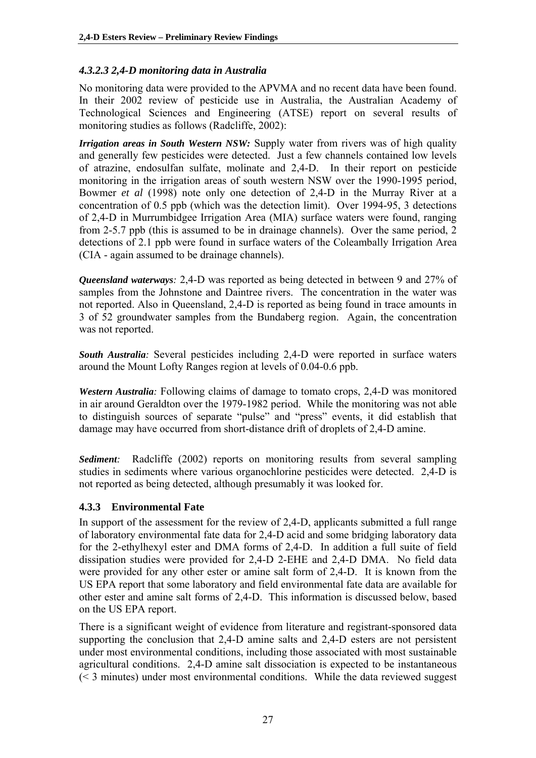### <span id="page-26-0"></span>*4.3.2.3 2,4-D monitoring data in Australia*

No monitoring data were provided to the APVMA and no recent data have been found. In their 2002 review of pesticide use in Australia, the Australian Academy of Technological Sciences and Engineering (ATSE) report on several results of monitoring studies as follows (Radcliffe, 2002):

*Irrigation areas in South Western NSW:* Supply water from rivers was of high quality and generally few pesticides were detected. Just a few channels contained low levels of atrazine, endosulfan sulfate, molinate and 2,4-D. In their report on pesticide monitoring in the irrigation areas of south western NSW over the 1990-1995 period, Bowmer *et al* (1998) note only one detection of 2,4-D in the Murray River at a concentration of 0.5 ppb (which was the detection limit). Over 1994-95, 3 detections of 2,4-D in Murrumbidgee Irrigation Area (MIA) surface waters were found, ranging from 2-5.7 ppb (this is assumed to be in drainage channels). Over the same period, 2 detections of 2.1 ppb were found in surface waters of the Coleambally Irrigation Area (CIA - again assumed to be drainage channels).

*Queensland waterways:* 2,4-D was reported as being detected in between 9 and 27% of samples from the Johnstone and Daintree rivers. The concentration in the water was not reported. Also in Queensland, 2,4-D is reported as being found in trace amounts in 3 of 52 groundwater samples from the Bundaberg region. Again, the concentration was not reported.

*South Australia:* Several pesticides including 2,4-D were reported in surface waters around the Mount Lofty Ranges region at levels of 0.04-0.6 ppb.

*Western Australia:* Following claims of damage to tomato crops, 2,4-D was monitored in air around Geraldton over the 1979-1982 period. While the monitoring was not able to distinguish sources of separate "pulse" and "press" events, it did establish that damage may have occurred from short-distance drift of droplets of 2,4-D amine.

*Sediment*: Radcliffe (2002) reports on monitoring results from several sampling studies in sediments where various organochlorine pesticides were detected. 2,4-D is not reported as being detected, although presumably it was looked for.

### **4.3.3 Environmental Fate**

In support of the assessment for the review of 2,4-D, applicants submitted a full range of laboratory environmental fate data for 2,4-D acid and some bridging laboratory data for the 2-ethylhexyl ester and DMA forms of 2,4-D. In addition a full suite of field dissipation studies were provided for 2,4-D 2-EHE and 2,4-D DMA. No field data were provided for any other ester or amine salt form of 2,4-D. It is known from the US EPA report that some laboratory and field environmental fate data are available for other ester and amine salt forms of 2,4-D. This information is discussed below, based on the US EPA report.

There is a significant weight of evidence from literature and registrant-sponsored data supporting the conclusion that 2,4-D amine salts and 2,4-D esters are not persistent under most environmental conditions, including those associated with most sustainable agricultural conditions. 2,4-D amine salt dissociation is expected to be instantaneous  $(5, 3, 3)$  minutes) under most environmental conditions. While the data reviewed suggest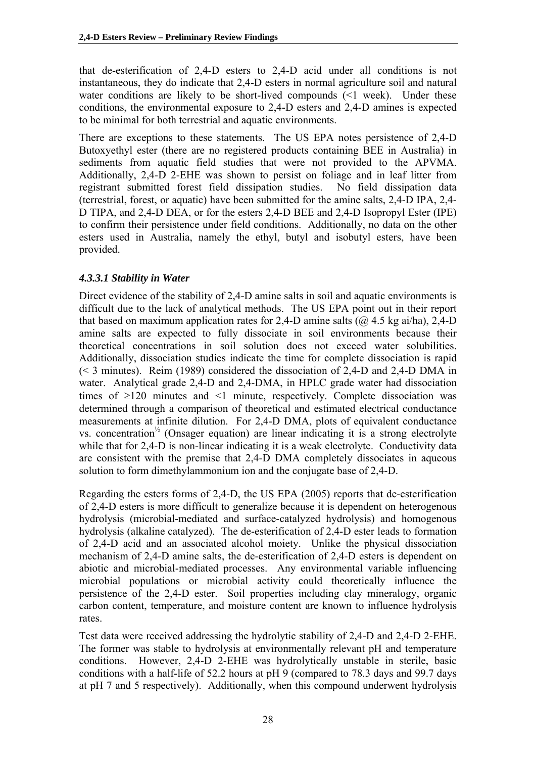<span id="page-27-0"></span>that de-esterification of 2,4-D esters to 2,4-D acid under all conditions is not instantaneous, they do indicate that 2,4-D esters in normal agriculture soil and natural water conditions are likely to be short-lived compounds (<1 week). Under these conditions, the environmental exposure to 2,4-D esters and 2,4-D amines is expected to be minimal for both terrestrial and aquatic environments.

There are exceptions to these statements. The US EPA notes persistence of 2,4-D Butoxyethyl ester (there are no registered products containing BEE in Australia) in sediments from aquatic field studies that were not provided to the APVMA. Additionally, 2,4-D 2-EHE was shown to persist on foliage and in leaf litter from registrant submitted forest field dissipation studies. No field dissipation data (terrestrial, forest, or aquatic) have been submitted for the amine salts, 2,4-D IPA, 2,4- D TIPA, and 2,4-D DEA, or for the esters 2,4-D BEE and 2,4-D Isopropyl Ester (IPE) to confirm their persistence under field conditions. Additionally, no data on the other esters used in Australia, namely the ethyl, butyl and isobutyl esters, have been provided.

### *4.3.3.1 Stability in Water*

Direct evidence of the stability of 2,4-D amine salts in soil and aquatic environments is difficult due to the lack of analytical methods. The US EPA point out in their report that based on maximum application rates for 2,4-D amine salts ( $\omega$ ) 4.5 kg ai/ha), 2,4-D amine salts are expected to fully dissociate in soil environments because their theoretical concentrations in soil solution does not exceed water solubilities. Additionally, dissociation studies indicate the time for complete dissociation is rapid (< 3 minutes). Reim (1989) considered the dissociation of 2,4-D and 2,4-D DMA in water. Analytical grade 2,4-D and 2,4-DMA, in HPLC grade water had dissociation times of  $\geq 120$  minutes and  $\leq 1$  minute, respectively. Complete dissociation was determined through a comparison of theoretical and estimated electrical conductance measurements at infinite dilution. For 2,4-D DMA, plots of equivalent conductance vs. concentration<sup> $\frac{1}{2}$ </sup> (Onsager equation) are linear indicating it is a strong electrolyte while that for 2,4-D is non-linear indicating it is a weak electrolyte. Conductivity data are consistent with the premise that 2,4-D DMA completely dissociates in aqueous solution to form dimethylammonium ion and the conjugate base of 2,4-D.

Regarding the esters forms of 2,4-D, the US EPA (2005) reports that de-esterification of 2,4-D esters is more difficult to generalize because it is dependent on heterogenous hydrolysis (microbial-mediated and surface-catalyzed hydrolysis) and homogenous hydrolysis (alkaline catalyzed). The de-esterification of 2,4-D ester leads to formation of 2,4-D acid and an associated alcohol moiety. Unlike the physical dissociation mechanism of 2,4-D amine salts, the de-esterification of 2,4-D esters is dependent on abiotic and microbial-mediated processes. Any environmental variable influencing microbial populations or microbial activity could theoretically influence the persistence of the 2,4-D ester. Soil properties including clay mineralogy, organic carbon content, temperature, and moisture content are known to influence hydrolysis rates.

Test data were received addressing the hydrolytic stability of 2,4-D and 2,4-D 2-EHE. The former was stable to hydrolysis at environmentally relevant pH and temperature conditions. However, 2,4-D 2-EHE was hydrolytically unstable in sterile, basic conditions with a half-life of 52.2 hours at pH 9 (compared to 78.3 days and 99.7 days at pH 7 and 5 respectively). Additionally, when this compound underwent hydrolysis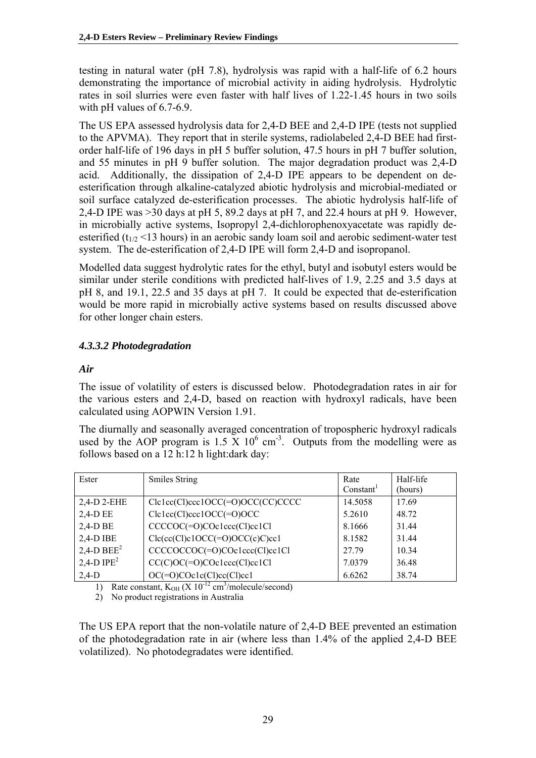<span id="page-28-0"></span>testing in natural water (pH 7.8), hydrolysis was rapid with a half-life of 6.2 hours demonstrating the importance of microbial activity in aiding hydrolysis. Hydrolytic rates in soil slurries were even faster with half lives of 1.22-1.45 hours in two soils with pH values of 6.7-6.9.

The US EPA assessed hydrolysis data for 2,4-D BEE and 2,4-D IPE (tests not supplied to the APVMA). They report that in sterile systems, radiolabeled 2,4-D BEE had firstorder half-life of 196 days in pH 5 buffer solution, 47.5 hours in pH 7 buffer solution, and 55 minutes in pH 9 buffer solution. The major degradation product was 2,4-D acid. Additionally, the dissipation of 2,4-D IPE appears to be dependent on deesterification through alkaline-catalyzed abiotic hydrolysis and microbial-mediated or soil surface catalyzed de-esterification processes. The abiotic hydrolysis half-life of 2,4-D IPE was >30 days at pH 5, 89.2 days at pH 7, and 22.4 hours at pH 9. However, in microbially active systems, Isopropyl 2,4-dichlorophenoxyacetate was rapidly deesterified ( $t_{1/2}$  <13 hours) in an aerobic sandy loam soil and aerobic sediment-water test system. The de-esterification of 2,4-D IPE will form 2,4-D and isopropanol.

Modelled data suggest hydrolytic rates for the ethyl, butyl and isobutyl esters would be similar under sterile conditions with predicted half-lives of 1.9, 2.25 and 3.5 days at pH 8, and 19.1, 22.5 and 35 days at pH 7. It could be expected that de-esterification would be more rapid in microbially active systems based on results discussed above for other longer chain esters.

### *4.3.3.2 Photodegradation*

### *Air*

The issue of volatility of esters is discussed below. Photodegradation rates in air for the various esters and 2,4-D, based on reaction with hydroxyl radicals, have been calculated using AOPWIN Version 1.91.

The diurnally and seasonally averaged concentration of tropospheric hydroxyl radicals used by the AOP program is  $1.5 \times 10^6$  cm<sup>-3</sup>. Outputs from the modelling were as follows based on a 12 h:12 h light:dark day:

| Ester          | Smiles String                      | Rate<br>Constant <sup>1</sup> | Half-life<br>(hours) |
|----------------|------------------------------------|-------------------------------|----------------------|
| 2,4-D 2-EHE    | $Clc1cc(Cl)ccc1OCC(=O)OCC(CC)CCCC$ | 14.5058                       | 17.69                |
| 2,4-D EE       | $Clelec(Cl)ccc1OCC(=O)OCC$         | 5.2610                        | 48.72                |
| 2,4-D BE       | CCCCOC(=O)COc1ccc(Cl)cc1Cl         | 8.1666                        | 31.44                |
| $2,4-D$ IBE    | $Clc$ (cc(Cl)c1OCC(=O)OCC(c)C)cc1  | 8.1582                        | 31.44                |
| 2,4-D BE $E^2$ | $CCCOCCOC (=O) COc1ccc(Cl)cc1Cl$   | 27.79                         | 10.34                |
| 2,4-D IP $E^2$ | $CC(C)OC(=O) COc1ccc(C1)cc1Cl$     | 7.0379                        | 36.48                |
| $2,4-D$        | $OC(=O) COc1c(Cl)cc(Cl)cc1$        | 6.6262                        | 38.74                |

1) Rate constant,  $K_{OH}$  (X  $10^{-12}$  cm<sup>3</sup>/molecule/second)

2) No product registrations in Australia

The US EPA report that the non-volatile nature of 2,4-D BEE prevented an estimation of the photodegradation rate in air (where less than 1.4% of the applied 2,4-D BEE volatilized). No photodegradates were identified.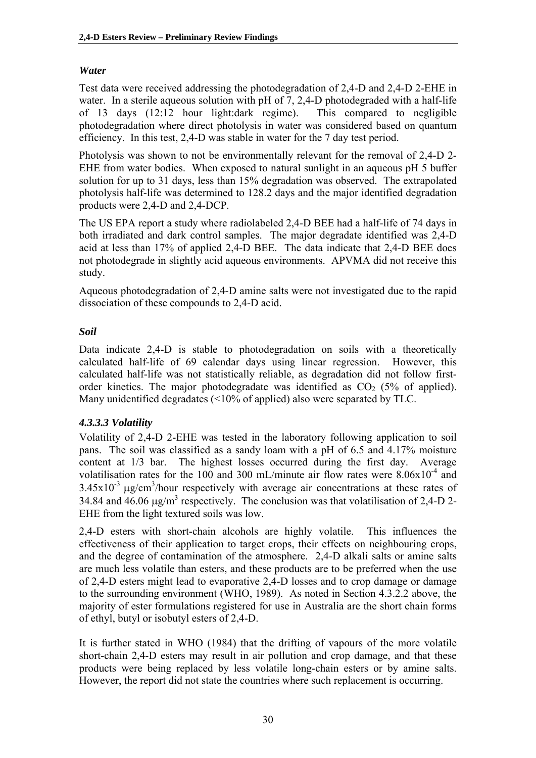### <span id="page-29-0"></span>*Water*

Test data were received addressing the photodegradation of 2,4-D and 2,4-D 2-EHE in water. In a sterile aqueous solution with pH of 7, 2,4-D photodegraded with a half-life of 13 days (12:12 hour light:dark regime). This compared to negligible photodegradation where direct photolysis in water was considered based on quantum efficiency. In this test, 2,4-D was stable in water for the 7 day test period.

Photolysis was shown to not be environmentally relevant for the removal of 2,4-D 2- EHE from water bodies. When exposed to natural sunlight in an aqueous pH 5 buffer solution for up to 31 days, less than 15% degradation was observed. The extrapolated photolysis half-life was determined to 128.2 days and the major identified degradation products were 2,4-D and 2,4-DCP.

The US EPA report a study where radiolabeled 2,4-D BEE had a half-life of 74 days in both irradiated and dark control samples. The major degradate identified was 2,4-D acid at less than 17% of applied 2,4-D BEE. The data indicate that 2,4-D BEE does not photodegrade in slightly acid aqueous environments. APVMA did not receive this study.

Aqueous photodegradation of 2,4-D amine salts were not investigated due to the rapid dissociation of these compounds to 2,4-D acid.

### *Soil*

Data indicate 2,4-D is stable to photodegradation on soils with a theoretically calculated half-life of 69 calendar days using linear regression. However, this calculated half-life was not statistically reliable, as degradation did not follow firstorder kinetics. The major photodegradate was identified as  $CO<sub>2</sub>$  (5% of applied). Many unidentified degradates (<10% of applied) also were separated by TLC.

### *4.3.3.3 Volatility*

Volatility of 2,4-D 2-EHE was tested in the laboratory following application to soil pans. The soil was classified as a sandy loam with a pH of 6.5 and 4.17% moisture content at 1/3 bar. The highest losses occurred during the first day. Average volatilisation rates for the 100 and 300 mL/minute air flow rates were  $8.06x10^{-4}$  and  $3.45x10^{-3}$  µg/cm<sup>3</sup>/hour respectively with average air concentrations at these rates of 34.84 and 46.06  $\mu$ g/m<sup>3</sup> respectively. The conclusion was that volatilisation of 2,4-D 2-EHE from the light textured soils was low.

2,4-D esters with short-chain alcohols are highly volatile. This influences the effectiveness of their application to target crops, their effects on neighbouring crops, and the degree of contamination of the atmosphere. 2,4-D alkali salts or amine salts are much less volatile than esters, and these products are to be preferred when the use of 2,4-D esters might lead to evaporative 2,4-D losses and to crop damage or damage to the surrounding environment (WHO, 1989). As noted in Section 4.3.2.2 above, the majority of ester formulations registered for use in Australia are the short chain forms of ethyl, butyl or isobutyl esters of 2,4-D.

It is further stated in WHO (1984) that the drifting of vapours of the more volatile short-chain 2,4-D esters may result in air pollution and crop damage, and that these products were being replaced by less volatile long-chain esters or by amine salts. However, the report did not state the countries where such replacement is occurring.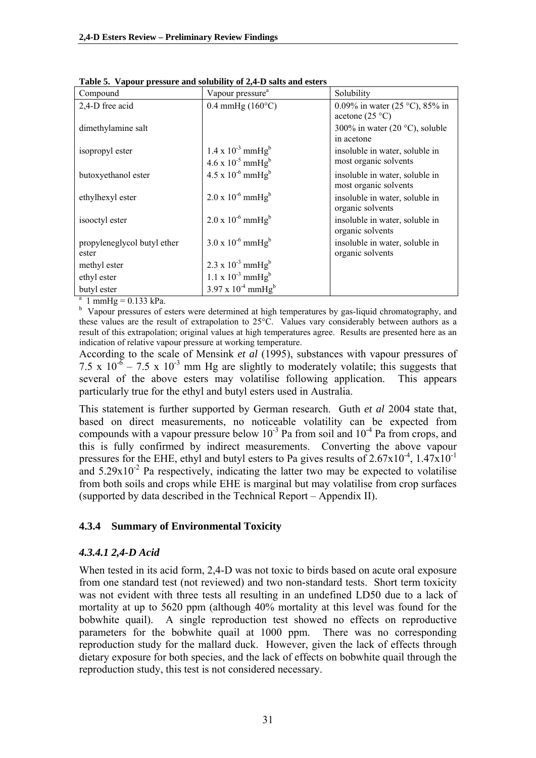| $\cdots$<br>Compound        | Vapour pressure <sup>a</sup>            | Solubility                               |
|-----------------------------|-----------------------------------------|------------------------------------------|
| 2,4-D free acid             | $0.4$ mmHg $(160^{\circ}C)$             | 0.09% in water (25 °C), 85% in           |
|                             |                                         | acetone $(25 °C)$                        |
| dimethylamine salt          |                                         | 300% in water (20 $^{\circ}$ C), soluble |
|                             |                                         | in acetone                               |
| isopropyl ester             | $1.4 \times 10^{-3}$ mmHg <sup>b</sup>  | insoluble in water, soluble in           |
|                             | $4.6 \times 10^{-5}$ mmHg <sup>b</sup>  | most organic solvents                    |
| butoxyethanol ester         | $4.5 \times 10^{-6}$ mmHg <sup>b</sup>  | insoluble in water, soluble in           |
|                             |                                         | most organic solvents                    |
| ethylhexyl ester            | $2.0 \times 10^{-6}$ mmHg <sup>b</sup>  | insoluble in water, soluble in           |
|                             |                                         | organic solvents                         |
| isooctyl ester              | $2.0 \times 10^{-6}$ mmHg <sup>b</sup>  | insoluble in water, soluble in           |
|                             |                                         | organic solvents                         |
| propyleneglycol butyl ether | $3.0 \times 10^{-6}$ mmHg <sup>b</sup>  | insoluble in water, soluble in           |
| ester                       |                                         | organic solvents                         |
| methyl ester                | $2.3 \times 10^{-3}$ mmHg <sup>b</sup>  |                                          |
| ethyl ester                 | $1.1 \times 10^{-3}$ mmHg <sup>b</sup>  |                                          |
| butyl ester                 | $3.97 \times 10^{-4}$ mmHg <sup>b</sup> |                                          |

<span id="page-30-0"></span>**Table 5. Vapour pressure and solubility of 2,4-D salts and esters** 

a  $1$  mmHg = 0.133 kPa.

<sup>b</sup> Vapour pressures of esters were determined at high temperatures by gas-liquid chromatography, and these values are the result of extrapolation to 25°C. Values vary considerably between authors as a result of this extrapolation; original values at high temperatures agree. Results are presented here as an indication of relative vapour pressure at working temperature.

According to the scale of Mensink *et al* (1995), substances with vapour pressures of 7.5 x  $10^{-6}$  – 7.5 x  $10^{-3}$  mm Hg are slightly to moderately volatile; this suggests that several of the above esters may volatilise following application. This appears particularly true for the ethyl and butyl esters used in Australia.

This statement is further supported by German research. Guth *et al* 2004 state that, based on direct measurements, no noticeable volatility can be expected from compounds with a vapour pressure below  $10^{-3}$  Pa from soil and  $10^{-4}$  Pa from crops, and this is fully confirmed by indirect measurements. Converting the above vapour pressures for the EHE, ethyl and butyl esters to Pa gives results of  $2.67 \times 10^{-4}$ ,  $1.47 \times 10^{-1}$ and  $5.29 \times 10^{-2}$  Pa respectively, indicating the latter two may be expected to volatilise from both soils and crops while EHE is marginal but may volatilise from crop surfaces (supported by data described in the Technical Report – Appendix II).

### **4.3.4 Summary of Environmental Toxicity**

### *4.3.4.1 2,4-D Acid*

When tested in its acid form, 2,4-D was not toxic to birds based on acute oral exposure from one standard test (not reviewed) and two non-standard tests. Short term toxicity was not evident with three tests all resulting in an undefined LD50 due to a lack of mortality at up to 5620 ppm (although 40% mortality at this level was found for the bobwhite quail). A single reproduction test showed no effects on reproductive parameters for the bobwhite quail at 1000 ppm. There was no corresponding reproduction study for the mallard duck. However, given the lack of effects through dietary exposure for both species, and the lack of effects on bobwhite quail through the reproduction study, this test is not considered necessary.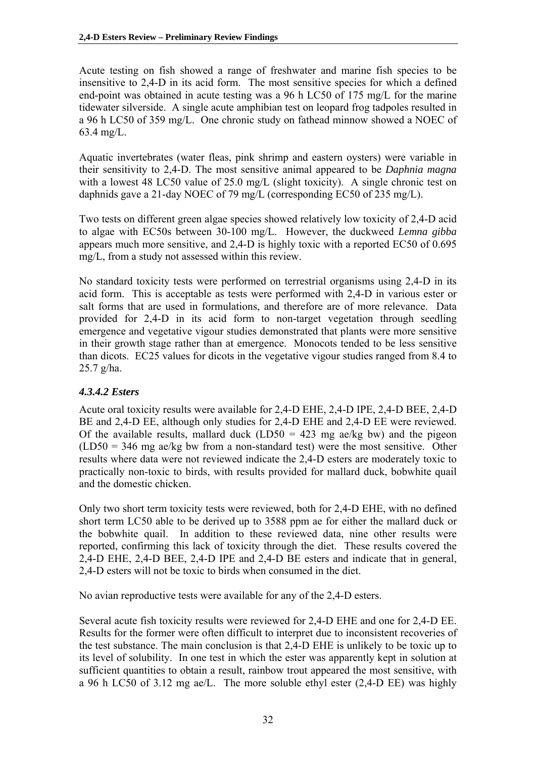<span id="page-31-0"></span>Acute testing on fish showed a range of freshwater and marine fish species to be insensitive to 2,4-D in its acid form. The most sensitive species for which a defined end-point was obtained in acute testing was a 96 h LC50 of 175 mg/L for the marine tidewater silverside. A single acute amphibian test on leopard frog tadpoles resulted in a 96 h LC50 of 359 mg/L. One chronic study on fathead minnow showed a NOEC of 63.4 mg/L.

Aquatic invertebrates (water fleas, pink shrimp and eastern oysters) were variable in their sensitivity to 2,4-D. The most sensitive animal appeared to be *Daphnia magna* with a lowest 48 LC50 value of 25.0 mg/L (slight toxicity). A single chronic test on daphnids gave a 21-day NOEC of 79 mg/L (corresponding EC50 of 235 mg/L).

Two tests on different green algae species showed relatively low toxicity of 2,4-D acid to algae with EC50s between 30-100 mg/L. However, the duckweed *Lemna gibba* appears much more sensitive, and 2,4-D is highly toxic with a reported EC50 of 0.695 mg/L, from a study not assessed within this review.

No standard toxicity tests were performed on terrestrial organisms using 2,4-D in its acid form. This is acceptable as tests were performed with 2,4-D in various ester or salt forms that are used in formulations, and therefore are of more relevance. Data provided for 2,4-D in its acid form to non-target vegetation through seedling emergence and vegetative vigour studies demonstrated that plants were more sensitive in their growth stage rather than at emergence. Monocots tended to be less sensitive than dicots. EC25 values for dicots in the vegetative vigour studies ranged from 8.4 to 25.7 g/ha.

### *4.3.4.2 Esters*

Acute oral toxicity results were available for 2,4-D EHE, 2,4-D IPE, 2,4-D BEE, 2,4-D BE and 2,4-D EE, although only studies for 2,4-D EHE and 2,4-D EE were reviewed. Of the available results, mallard duck  $(LD50 = 423$  mg ae/kg bw) and the pigeon (LD50 = 346 mg ae/kg bw from a non-standard test) were the most sensitive. Other results where data were not reviewed indicate the 2,4-D esters are moderately toxic to practically non-toxic to birds, with results provided for mallard duck, bobwhite quail and the domestic chicken.

Only two short term toxicity tests were reviewed, both for 2,4-D EHE, with no defined short term LC50 able to be derived up to 3588 ppm ae for either the mallard duck or the bobwhite quail. In addition to these reviewed data, nine other results were reported, confirming this lack of toxicity through the diet. These results covered the 2,4-D EHE, 2,4-D BEE, 2,4-D IPE and 2,4-D BE esters and indicate that in general, 2,4-D esters will not be toxic to birds when consumed in the diet.

No avian reproductive tests were available for any of the 2,4-D esters.

Several acute fish toxicity results were reviewed for 2,4-D EHE and one for 2,4-D EE. Results for the former were often difficult to interpret due to inconsistent recoveries of the test substance. The main conclusion is that 2,4-D EHE is unlikely to be toxic up to its level of solubility. In one test in which the ester was apparently kept in solution at sufficient quantities to obtain a result, rainbow trout appeared the most sensitive, with a 96 h LC50 of 3.12 mg ae/L. The more soluble ethyl ester (2,4-D EE) was highly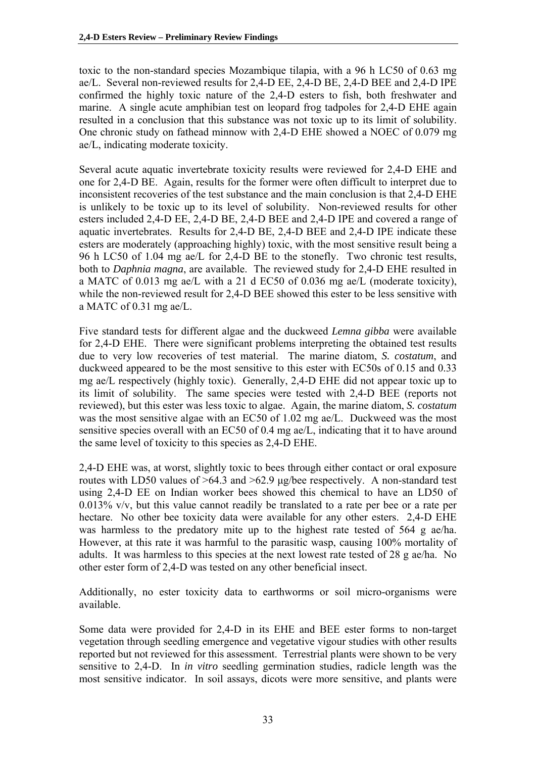toxic to the non-standard species Mozambique tilapia, with a 96 h LC50 of 0.63 mg ae/L. Several non-reviewed results for 2,4-D EE, 2,4-D BE, 2,4-D BEE and 2,4-D IPE confirmed the highly toxic nature of the 2,4-D esters to fish, both freshwater and marine. A single acute amphibian test on leopard frog tadpoles for 2,4-D EHE again resulted in a conclusion that this substance was not toxic up to its limit of solubility. One chronic study on fathead minnow with 2,4-D EHE showed a NOEC of 0.079 mg ae/L, indicating moderate toxicity.

Several acute aquatic invertebrate toxicity results were reviewed for 2,4-D EHE and one for 2,4-D BE. Again, results for the former were often difficult to interpret due to inconsistent recoveries of the test substance and the main conclusion is that 2,4-D EHE is unlikely to be toxic up to its level of solubility. Non-reviewed results for other esters included 2,4-D EE, 2,4-D BE, 2,4-D BEE and 2,4-D IPE and covered a range of aquatic invertebrates. Results for 2,4-D BE, 2,4-D BEE and 2,4-D IPE indicate these esters are moderately (approaching highly) toxic, with the most sensitive result being a 96 h LC50 of 1.04 mg ae/L for 2,4-D BE to the stonefly. Two chronic test results, both to *Daphnia magna*, are available. The reviewed study for 2,4-D EHE resulted in a MATC of 0.013 mg ae/L with a 21 d EC50 of 0.036 mg ae/L (moderate toxicity), while the non-reviewed result for 2,4-D BEE showed this ester to be less sensitive with a MATC of 0.31 mg ae/L.

Five standard tests for different algae and the duckweed *Lemna gibba* were available for 2,4-D EHE. There were significant problems interpreting the obtained test results due to very low recoveries of test material. The marine diatom, *S. costatum*, and duckweed appeared to be the most sensitive to this ester with EC50s of 0.15 and 0.33 mg ae/L respectively (highly toxic). Generally, 2,4-D EHE did not appear toxic up to its limit of solubility. The same species were tested with 2,4-D BEE (reports not reviewed), but this ester was less toxic to algae. Again, the marine diatom, *S. costatum* was the most sensitive algae with an EC50 of 1.02 mg ae/L. Duckweed was the most sensitive species overall with an EC50 of 0.4 mg ae/L, indicating that it to have around the same level of toxicity to this species as 2,4-D EHE.

2,4-D EHE was, at worst, slightly toxic to bees through either contact or oral exposure routes with LD50 values of >64.3 and >62.9 μg/bee respectively. A non-standard test using 2,4-D EE on Indian worker bees showed this chemical to have an LD50 of 0.013% v/v, but this value cannot readily be translated to a rate per bee or a rate per hectare. No other bee toxicity data were available for any other esters. 2.4-D EHE was harmless to the predatory mite up to the highest rate tested of 564 g ae/ha. However, at this rate it was harmful to the parasitic wasp, causing 100% mortality of adults. It was harmless to this species at the next lowest rate tested of 28 g ae/ha. No other ester form of 2,4-D was tested on any other beneficial insect.

Additionally, no ester toxicity data to earthworms or soil micro-organisms were available.

Some data were provided for 2,4-D in its EHE and BEE ester forms to non-target vegetation through seedling emergence and vegetative vigour studies with other results reported but not reviewed for this assessment. Terrestrial plants were shown to be very sensitive to 2,4-D. In *in vitro* seedling germination studies, radicle length was the most sensitive indicator. In soil assays, dicots were more sensitive, and plants were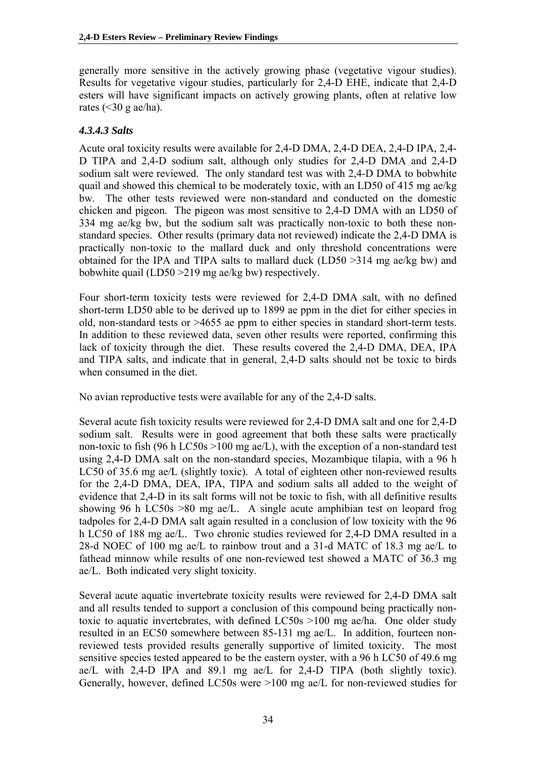<span id="page-33-0"></span>generally more sensitive in the actively growing phase (vegetative vigour studies). Results for vegetative vigour studies, particularly for 2,4-D EHE, indicate that 2,4-D esters will have significant impacts on actively growing plants, often at relative low rates  $(\leq 30$  g ae/ha).

#### *4.3.4.3 Salts*

Acute oral toxicity results were available for 2,4-D DMA, 2,4-D DEA, 2,4-D IPA, 2,4- D TIPA and 2,4-D sodium salt, although only studies for 2,4-D DMA and 2,4-D sodium salt were reviewed. The only standard test was with 2,4-D DMA to bobwhite quail and showed this chemical to be moderately toxic, with an LD50 of 415 mg ae/kg bw. The other tests reviewed were non-standard and conducted on the domestic chicken and pigeon. The pigeon was most sensitive to 2,4-D DMA with an LD50 of 334 mg ae/kg bw, but the sodium salt was practically non-toxic to both these nonstandard species. Other results (primary data not reviewed) indicate the 2,4-D DMA is practically non-toxic to the mallard duck and only threshold concentrations were obtained for the IPA and TIPA salts to mallard duck (LD50 >314 mg ae/kg bw) and bobwhite quail (LD50 >219 mg ae/kg bw) respectively.

Four short-term toxicity tests were reviewed for 2,4-D DMA salt, with no defined short-term LD50 able to be derived up to 1899 ae ppm in the diet for either species in old, non-standard tests or >4655 ae ppm to either species in standard short-term tests. In addition to these reviewed data, seven other results were reported, confirming this lack of toxicity through the diet. These results covered the 2,4-D DMA, DEA, IPA and TIPA salts, and indicate that in general, 2,4-D salts should not be toxic to birds when consumed in the diet.

No avian reproductive tests were available for any of the 2,4-D salts.

Several acute fish toxicity results were reviewed for 2,4-D DMA salt and one for 2,4-D sodium salt. Results were in good agreement that both these salts were practically non-toxic to fish (96 h LC50s >100 mg ae/L), with the exception of a non-standard test using 2,4-D DMA salt on the non-standard species, Mozambique tilapia, with a 96 h LC50 of 35.6 mg ae/L (slightly toxic). A total of eighteen other non-reviewed results for the 2,4-D DMA, DEA, IPA, TIPA and sodium salts all added to the weight of evidence that 2,4-D in its salt forms will not be toxic to fish, with all definitive results showing 96 h LC50s >80 mg ae/L. A single acute amphibian test on leopard frog tadpoles for 2,4-D DMA salt again resulted in a conclusion of low toxicity with the 96 h LC50 of 188 mg ae/L. Two chronic studies reviewed for 2,4-D DMA resulted in a 28-d NOEC of 100 mg ae/L to rainbow trout and a 31-d MATC of 18.3 mg ae/L to fathead minnow while results of one non-reviewed test showed a MATC of 36.3 mg ae/L. Both indicated very slight toxicity.

Several acute aquatic invertebrate toxicity results were reviewed for 2,4-D DMA salt and all results tended to support a conclusion of this compound being practically nontoxic to aquatic invertebrates, with defined LC50s >100 mg ae/ha. One older study resulted in an EC50 somewhere between 85-131 mg ae/L. In addition, fourteen nonreviewed tests provided results generally supportive of limited toxicity. The most sensitive species tested appeared to be the eastern oyster, with a 96 h LC50 of 49.6 mg ae/L with 2,4-D IPA and 89.1 mg ae/L for 2,4-D TIPA (both slightly toxic). Generally, however, defined LC50s were >100 mg ae/L for non-reviewed studies for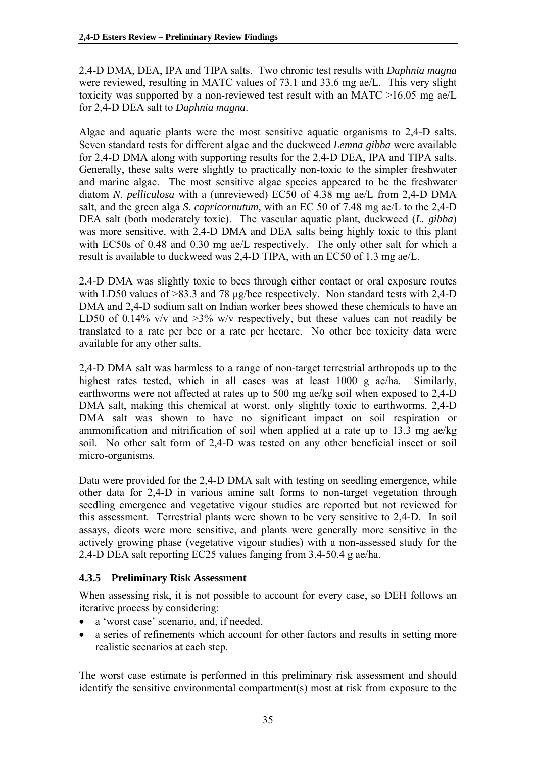<span id="page-34-0"></span>2,4-D DMA, DEA, IPA and TIPA salts. Two chronic test results with *Daphnia magna* were reviewed, resulting in MATC values of 73.1 and 33.6 mg ae/L. This very slight toxicity was supported by a non-reviewed test result with an MATC >16.05 mg ae/L for 2,4-D DEA salt to *Daphnia magna*.

Algae and aquatic plants were the most sensitive aquatic organisms to 2,4-D salts. Seven standard tests for different algae and the duckweed *Lemna gibba* were available for 2,4-D DMA along with supporting results for the 2,4-D DEA, IPA and TIPA salts. Generally, these salts were slightly to practically non-toxic to the simpler freshwater and marine algae. The most sensitive algae species appeared to be the freshwater diatom *N. pelliculosa* with a (unreviewed) EC50 of 4.38 mg ae/L from 2,4-D DMA salt, and the green alga *S. capricornutum,* with an EC 50 of 7.48 mg ae/L to the 2,4-D DEA salt (both moderately toxic). The vascular aquatic plant, duckweed (*L. gibba*) was more sensitive, with 2,4-D DMA and DEA salts being highly toxic to this plant with EC50s of 0.48 and 0.30 mg ae/L respectively. The only other salt for which a result is available to duckweed was 2,4-D TIPA, with an EC50 of 1.3 mg ae/L.

2,4-D DMA was slightly toxic to bees through either contact or oral exposure routes with LD50 values of >83.3 and 78 μg/bee respectively. Non standard tests with 2,4-D DMA and 2,4-D sodium salt on Indian worker bees showed these chemicals to have an LD50 of 0.14% v/v and >3% w/v respectively, but these values can not readily be translated to a rate per bee or a rate per hectare. No other bee toxicity data were available for any other salts.

2,4-D DMA salt was harmless to a range of non-target terrestrial arthropods up to the highest rates tested, which in all cases was at least 1000 g ae/ha. Similarly, earthworms were not affected at rates up to 500 mg ae/kg soil when exposed to 2,4-D DMA salt, making this chemical at worst, only slightly toxic to earthworms. 2,4-D DMA salt was shown to have no significant impact on soil respiration or ammonification and nitrification of soil when applied at a rate up to 13.3 mg ae/kg soil. No other salt form of 2,4-D was tested on any other beneficial insect or soil micro-organisms.

Data were provided for the 2,4-D DMA salt with testing on seedling emergence, while other data for 2,4-D in various amine salt forms to non-target vegetation through seedling emergence and vegetative vigour studies are reported but not reviewed for this assessment. Terrestrial plants were shown to be very sensitive to 2,4-D. In soil assays, dicots were more sensitive, and plants were generally more sensitive in the actively growing phase (vegetative vigour studies) with a non-assessed study for the 2,4-D DEA salt reporting EC25 values fanging from 3.4-50.4 g ae/ha.

### **4.3.5 Preliminary Risk Assessment**

When assessing risk, it is not possible to account for every case, so DEH follows an iterative process by considering:

- a 'worst case' scenario, and, if needed,
- a series of refinements which account for other factors and results in setting more realistic scenarios at each step.

The worst case estimate is performed in this preliminary risk assessment and should identify the sensitive environmental compartment(s) most at risk from exposure to the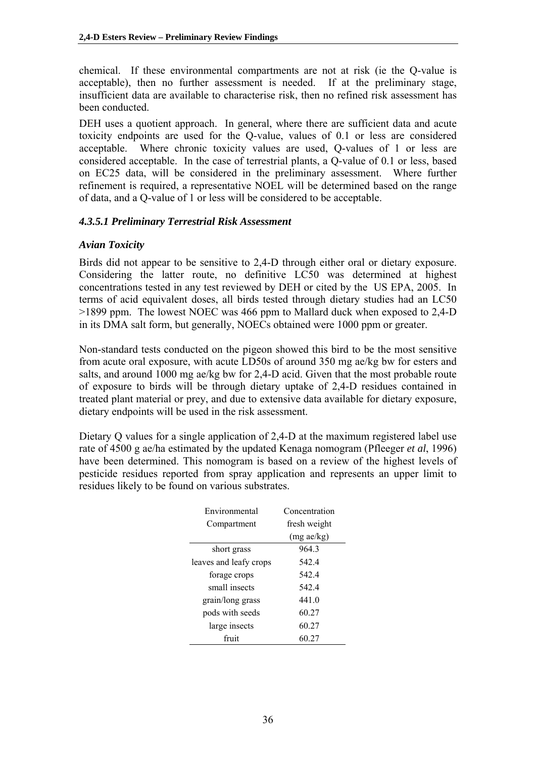<span id="page-35-0"></span>chemical. If these environmental compartments are not at risk (ie the Q-value is acceptable), then no further assessment is needed. If at the preliminary stage, insufficient data are available to characterise risk, then no refined risk assessment has been conducted.

DEH uses a quotient approach. In general, where there are sufficient data and acute toxicity endpoints are used for the Q-value, values of 0.1 or less are considered acceptable. Where chronic toxicity values are used, Q-values of 1 or less are considered acceptable. In the case of terrestrial plants, a Q-value of 0.1 or less, based on EC25 data, will be considered in the preliminary assessment. Where further refinement is required, a representative NOEL will be determined based on the range of data, and a Q-value of 1 or less will be considered to be acceptable.

### *4.3.5.1 Preliminary Terrestrial Risk Assessment*

#### *Avian Toxicity*

Birds did not appear to be sensitive to 2,4-D through either oral or dietary exposure. Considering the latter route, no definitive LC50 was determined at highest concentrations tested in any test reviewed by DEH or cited by the US EPA, 2005. In terms of acid equivalent doses, all birds tested through dietary studies had an LC50 >1899 ppm. The lowest NOEC was 466 ppm to Mallard duck when exposed to 2,4-D in its DMA salt form, but generally, NOECs obtained were 1000 ppm or greater.

Non-standard tests conducted on the pigeon showed this bird to be the most sensitive from acute oral exposure, with acute LD50s of around 350 mg ae/kg bw for esters and salts, and around 1000 mg ae/kg bw for 2,4-D acid. Given that the most probable route of exposure to birds will be through dietary uptake of 2,4-D residues contained in treated plant material or prey, and due to extensive data available for dietary exposure, dietary endpoints will be used in the risk assessment.

Dietary Q values for a single application of 2,4-D at the maximum registered label use rate of 4500 g ae/ha estimated by the updated Kenaga nomogram (Pfleeger *et al*, 1996) have been determined. This nomogram is based on a review of the highest levels of pesticide residues reported from spray application and represents an upper limit to residues likely to be found on various substrates.

| Environmental          | Concentration    |
|------------------------|------------------|
| Compartment            | fresh weight     |
|                        | $(mg \t{ae/kg})$ |
| short grass            | 964.3            |
| leaves and leafy crops | 542.4            |
| forage crops           | 542.4            |
| small insects          | 542.4            |
| grain/long grass       | 441.0            |
| pods with seeds        | 60.27            |
| large insects          | 60.27            |
| fruit                  | 60.27            |
|                        |                  |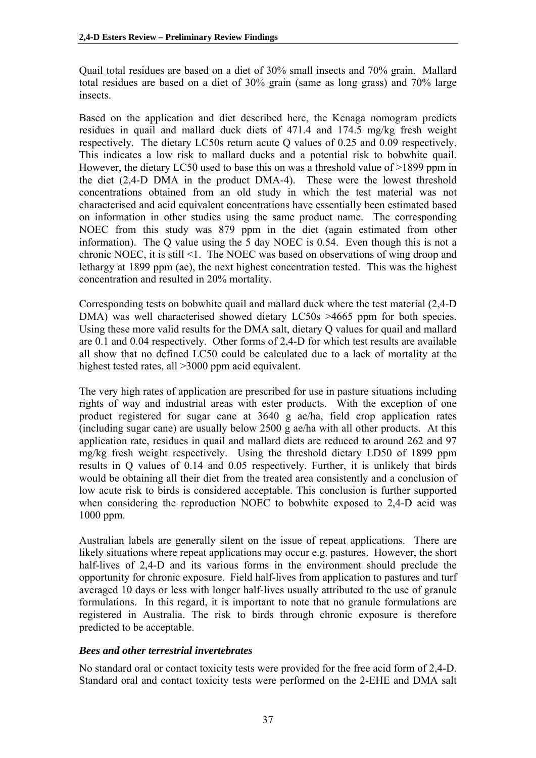Quail total residues are based on a diet of 30% small insects and 70% grain. Mallard total residues are based on a diet of 30% grain (same as long grass) and 70% large insects.

Based on the application and diet described here, the Kenaga nomogram predicts residues in quail and mallard duck diets of 471.4 and 174.5 mg/kg fresh weight respectively. The dietary LC50s return acute Q values of 0.25 and 0.09 respectively. This indicates a low risk to mallard ducks and a potential risk to bobwhite quail. However, the dietary LC50 used to base this on was a threshold value of >1899 ppm in the diet (2,4-D DMA in the product DMA-4). These were the lowest threshold concentrations obtained from an old study in which the test material was not characterised and acid equivalent concentrations have essentially been estimated based on information in other studies using the same product name. The corresponding NOEC from this study was 879 ppm in the diet (again estimated from other information). The Q value using the 5 day NOEC is 0.54. Even though this is not a chronic NOEC, it is still <1. The NOEC was based on observations of wing droop and lethargy at 1899 ppm (ae), the next highest concentration tested. This was the highest concentration and resulted in 20% mortality.

Corresponding tests on bobwhite quail and mallard duck where the test material (2,4-D DMA) was well characterised showed dietary LC50s >4665 ppm for both species. Using these more valid results for the DMA salt, dietary Q values for quail and mallard are 0.1 and 0.04 respectively. Other forms of 2,4-D for which test results are available all show that no defined LC50 could be calculated due to a lack of mortality at the highest tested rates, all  $>3000$  ppm acid equivalent.

The very high rates of application are prescribed for use in pasture situations including rights of way and industrial areas with ester products. With the exception of one product registered for sugar cane at 3640 g ae/ha, field crop application rates (including sugar cane) are usually below 2500 g ae/ha with all other products. At this application rate, residues in quail and mallard diets are reduced to around 262 and 97 mg/kg fresh weight respectively. Using the threshold dietary LD50 of 1899 ppm results in Q values of 0.14 and 0.05 respectively. Further, it is unlikely that birds would be obtaining all their diet from the treated area consistently and a conclusion of low acute risk to birds is considered acceptable. This conclusion is further supported when considering the reproduction NOEC to bobwhite exposed to 2,4-D acid was 1000 ppm.

Australian labels are generally silent on the issue of repeat applications. There are likely situations where repeat applications may occur e.g. pastures. However, the short half-lives of 2,4-D and its various forms in the environment should preclude the opportunity for chronic exposure. Field half-lives from application to pastures and turf averaged 10 days or less with longer half-lives usually attributed to the use of granule formulations. In this regard, it is important to note that no granule formulations are registered in Australia. The risk to birds through chronic exposure is therefore predicted to be acceptable.

# *Bees and other terrestrial invertebrates*

No standard oral or contact toxicity tests were provided for the free acid form of 2,4-D. Standard oral and contact toxicity tests were performed on the 2-EHE and DMA salt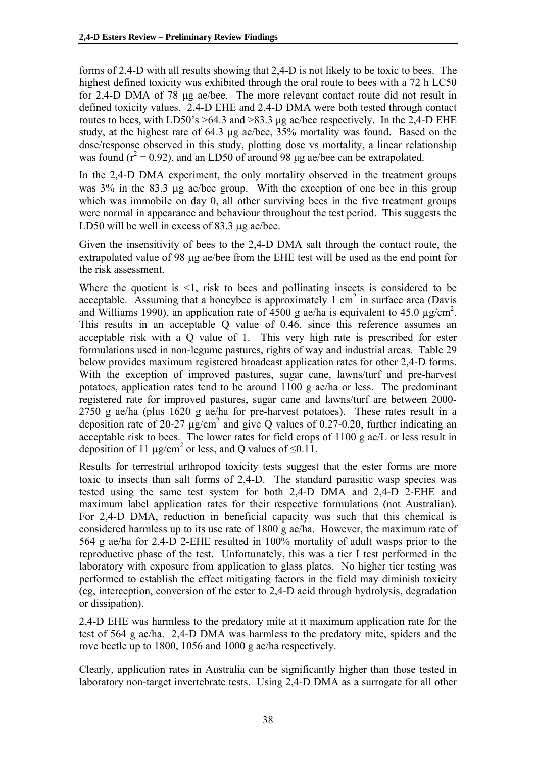forms of 2,4-D with all results showing that 2,4-D is not likely to be toxic to bees. The highest defined toxicity was exhibited through the oral route to bees with a 72 h LC50 for 2,4-D DMA of 78 μg ae/bee. The more relevant contact route did not result in defined toxicity values. 2,4-D EHE and 2,4-D DMA were both tested through contact routes to bees, with LD50's >64.3 and >83.3 μg ae/bee respectively. In the 2,4-D EHE study, at the highest rate of 64.3 μg ae/bee, 35% mortality was found. Based on the dose/response observed in this study, plotting dose vs mortality, a linear relationship was found ( $r^2$  = 0.92), and an LD50 of around 98 µg ae/bee can be extrapolated.

In the 2,4-D DMA experiment, the only mortality observed in the treatment groups was 3% in the 83.3 μg ae/bee group. With the exception of one bee in this group which was immobile on day 0, all other surviving bees in the five treatment groups were normal in appearance and behaviour throughout the test period. This suggests the LD50 will be well in excess of 83.3 μg ae/bee.

Given the insensitivity of bees to the 2,4-D DMA salt through the contact route, the extrapolated value of 98 μg ae/bee from the EHE test will be used as the end point for the risk assessment.

Where the quotient is  $\leq 1$ , risk to bees and pollinating insects is considered to be acceptable. Assuming that a honeybee is approximately 1 cm<sup>2</sup> in surface area (Davis and Williams 1990), an application rate of  $\overline{4500}$  g ae/ha is equivalent to  $\overline{45.0}$   $\mu$ g/cm<sup>2</sup>. This results in an acceptable Q value of 0.46, since this reference assumes an acceptable risk with a Q value of 1. This very high rate is prescribed for ester formulations used in non-legume pastures, rights of way and industrial areas. Table 29 below provides maximum registered broadcast application rates for other 2,4-D forms. With the exception of improved pastures, sugar cane, lawns/turf and pre-harvest potatoes, application rates tend to be around 1100 g ae/ha or less. The predominant registered rate for improved pastures, sugar cane and lawns/turf are between 2000- 2750 g ae/ha (plus 1620 g ae/ha for pre-harvest potatoes). These rates result in a deposition rate of 20-27  $\mu$ g/cm<sup>2</sup> and give Q values of 0.27-0.20, further indicating an acceptable risk to bees. The lower rates for field crops of 1100 g ae/L or less result in deposition of 11  $\mu$ g/cm<sup>2</sup> or less, and Q values of  $\leq 0.11$ .

Results for terrestrial arthropod toxicity tests suggest that the ester forms are more toxic to insects than salt forms of 2,4-D. The standard parasitic wasp species was tested using the same test system for both 2,4-D DMA and 2,4-D 2-EHE and maximum label application rates for their respective formulations (not Australian). For 2,4-D DMA, reduction in beneficial capacity was such that this chemical is considered harmless up to its use rate of 1800 g ae/ha. However, the maximum rate of 564 g ae/ha for 2,4-D 2-EHE resulted in 100% mortality of adult wasps prior to the reproductive phase of the test. Unfortunately, this was a tier I test performed in the laboratory with exposure from application to glass plates. No higher tier testing was performed to establish the effect mitigating factors in the field may diminish toxicity (eg, interception, conversion of the ester to 2,4-D acid through hydrolysis, degradation or dissipation).

2,4-D EHE was harmless to the predatory mite at it maximum application rate for the test of 564 g ae/ha. 2,4-D DMA was harmless to the predatory mite, spiders and the rove beetle up to 1800, 1056 and 1000 g ae/ha respectively.

Clearly, application rates in Australia can be significantly higher than those tested in laboratory non-target invertebrate tests. Using 2,4-D DMA as a surrogate for all other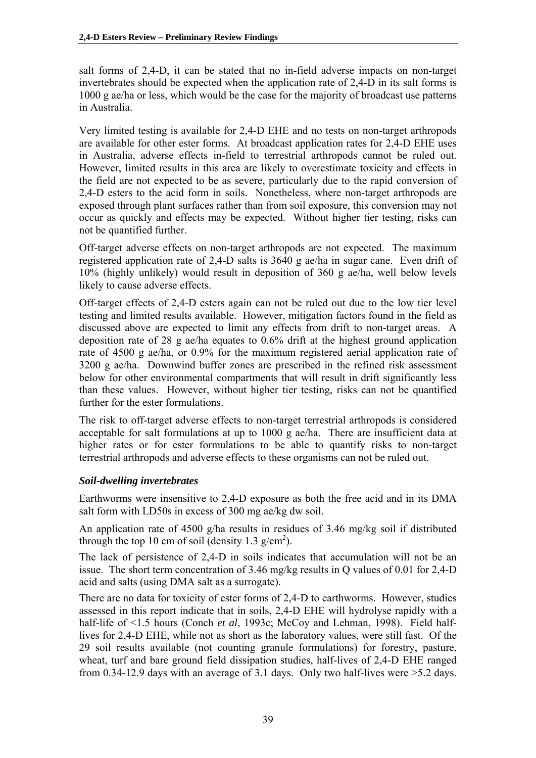salt forms of 2,4-D, it can be stated that no in-field adverse impacts on non-target invertebrates should be expected when the application rate of 2,4-D in its salt forms is 1000 g ae/ha or less, which would be the case for the majority of broadcast use patterns in Australia.

Very limited testing is available for 2,4-D EHE and no tests on non-target arthropods are available for other ester forms. At broadcast application rates for 2,4-D EHE uses in Australia, adverse effects in-field to terrestrial arthropods cannot be ruled out. However, limited results in this area are likely to overestimate toxicity and effects in the field are not expected to be as severe, particularly due to the rapid conversion of 2,4-D esters to the acid form in soils. Nonetheless, where non-target arthropods are exposed through plant surfaces rather than from soil exposure, this conversion may not occur as quickly and effects may be expected. Without higher tier testing, risks can not be quantified further.

Off-target adverse effects on non-target arthropods are not expected. The maximum registered application rate of 2,4-D salts is 3640 g ae/ha in sugar cane. Even drift of 10% (highly unlikely) would result in deposition of 360 g ae/ha, well below levels likely to cause adverse effects.

Off-target effects of 2,4-D esters again can not be ruled out due to the low tier level testing and limited results available. However, mitigation factors found in the field as discussed above are expected to limit any effects from drift to non-target areas. A deposition rate of 28 g ae/ha equates to  $0.6\%$  drift at the highest ground application rate of 4500 g ae/ha, or 0.9% for the maximum registered aerial application rate of 3200 g ae/ha. Downwind buffer zones are prescribed in the refined risk assessment below for other environmental compartments that will result in drift significantly less than these values. However, without higher tier testing, risks can not be quantified further for the ester formulations.

The risk to off-target adverse effects to non-target terrestrial arthropods is considered acceptable for salt formulations at up to 1000 g ae/ha. There are insufficient data at higher rates or for ester formulations to be able to quantify risks to non-target terrestrial arthropods and adverse effects to these organisms can not be ruled out.

# *Soil-dwelling invertebrates*

Earthworms were insensitive to 2,4-D exposure as both the free acid and in its DMA salt form with LD50s in excess of 300 mg ae/kg dw soil.

An application rate of 4500 g/ha results in residues of 3.46 mg/kg soil if distributed through the top 10 cm of soil (density 1.3  $g/cm<sup>2</sup>$ ).

The lack of persistence of 2,4-D in soils indicates that accumulation will not be an issue. The short term concentration of 3.46 mg/kg results in Q values of 0.01 for 2,4-D acid and salts (using DMA salt as a surrogate).

There are no data for toxicity of ester forms of 2,4-D to earthworms. However, studies assessed in this report indicate that in soils, 2,4-D EHE will hydrolyse rapidly with a half-life of <1.5 hours (Conch *et al*, 1993c; McCoy and Lehman, 1998). Field halflives for 2,4-D EHE, while not as short as the laboratory values, were still fast. Of the 29 soil results available (not counting granule formulations) for forestry, pasture, wheat, turf and bare ground field dissipation studies, half-lives of 2,4-D EHE ranged from 0.34-12.9 days with an average of 3.1 days. Only two half-lives were >5.2 days.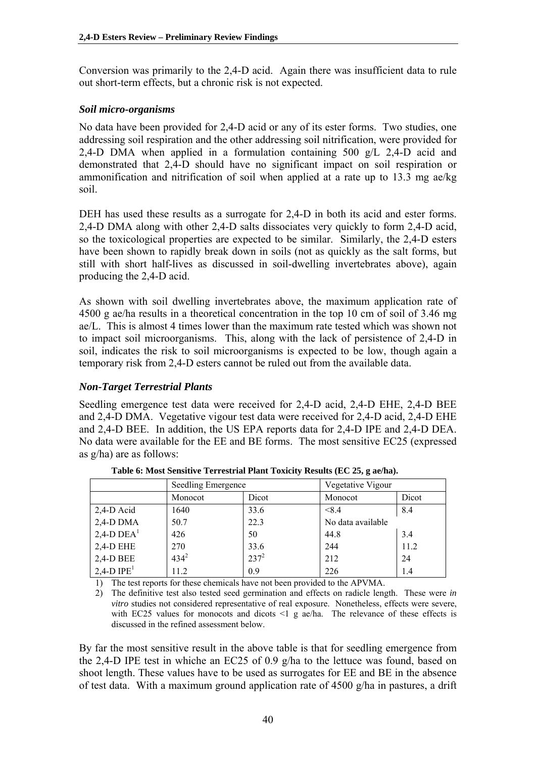Conversion was primarily to the 2,4-D acid. Again there was insufficient data to rule out short-term effects, but a chronic risk is not expected.

### *Soil micro-organisms*

No data have been provided for 2,4-D acid or any of its ester forms. Two studies, one addressing soil respiration and the other addressing soil nitrification, were provided for 2,4-D DMA when applied in a formulation containing 500 g/L 2,4-D acid and demonstrated that 2,4-D should have no significant impact on soil respiration or ammonification and nitrification of soil when applied at a rate up to 13.3 mg ae/kg soil.

DEH has used these results as a surrogate for 2,4-D in both its acid and ester forms. 2,4-D DMA along with other 2,4-D salts dissociates very quickly to form 2,4-D acid, so the toxicological properties are expected to be similar. Similarly, the 2,4-D esters have been shown to rapidly break down in soils (not as quickly as the salt forms, but still with short half-lives as discussed in soil-dwelling invertebrates above), again producing the 2,4-D acid.

As shown with soil dwelling invertebrates above, the maximum application rate of 4500 g ae/ha results in a theoretical concentration in the top 10 cm of soil of 3.46 mg ae/L. This is almost 4 times lower than the maximum rate tested which was shown not to impact soil microorganisms. This, along with the lack of persistence of 2,4-D in soil, indicates the risk to soil microorganisms is expected to be low, though again a temporary risk from 2,4-D esters cannot be ruled out from the available data.

# *Non-Target Terrestrial Plants*

Seedling emergence test data were received for 2,4-D acid, 2,4-D EHE, 2,4-D BEE and 2,4-D DMA. Vegetative vigour test data were received for 2,4-D acid, 2,4-D EHE and 2,4-D BEE. In addition, the US EPA reports data for 2,4-D IPE and 2,4-D DEA. No data were available for the EE and BE forms. The most sensitive EC25 (expressed as g/ha) are as follows:

|                        | Seedling Emergence          |         | Vegetative Vigour |       |
|------------------------|-----------------------------|---------|-------------------|-------|
|                        | Dicot<br>Monocot<br>Monocot |         |                   | Dicot |
| $2,4-D$ Acid           | 1640                        | 33.6    | < 8.4             | 8.4   |
| 2,4-D DMA              | 50.7                        | 22.3    | No data available |       |
| 2,4-D DEA $^1$         | 426                         | 50      | 3.4<br>44.8       |       |
| $2,4$ -D EHE           | 270                         | 33.6    | 244<br>11.2       |       |
| 2,4-D BEE              | $434^{2}$                   | $237^2$ | 212<br>24         |       |
| 2,4-D IPE <sup>1</sup> | 11.2                        | 0.9     | 226<br>1.4        |       |

**Table 6: Most Sensitive Terrestrial Plant Toxicity Results (EC 25, g ae/ha).** 

1) The test reports for these chemicals have not been provided to the APVMA.

2) The definitive test also tested seed germination and effects on radicle length. These were *in vitro* studies not considered representative of real exposure. Nonetheless, effects were severe, with EC25 values for monocots and dicots  $\leq 1$  g ae/ha. The relevance of these effects is discussed in the refined assessment below.

By far the most sensitive result in the above table is that for seedling emergence from the 2,4-D IPE test in whiche an EC25 of 0.9 g/ha to the lettuce was found, based on shoot length. These values have to be used as surrogates for EE and BE in the absence of test data. With a maximum ground application rate of 4500 g/ha in pastures, a drift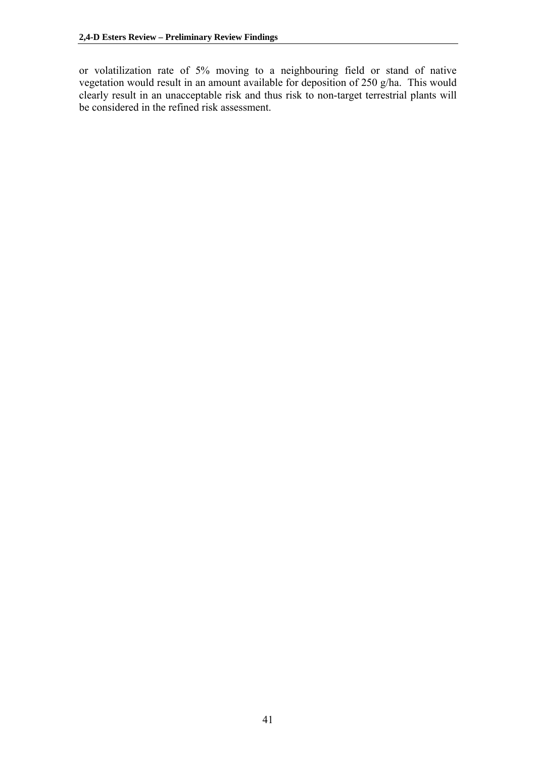or volatilization rate of 5% moving to a neighbouring field or stand of native vegetation would result in an amount available for deposition of 250 g/ha. This would clearly result in an unacceptable risk and thus risk to non-target terrestrial plants will be considered in the refined risk assessment.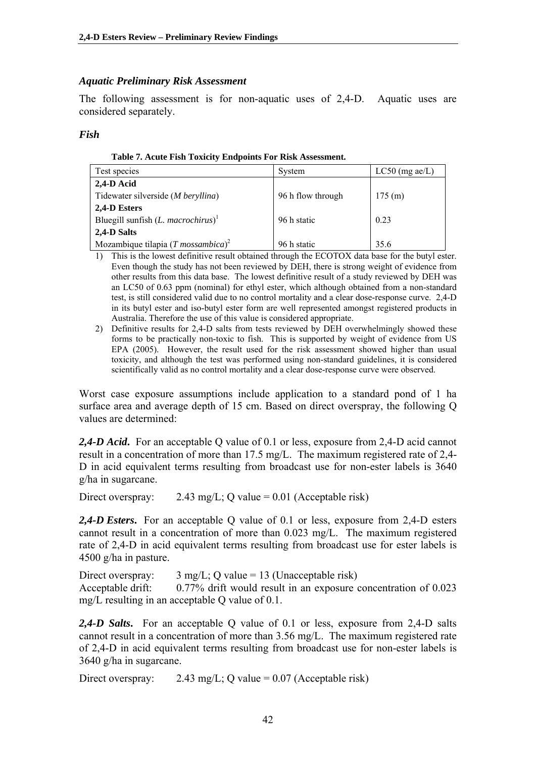### *Aquatic Preliminary Risk Assessment*

The following assessment is for non-aquatic uses of 2,4-D. Aquatic uses are considered separately.

### *Fish*

| Test species                                           | System            | $LC50$ (mg ae/L) |
|--------------------------------------------------------|-------------------|------------------|
| $2,4-D$ Acid                                           |                   |                  |
| Tidewater silverside (M beryllina)                     | 96 h flow through | 175(m)           |
| 2,4-D Esters                                           |                   |                  |
| Bluegill sunfish $(L.$ macrochirus) <sup>1</sup>       | 96 h static       | 0.23             |
| 2,4-D Salts                                            |                   |                  |
| Mozambique tilapia ( <i>T</i> mossambica) <sup>2</sup> | 96 h static       | 35.6             |

- 1) This is the lowest definitive result obtained through the ECOTOX data base for the butyl ester. Even though the study has not been reviewed by DEH, there is strong weight of evidence from other results from this data base. The lowest definitive result of a study reviewed by DEH was an LC50 of 0.63 ppm (nominal) for ethyl ester, which although obtained from a non-standard test, is still considered valid due to no control mortality and a clear dose-response curve. 2,4-D in its butyl ester and iso-butyl ester form are well represented amongst registered products in Australia. Therefore the use of this value is considered appropriate.
- 2) Definitive results for 2,4-D salts from tests reviewed by DEH overwhelmingly showed these forms to be practically non-toxic to fish. This is supported by weight of evidence from US EPA (2005). However, the result used for the risk assessment showed higher than usual toxicity, and although the test was performed using non-standard guidelines, it is considered scientifically valid as no control mortality and a clear dose-response curve were observed.

Worst case exposure assumptions include application to a standard pond of 1 ha surface area and average depth of 15 cm. Based on direct overspray, the following Q values are determined:

*2,4-D Acid***.** For an acceptable Q value of 0.1 or less, exposure from 2,4-D acid cannot result in a concentration of more than 17.5 mg/L. The maximum registered rate of 2,4- D in acid equivalent terms resulting from broadcast use for non-ester labels is 3640 g/ha in sugarcane.

Direct overspray: 2.43 mg/L; Q value =  $0.01$  (Acceptable risk)

*2,4-D Esters***.** For an acceptable Q value of 0.1 or less, exposure from 2,4-D esters cannot result in a concentration of more than 0.023 mg/L. The maximum registered rate of 2,4-D in acid equivalent terms resulting from broadcast use for ester labels is 4500 g/ha in pasture.

Direct overspray:  $3 \text{ mg/L}$ ; Q value = 13 (Unacceptable risk) Acceptable drift: 0.77% drift would result in an exposure concentration of 0.023 mg/L resulting in an acceptable Q value of 0.1.

*2,4-D Salts***.** For an acceptable Q value of 0.1 or less, exposure from 2,4-D salts cannot result in a concentration of more than 3.56 mg/L. The maximum registered rate of 2,4-D in acid equivalent terms resulting from broadcast use for non-ester labels is 3640 g/ha in sugarcane.

Direct overspray:  $2.43 \text{ mg/L}$ ; Q value = 0.07 (Acceptable risk)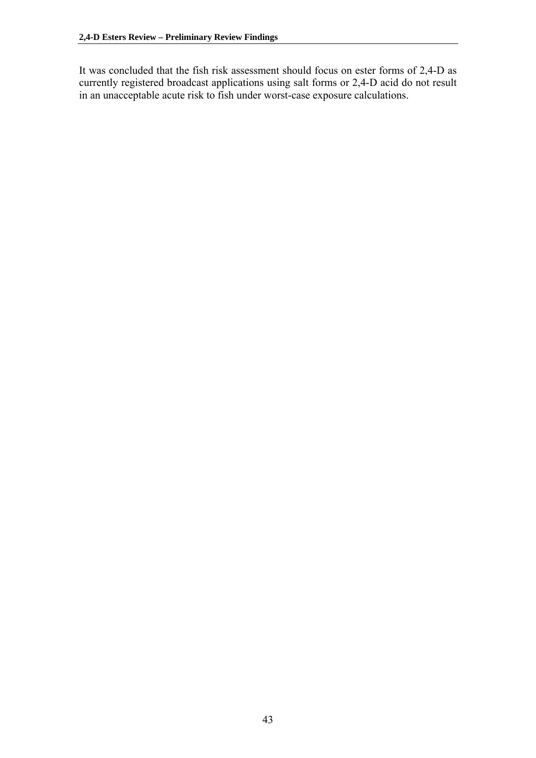It was concluded that the fish risk assessment should focus on ester forms of 2,4-D as currently registered broadcast applications using salt forms or 2,4-D acid do not result in an unacceptable acute risk to fish under worst-case exposure calculations.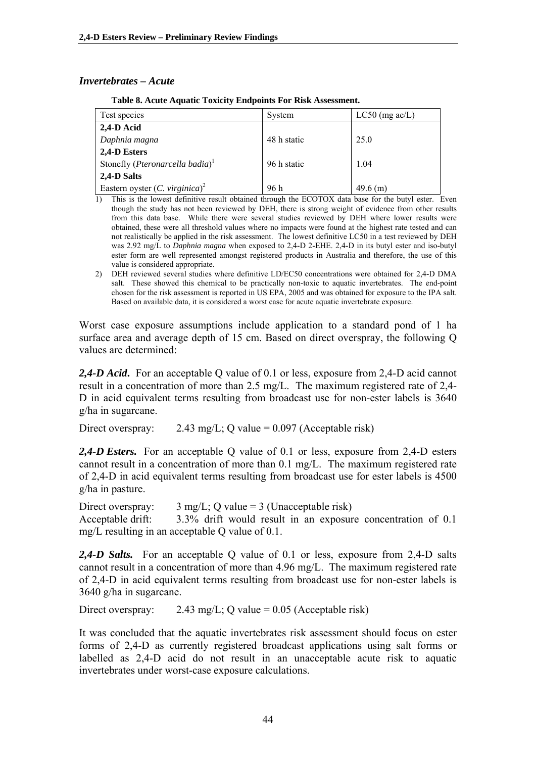### *Invertebrates – Acute*

| Test species                                         | System      | $LC50$ (mg ae/L) |
|------------------------------------------------------|-------------|------------------|
| $2,4-D$ Acid                                         |             |                  |
| Daphnia magna                                        | 48 h static | 25.0             |
| 2,4-D Esters                                         |             |                  |
| Stonefly ( <i>Pteronarcella badia</i> ) <sup>1</sup> | 96 h static | 1.04             |
| 2,4-D Salts                                          |             |                  |
| Eastern oyster ( <i>C. virginica</i> ) <sup>2</sup>  | 96 h        | $49.6$ (m)       |

1) This is the lowest definitive result obtained through the ECOTOX data base for the butyl ester. Even though the study has not been reviewed by DEH, there is strong weight of evidence from other results from this data base. While there were several studies reviewed by DEH where lower results were obtained, these were all threshold values where no impacts were found at the highest rate tested and can not realistically be applied in the risk assessment. The lowest definitive LC50 in a test reviewed by DEH was 2.92 mg/L to *Daphnia magna* when exposed to 2,4-D 2-EHE. 2,4-D in its butyl ester and iso-butyl ester form are well represented amongst registered products in Australia and therefore, the use of this value is considered appropriate.

2) DEH reviewed several studies where definitive LD/EC50 concentrations were obtained for 2,4-D DMA salt. These showed this chemical to be practically non-toxic to aquatic invertebrates. The end-point chosen for the risk assessment is reported in US EPA, 2005 and was obtained for exposure to the IPA salt. Based on available data, it is considered a worst case for acute aquatic invertebrate exposure.

Worst case exposure assumptions include application to a standard pond of 1 ha surface area and average depth of 15 cm. Based on direct overspray, the following Q values are determined:

*2,4-D Acid***.** For an acceptable Q value of 0.1 or less, exposure from 2,4-D acid cannot result in a concentration of more than 2.5 mg/L. The maximum registered rate of 2,4- D in acid equivalent terms resulting from broadcast use for non-ester labels is 3640 g/ha in sugarcane.

Direct overspray:  $2.43 \text{ mg/L}$ ; O value = 0.097 (Acceptable risk)

*2,4-D Esters.* For an acceptable Q value of 0.1 or less, exposure from 2,4-D esters cannot result in a concentration of more than 0.1 mg/L. The maximum registered rate of 2,4-D in acid equivalent terms resulting from broadcast use for ester labels is 4500 g/ha in pasture.

Direct overspray:  $3 \text{ mg/L}$ ; Q value = 3 (Unacceptable risk) Acceptable drift: 3.3% drift would result in an exposure concentration of 0.1 mg/L resulting in an acceptable Q value of 0.1.

*2,4-D Salts.* For an acceptable Q value of 0.1 or less, exposure from 2,4-D salts cannot result in a concentration of more than 4.96 mg/L. The maximum registered rate of 2,4-D in acid equivalent terms resulting from broadcast use for non-ester labels is 3640 g/ha in sugarcane.

Direct overspray: 2.43 mg/L; Q value =  $0.05$  (Acceptable risk)

It was concluded that the aquatic invertebrates risk assessment should focus on ester forms of 2,4-D as currently registered broadcast applications using salt forms or labelled as 2,4-D acid do not result in an unacceptable acute risk to aquatic invertebrates under worst-case exposure calculations.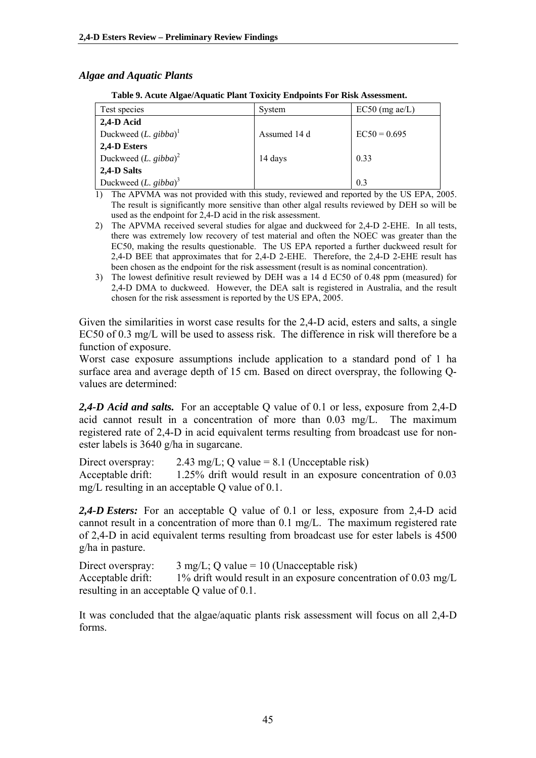### *Algae and Aquatic Plants*

| Table 9. Acute Algae/Aquatic Plant Toxicity Endpoints For Risk Assessment. |  |  |
|----------------------------------------------------------------------------|--|--|
|                                                                            |  |  |

| Test species                    | System       | $EC50$ (mg ae/L) |
|---------------------------------|--------------|------------------|
| $2,4-D$ Acid                    |              |                  |
| Duckweed $(L, gibba)^{1}$       | Assumed 14 d | $EC50 = 0.695$   |
| 2,4-D Esters                    |              |                  |
| Duckweed $(L. \text{ gibba})^2$ | 14 days      | 0.33             |
| 2,4-D Salts                     |              |                  |
| Duckweed $(L, gibba)^3$         |              | 0.3              |

1) The APVMA was not provided with this study, reviewed and reported by the US EPA, 2005. The result is significantly more sensitive than other algal results reviewed by DEH so will be used as the endpoint for 2,4-D acid in the risk assessment.

- 2) The APVMA received several studies for algae and duckweed for 2,4-D 2-EHE. In all tests, there was extremely low recovery of test material and often the NOEC was greater than the EC50, making the results questionable. The US EPA reported a further duckweed result for 2,4-D BEE that approximates that for 2,4-D 2-EHE. Therefore, the 2,4-D 2-EHE result has been chosen as the endpoint for the risk assessment (result is as nominal concentration).
- 3) The lowest definitive result reviewed by DEH was a 14 d EC50 of 0.48 ppm (measured) for 2,4-D DMA to duckweed. However, the DEA salt is registered in Australia, and the result chosen for the risk assessment is reported by the US EPA, 2005.

Given the similarities in worst case results for the 2,4-D acid, esters and salts, a single EC50 of 0.3 mg/L will be used to assess risk. The difference in risk will therefore be a function of exposure.

Worst case exposure assumptions include application to a standard pond of 1 ha surface area and average depth of 15 cm. Based on direct overspray, the following Qvalues are determined:

*2,4-D Acid and salts.* For an acceptable Q value of 0.1 or less, exposure from 2,4-D acid cannot result in a concentration of more than 0.03 mg/L. The maximum registered rate of 2,4-D in acid equivalent terms resulting from broadcast use for nonester labels is 3640 g/ha in sugarcane.

Direct overspray:  $2.43 \text{ mg/L}$ ; Q value = 8.1 (Uncceptable risk) Acceptable drift: 1.25% drift would result in an exposure concentration of 0.03 mg/L resulting in an acceptable Q value of 0.1.

*2,4-D Esters:* For an acceptable Q value of 0.1 or less, exposure from 2,4-D acid cannot result in a concentration of more than 0.1 mg/L. The maximum registered rate of 2,4-D in acid equivalent terms resulting from broadcast use for ester labels is 4500 g/ha in pasture.

Direct overspray:  $3 \text{ mg/L}$ ; Q value = 10 (Unacceptable risk) Acceptable drift: 1% drift would result in an exposure concentration of 0.03 mg/L resulting in an acceptable Q value of 0.1.

It was concluded that the algae/aquatic plants risk assessment will focus on all 2,4-D forms.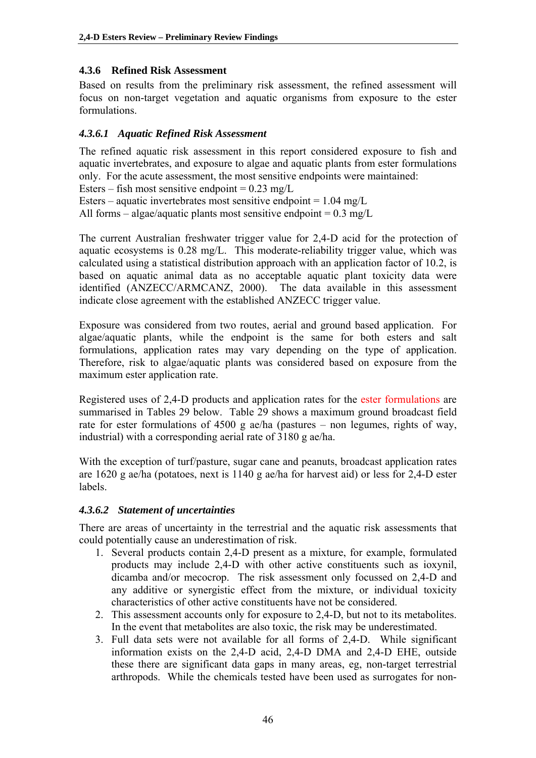# **4.3.6 Refined Risk Assessment**

Based on results from the preliminary risk assessment, the refined assessment will focus on non-target vegetation and aquatic organisms from exposure to the ester formulations.

# *4.3.6.1 Aquatic Refined Risk Assessment*

The refined aquatic risk assessment in this report considered exposure to fish and aquatic invertebrates, and exposure to algae and aquatic plants from ester formulations only. For the acute assessment, the most sensitive endpoints were maintained:

Esters – fish most sensitive endpoint =  $0.23 \text{ mg/L}$ 

Esters – aquatic invertebrates most sensitive endpoint =  $1.04 \text{ mg/L}$ 

All forms – algae/aquatic plants most sensitive endpoint =  $0.3 \text{ mg/L}$ 

The current Australian freshwater trigger value for 2,4-D acid for the protection of aquatic ecosystems is 0.28 mg/L. This moderate-reliability trigger value, which was calculated using a statistical distribution approach with an application factor of 10.2, is based on aquatic animal data as no acceptable aquatic plant toxicity data were identified (ANZECC/ARMCANZ, 2000). The data available in this assessment indicate close agreement with the established ANZECC trigger value.

Exposure was considered from two routes, aerial and ground based application. For algae/aquatic plants, while the endpoint is the same for both esters and salt formulations, application rates may vary depending on the type of application. Therefore, risk to algae/aquatic plants was considered based on exposure from the maximum ester application rate.

Registered uses of 2,4-D products and application rates for the ester formulations are summarised in Tables 29 below. Table 29 shows a maximum ground broadcast field rate for ester formulations of 4500 g ae/ha (pastures – non legumes, rights of way, industrial) with a corresponding aerial rate of 3180 g ae/ha.

With the exception of turf/pasture, sugar cane and peanuts, broadcast application rates are 1620 g ae/ha (potatoes, next is 1140 g ae/ha for harvest aid) or less for 2,4-D ester labels.

# *4.3.6.2 Statement of uncertainties*

There are areas of uncertainty in the terrestrial and the aquatic risk assessments that could potentially cause an underestimation of risk.

- 1. Several products contain 2,4-D present as a mixture, for example, formulated products may include 2,4-D with other active constituents such as ioxynil, dicamba and/or mecocrop. The risk assessment only focussed on 2,4-D and any additive or synergistic effect from the mixture, or individual toxicity characteristics of other active constituents have not be considered.
- 2. This assessment accounts only for exposure to 2,4-D, but not to its metabolites. In the event that metabolites are also toxic, the risk may be underestimated.
- 3. Full data sets were not available for all forms of 2,4-D. While significant information exists on the 2,4-D acid, 2,4-D DMA and 2,4-D EHE, outside these there are significant data gaps in many areas, eg, non-target terrestrial arthropods. While the chemicals tested have been used as surrogates for non-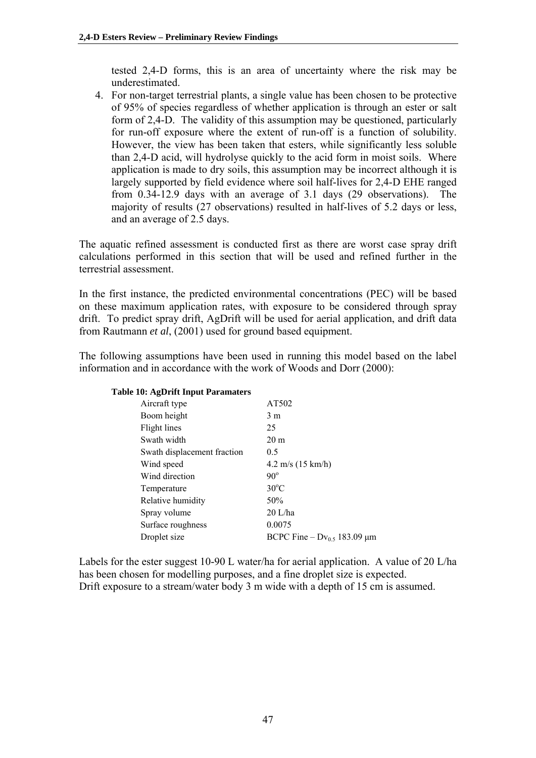tested 2,4-D forms, this is an area of uncertainty where the risk may be underestimated.

4. For non-target terrestrial plants, a single value has been chosen to be protective of 95% of species regardless of whether application is through an ester or salt form of 2,4-D. The validity of this assumption may be questioned, particularly for run-off exposure where the extent of run-off is a function of solubility. However, the view has been taken that esters, while significantly less soluble than 2,4-D acid, will hydrolyse quickly to the acid form in moist soils. Where application is made to dry soils, this assumption may be incorrect although it is largely supported by field evidence where soil half-lives for 2,4-D EHE ranged from 0.34-12.9 days with an average of 3.1 days (29 observations). The majority of results (27 observations) resulted in half-lives of 5.2 days or less, and an average of 2.5 days.

The aquatic refined assessment is conducted first as there are worst case spray drift calculations performed in this section that will be used and refined further in the terrestrial assessment.

In the first instance, the predicted environmental concentrations (PEC) will be based on these maximum application rates, with exposure to be considered through spray drift. To predict spray drift, AgDrift will be used for aerial application, and drift data from Rautmann *et al*, (2001) used for ground based equipment.

The following assumptions have been used in running this model based on the label information and in accordance with the work of Woods and Dorr (2000):

| <b>Table 10: AgDrift Input Paramaters</b> |                                  |
|-------------------------------------------|----------------------------------|
| Aircraft type                             | AT502                            |
| Boom height                               | 3 <sub>m</sub>                   |
| Flight lines                              | 25                               |
| Swath width                               | 20 <sub>m</sub>                  |
| Swath displacement fraction               | 0.5                              |
| Wind speed                                | $4.2 \text{ m/s}$ (15 km/h)      |
| Wind direction                            | $90^\circ$                       |
| Temperature                               | $30^{\circ}$ C                   |
| Relative humidity                         | 50%                              |
| Spray volume                              | $20$ L/ha                        |
| Surface roughness                         | 0.0075                           |
| Droplet size                              | BCPC Fine – $Dv_{0.5}$ 183.09 µm |
|                                           |                                  |

Labels for the ester suggest 10-90 L water/ha for aerial application. A value of 20 L/ha has been chosen for modelling purposes, and a fine droplet size is expected. Drift exposure to a stream/water body 3 m wide with a depth of 15 cm is assumed.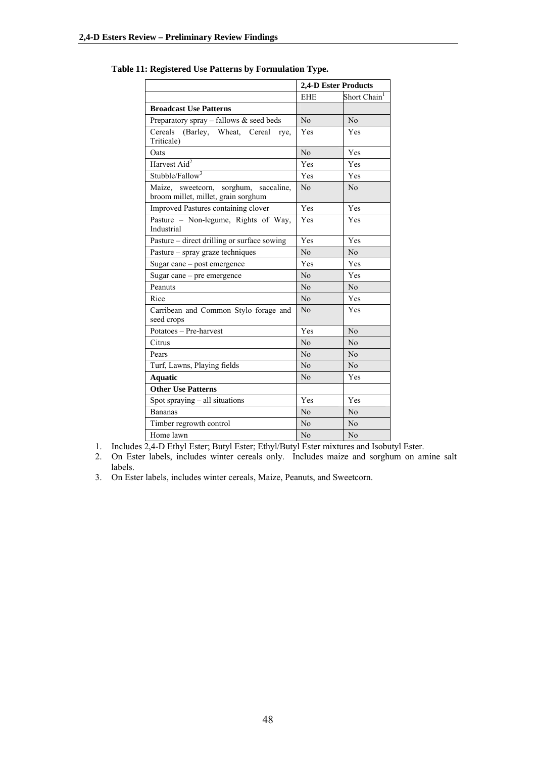|                                                                                 | 2,4-D Ester Products |                          |
|---------------------------------------------------------------------------------|----------------------|--------------------------|
|                                                                                 | <b>EHE</b>           | Short Chain <sup>1</sup> |
| <b>Broadcast Use Patterns</b>                                                   |                      |                          |
| Preparatory spray - fallows $&$ seed beds                                       | No                   | No                       |
| Cereals<br>(Barley, Wheat, Cereal<br>rye,<br>Triticale)                         | Yes                  | Yes                      |
| Oats                                                                            | No                   | Yes                      |
| Harvest Aid <sup>2</sup>                                                        | Yes                  | Yes                      |
| Stubble/Fallow <sup>3</sup>                                                     | Yes                  | Yes                      |
| sweetcorn, sorghum, saccaline,<br>Maize.<br>broom millet, millet, grain sorghum | No                   | No                       |
| Improved Pastures containing clover                                             | Yes                  | Yes                      |
| Pasture - Non-legume, Rights of Way,<br>Industrial                              | Yes                  | Yes                      |
| Pasture - direct drilling or surface sowing                                     | Yes                  | Yes                      |
| Pasture - spray graze techniques                                                | No                   | No                       |
| Sugar cane – post emergence                                                     | Yes                  | Yes                      |
| Sugar cane $-$ pre emergence                                                    | No                   | Yes                      |
| Peanuts                                                                         | N <sub>o</sub>       | No                       |
| Rice                                                                            | No                   | Yes                      |
| Carribean and Common Stylo forage and<br>seed crops                             | No                   | Yes                      |
| Potatoes - Pre-harvest                                                          | Yes                  | No                       |
| Citrus                                                                          | No                   | No                       |
| Pears                                                                           | No                   | No                       |
| Turf, Lawns, Playing fields                                                     | N <sub>o</sub>       | N <sub>o</sub>           |
| <b>Aquatic</b>                                                                  | No                   | Yes                      |
| <b>Other Use Patterns</b>                                                       |                      |                          |
| Spot spraying - all situations                                                  | Yes                  | Yes                      |
| <b>Bananas</b>                                                                  | No                   | No                       |
| Timber regrowth control                                                         | N <sub>o</sub>       | No                       |
| Home lawn                                                                       | N <sub>o</sub>       | No                       |

**Table 11: Registered Use Patterns by Formulation Type.** 

1. Includes 2,4-D Ethyl Ester; Butyl Ester; Ethyl/Butyl Ester mixtures and Isobutyl Ester.

2. On Ester labels, includes winter cereals only. Includes maize and sorghum on amine salt labels.

3. On Ester labels, includes winter cereals, Maize, Peanuts, and Sweetcorn.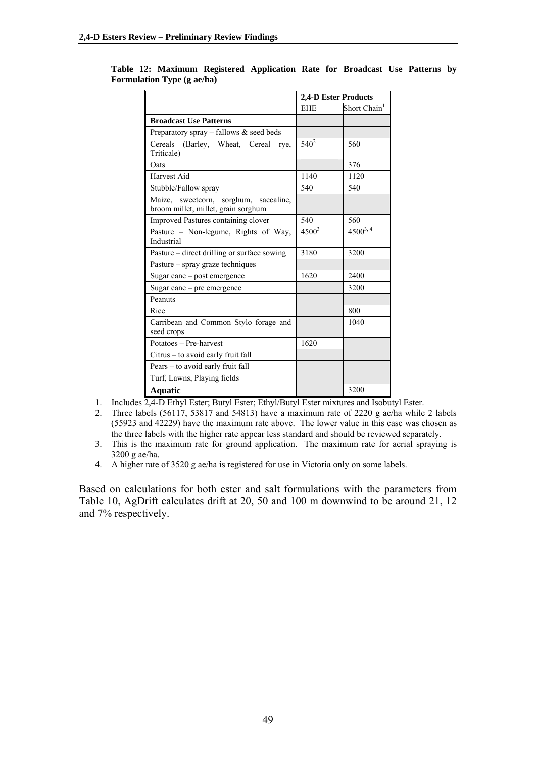|                                                                              | <b>2,4-D Ester Products</b> |                          |
|------------------------------------------------------------------------------|-----------------------------|--------------------------|
|                                                                              | <b>EHE</b>                  | Short Chain <sup>1</sup> |
| <b>Broadcast Use Patterns</b>                                                |                             |                          |
| Preparatory spray - fallows $\&$ seed beds                                   |                             |                          |
| Cereals (Barley, Wheat, Cereal<br>rye,<br>Triticale)                         | $540^{2}$                   | 560                      |
| Oats                                                                         |                             | 376                      |
| Harvest Aid                                                                  | 1140                        | 1120                     |
| Stubble/Fallow spray                                                         | 540                         | 540                      |
| Maize, sweetcorn, sorghum, saccaline,<br>broom millet, millet, grain sorghum |                             |                          |
| Improved Pastures containing clover                                          | 540                         | 560                      |
| Pasture – Non-legume, Rights of Way,<br>Industrial                           | $4500^3$                    | $4500^{3,4}$             |
| Pasture – direct drilling or surface sowing                                  | 3180                        | 3200                     |
| Pasture – spray graze techniques                                             |                             |                          |
| Sugar cane – post emergence                                                  | 1620                        | 2400                     |
| Sugar cane $-$ pre emergence                                                 |                             | 3200                     |
| Peanuts                                                                      |                             |                          |
| Rice                                                                         |                             | 800                      |
| Carribean and Common Stylo forage and<br>seed crops                          |                             | 1040                     |
| Potatoes - Pre-harvest                                                       | 1620                        |                          |
| Citrus – to avoid early fruit fall                                           |                             |                          |
| Pears - to avoid early fruit fall                                            |                             |                          |
| Turf, Lawns, Playing fields                                                  |                             |                          |
| Aquatic                                                                      |                             | 3200                     |

**Table 12: Maximum Registered Application Rate for Broadcast Use Patterns by Formulation Type (g ae/ha)** 

1. Includes 2,4-D Ethyl Ester; Butyl Ester; Ethyl/Butyl Ester mixtures and Isobutyl Ester.

- 2. Three labels (56117, 53817 and 54813) have a maximum rate of 2220 g ae/ha while 2 labels (55923 and 42229) have the maximum rate above. The lower value in this case was chosen as the three labels with the higher rate appear less standard and should be reviewed separately.
- 3. This is the maximum rate for ground application. The maximum rate for aerial spraying is 3200 g ae/ha.
- 4. A higher rate of 3520 g ae/ha is registered for use in Victoria only on some labels.

Based on calculations for both ester and salt formulations with the parameters from Table 10, AgDrift calculates drift at 20, 50 and 100 m downwind to be around 21, 12 and 7% respectively.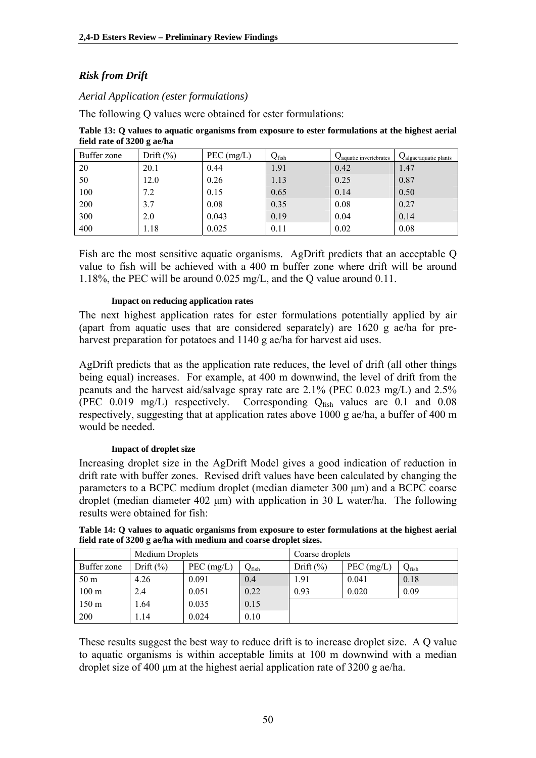# *Risk from Drift*

*Aerial Application (ester formulations)* 

The following Q values were obtained for ester formulations:

**Table 13: Q values to aquatic organisms from exposure to ester formulations at the highest aerial field rate of 3200 g ae/ha** 

| Buffer zone | Drift $(\% )$ | $PEC$ (mg/L) | $\mathrm{Q_{fish}}$ | aquatic invertebrates | <b>Q</b> algae/aquatic plants |
|-------------|---------------|--------------|---------------------|-----------------------|-------------------------------|
| 20          | 20.1          | 0.44         | 1.91                | 0.42                  | 1.47                          |
| 50          | 12.0          | 0.26         | 1.13                | 0.25                  | 0.87                          |
| 100         | 7.2           | 0.15         | 0.65                | 0.14                  | 0.50                          |
| 200         | 3.7           | 0.08         | 0.35                | 0.08                  | 0.27                          |
| 300         | 2.0           | 0.043        | 0.19                | 0.04                  | 0.14                          |
| 400         | 1.18          | 0.025        | 0.11                | 0.02                  | 0.08                          |

Fish are the most sensitive aquatic organisms. AgDrift predicts that an acceptable Q value to fish will be achieved with a 400 m buffer zone where drift will be around 1.18%, the PEC will be around 0.025 mg/L, and the Q value around 0.11.

### **Impact on reducing application rates**

The next highest application rates for ester formulations potentially applied by air (apart from aquatic uses that are considered separately) are 1620 g ae/ha for preharvest preparation for potatoes and 1140 g ae/ha for harvest aid uses.

AgDrift predicts that as the application rate reduces, the level of drift (all other things being equal) increases. For example, at 400 m downwind, the level of drift from the peanuts and the harvest aid/salvage spray rate are 2.1% (PEC 0.023 mg/L) and 2.5% (PEC 0.019 mg/L) respectively. Corresponding  $Q_{fish}$  values are 0.1 and 0.08 respectively, suggesting that at application rates above 1000 g ae/ha, a buffer of 400 m would be needed.

# **Impact of droplet size**

Increasing droplet size in the AgDrift Model gives a good indication of reduction in drift rate with buffer zones. Revised drift values have been calculated by changing the parameters to a BCPC medium droplet (median diameter 300 μm) and a BCPC coarse droplet (median diameter 402 μm) with application in 30 L water/ha. The following results were obtained for fish:

|                 | <b>Medium Droplets</b> |              | Coarse droplets |               |              |                |
|-----------------|------------------------|--------------|-----------------|---------------|--------------|----------------|
| Buffer zone     | Drift $(\% )$          | PEC $(mg/L)$ | $Q_{\rm fish}$  | Drift $(\% )$ | $PEC$ (mg/L) | $Q_{\rm fish}$ |
| 50 <sub>m</sub> | 4.26                   | 0.091        | 0.4             | 1.91          | 0.041        | 0.18           |
| $100 \text{ m}$ | 2.4                    | 0.051        | 0.22            | 0.93          | 0.020        | 0.09           |
| $150 \text{ m}$ | 1.64                   | 0.035        | 0.15            |               |              |                |
| 200             | 1.14                   | 0.024        | 0.10            |               |              |                |

**Table 14: Q values to aquatic organisms from exposure to ester formulations at the highest aerial field rate of 3200 g ae/ha with medium and coarse droplet sizes.** 

These results suggest the best way to reduce drift is to increase droplet size. A Q value to aquatic organisms is within acceptable limits at 100 m downwind with a median droplet size of 400 μm at the highest aerial application rate of 3200 g ae/ha.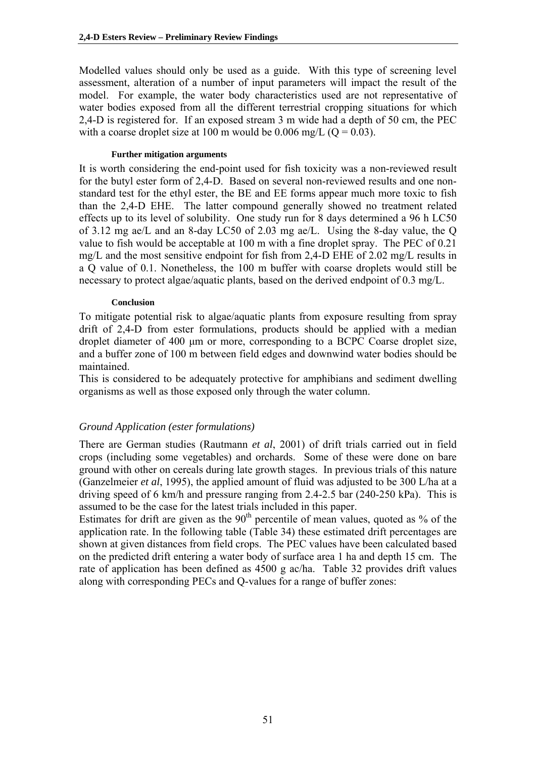Modelled values should only be used as a guide. With this type of screening level assessment, alteration of a number of input parameters will impact the result of the model. For example, the water body characteristics used are not representative of water bodies exposed from all the different terrestrial cropping situations for which 2,4-D is registered for. If an exposed stream 3 m wide had a depth of 50 cm, the PEC with a coarse droplet size at 100 m would be 0.006 mg/L ( $Q = 0.03$ ).

#### **Further mitigation arguments**

It is worth considering the end-point used for fish toxicity was a non-reviewed result for the butyl ester form of 2,4-D. Based on several non-reviewed results and one nonstandard test for the ethyl ester, the BE and EE forms appear much more toxic to fish than the 2,4-D EHE. The latter compound generally showed no treatment related effects up to its level of solubility. One study run for 8 days determined a 96 h LC50 of 3.12 mg ae/L and an 8-day LC50 of 2.03 mg ae/L. Using the 8-day value, the Q value to fish would be acceptable at 100 m with a fine droplet spray. The PEC of 0.21 mg/L and the most sensitive endpoint for fish from 2,4-D EHE of 2.02 mg/L results in a Q value of 0.1. Nonetheless, the 100 m buffer with coarse droplets would still be necessary to protect algae/aquatic plants, based on the derived endpoint of 0.3 mg/L.

#### **Conclusion**

To mitigate potential risk to algae/aquatic plants from exposure resulting from spray drift of 2,4-D from ester formulations, products should be applied with a median droplet diameter of 400 μm or more, corresponding to a BCPC Coarse droplet size, and a buffer zone of 100 m between field edges and downwind water bodies should be maintained.

This is considered to be adequately protective for amphibians and sediment dwelling organisms as well as those exposed only through the water column.

# *Ground Application (ester formulations)*

There are German studies (Rautmann *et al*, 2001) of drift trials carried out in field crops (including some vegetables) and orchards. Some of these were done on bare ground with other on cereals during late growth stages. In previous trials of this nature (Ganzelmeier *et al*, 1995), the applied amount of fluid was adjusted to be 300 L/ha at a driving speed of 6 km/h and pressure ranging from 2.4-2.5 bar (240-250 kPa). This is assumed to be the case for the latest trials included in this paper.

Estimates for drift are given as the  $90<sup>th</sup>$  percentile of mean values, quoted as % of the application rate. In the following table (Table 34) these estimated drift percentages are shown at given distances from field crops. The PEC values have been calculated based on the predicted drift entering a water body of surface area 1 ha and depth 15 cm. The rate of application has been defined as 4500 g ac/ha. Table 32 provides drift values along with corresponding PECs and Q-values for a range of buffer zones: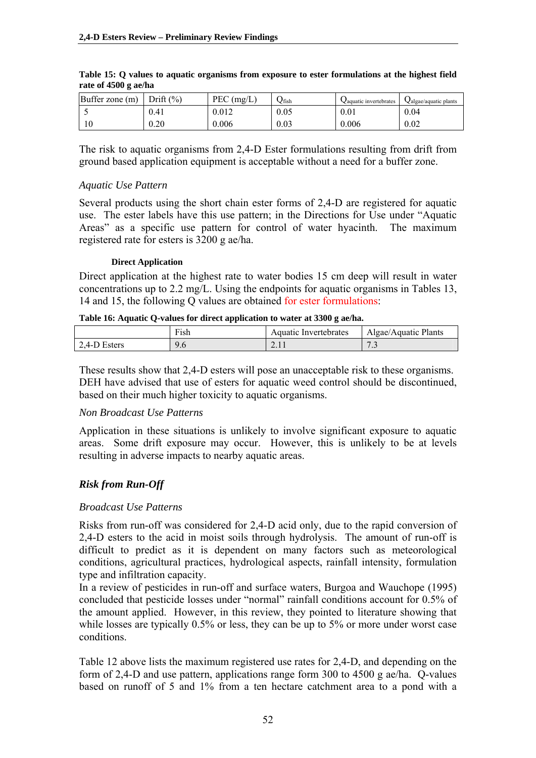| Buffer zone (m) | Drift $\frac{6}{6}$ | PEC<br>$\mu$ (mg/L) | $\mathsf{V}$ fish | Vaquatic invertebrates | ∨algae/aquatic plants |
|-----------------|---------------------|---------------------|-------------------|------------------------|-----------------------|
|                 | 0.41                | 0.012               | 0.05              | 0.01                   | 0.04                  |
| 1 U             | 0.20                | 0.006               | 0.03              | 0.006                  | 0.02                  |

**Table 15: Q values to aquatic organisms from exposure to ester formulations at the highest field rate of 4500 g ae/ha** 

The risk to aquatic organisms from 2,4-D Ester formulations resulting from drift from ground based application equipment is acceptable without a need for a buffer zone.

#### *Aquatic Use Pattern*

Several products using the short chain ester forms of 2,4-D are registered for aquatic use. The ester labels have this use pattern; in the Directions for Use under "Aquatic Areas" as a specific use pattern for control of water hyacinth. The maximum registered rate for esters is 3200 g ae/ha.

#### **Direct Application**

Direct application at the highest rate to water bodies 15 cm deep will result in water concentrations up to 2.2 mg/L. Using the endpoints for aquatic organisms in Tables 13, 14 and 15, the following Q values are obtained for ester formulations:

**Table 16: Aquatic Q-values for direct application to water at 3300 g ae/ha.** 

|              | $v_{\rm ish}$ | Aquatic Invertebrates | Algae/Aquatic Plants |
|--------------|---------------|-----------------------|----------------------|
| 2.4-D Esters | 9.6           | $\sim$ . 1 1          | $\sim$ $\sim$<br>.   |

These results show that 2,4-D esters will pose an unacceptable risk to these organisms. DEH have advised that use of esters for aquatic weed control should be discontinued, based on their much higher toxicity to aquatic organisms.

### *Non Broadcast Use Patterns*

Application in these situations is unlikely to involve significant exposure to aquatic areas. Some drift exposure may occur. However, this is unlikely to be at levels resulting in adverse impacts to nearby aquatic areas.

# *Risk from Run-Off*

### *Broadcast Use Patterns*

Risks from run-off was considered for 2,4-D acid only, due to the rapid conversion of 2,4-D esters to the acid in moist soils through hydrolysis. The amount of run-off is difficult to predict as it is dependent on many factors such as meteorological conditions, agricultural practices, hydrological aspects, rainfall intensity, formulation type and infiltration capacity.

In a review of pesticides in run-off and surface waters, Burgoa and Wauchope (1995) concluded that pesticide losses under "normal" rainfall conditions account for 0.5% of the amount applied. However, in this review, they pointed to literature showing that while losses are typically 0.5% or less, they can be up to 5% or more under worst case conditions.

Table 12 above lists the maximum registered use rates for 2,4-D, and depending on the form of 2,4-D and use pattern, applications range form 300 to 4500 g ae/ha. Q-values based on runoff of 5 and 1% from a ten hectare catchment area to a pond with a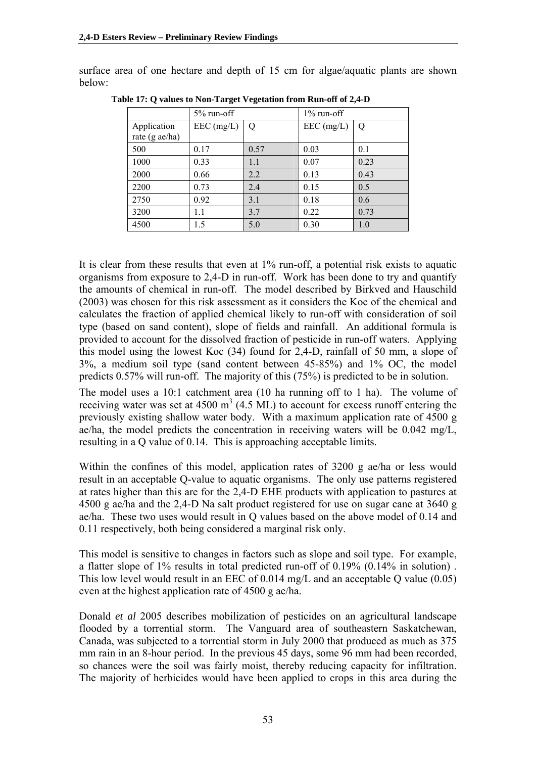surface area of one hectare and depth of 15 cm for algae/aquatic plants are shown below:

|                               | $5\%$ run-off |      | $1\%$ run-off |             |
|-------------------------------|---------------|------|---------------|-------------|
| Application<br>rate (g ae/ha) | $EEC$ (mg/L)  | Q    | $EEC$ (mg/L)  | $\mathbf Q$ |
| 500                           | 0.17          | 0.57 | 0.03          | 0.1         |
| 1000                          | 0.33          | 1.1  | 0.07          | 0.23        |
| 2000                          | 0.66          | 2.2  | 0.13          | 0.43        |
| 2200                          | 0.73          | 2.4  | 0.15          | 0.5         |
| 2750                          | 0.92          | 3.1  | 0.18          | 0.6         |
| 3200                          | 1.1           | 3.7  | 0.22          | 0.73        |
| 4500                          | 1.5           | 5.0  | 0.30          | 1.0         |

**Table 17: Q values to Non-Target Vegetation from Run-off of 2,4-D** 

It is clear from these results that even at 1% run-off, a potential risk exists to aquatic organisms from exposure to 2,4-D in run-off. Work has been done to try and quantify the amounts of chemical in run-off. The model described by Birkved and Hauschild (2003) was chosen for this risk assessment as it considers the Koc of the chemical and calculates the fraction of applied chemical likely to run-off with consideration of soil type (based on sand content), slope of fields and rainfall. An additional formula is provided to account for the dissolved fraction of pesticide in run-off waters. Applying this model using the lowest Koc (34) found for 2,4-D, rainfall of 50 mm, a slope of 3%, a medium soil type (sand content between 45-85%) and 1% OC, the model predicts 0.57% will run-off. The majority of this (75%) is predicted to be in solution.

The model uses a 10:1 catchment area (10 ha running off to 1 ha). The volume of receiving water was set at  $4500 \text{ m}^3$  (4.5 ML) to account for excess runoff entering the previously existing shallow water body. With a maximum application rate of 4500 g ae/ha, the model predicts the concentration in receiving waters will be 0.042 mg/L, resulting in a Q value of 0.14. This is approaching acceptable limits.

Within the confines of this model, application rates of 3200 g ae/ha or less would result in an acceptable Q-value to aquatic organisms. The only use patterns registered at rates higher than this are for the 2,4-D EHE products with application to pastures at 4500 g ae/ha and the 2,4-D Na salt product registered for use on sugar cane at 3640 g ae/ha. These two uses would result in Q values based on the above model of 0.14 and 0.11 respectively, both being considered a marginal risk only.

This model is sensitive to changes in factors such as slope and soil type. For example, a flatter slope of 1% results in total predicted run-off of 0.19% (0.14% in solution) . This low level would result in an EEC of 0.014 mg/L and an acceptable Q value (0.05) even at the highest application rate of 4500 g ae/ha.

Donald *et al* 2005 describes mobilization of pesticides on an agricultural landscape flooded by a torrential storm. The Vanguard area of southeastern Saskatchewan, Canada, was subjected to a torrential storm in July 2000 that produced as much as 375 mm rain in an 8-hour period. In the previous 45 days, some 96 mm had been recorded, so chances were the soil was fairly moist, thereby reducing capacity for infiltration. The majority of herbicides would have been applied to crops in this area during the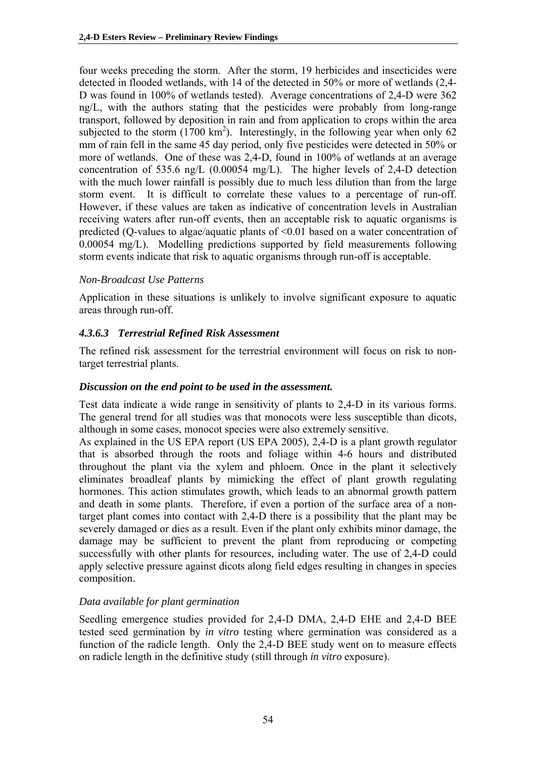four weeks preceding the storm. After the storm, 19 herbicides and insecticides were detected in flooded wetlands, with 14 of the detected in 50% or more of wetlands (2,4- D was found in 100% of wetlands tested). Average concentrations of 2,4-D were 362 ng/L, with the authors stating that the pesticides were probably from long-range transport, followed by deposition in rain and from application to crops within the area subjected to the storm  $(1700 \text{ km}^2)$ . Interestingly, in the following year when only 62 mm of rain fell in the same 45 day period, only five pesticides were detected in 50% or more of wetlands. One of these was 2,4-D, found in 100% of wetlands at an average concentration of 535.6 ng/L (0.00054 mg/L). The higher levels of 2,4-D detection with the much lower rainfall is possibly due to much less dilution than from the large storm event. It is difficult to correlate these values to a percentage of run-off. However, if these values are taken as indicative of concentration levels in Australian receiving waters after run-off events, then an acceptable risk to aquatic organisms is predicted (Q-values to algae/aquatic plants of <0.01 based on a water concentration of 0.00054 mg/L). Modelling predictions supported by field measurements following storm events indicate that risk to aquatic organisms through run-off is acceptable.

# *Non-Broadcast Use Patterns*

Application in these situations is unlikely to involve significant exposure to aquatic areas through run-off.

# *4.3.6.3 Terrestrial Refined Risk Assessment*

The refined risk assessment for the terrestrial environment will focus on risk to nontarget terrestrial plants.

# *Discussion on the end point to be used in the assessment.*

Test data indicate a wide range in sensitivity of plants to 2,4-D in its various forms. The general trend for all studies was that monocots were less susceptible than dicots, although in some cases, monocot species were also extremely sensitive.

As explained in the US EPA report (US EPA 2005), 2,4-D is a plant growth regulator that is absorbed through the roots and foliage within 4-6 hours and distributed throughout the plant via the xylem and phloem. Once in the plant it selectively eliminates broadleaf plants by mimicking the effect of plant growth regulating hormones. This action stimulates growth, which leads to an abnormal growth pattern and death in some plants. Therefore, if even a portion of the surface area of a nontarget plant comes into contact with 2,4-D there is a possibility that the plant may be severely damaged or dies as a result. Even if the plant only exhibits minor damage, the damage may be sufficient to prevent the plant from reproducing or competing successfully with other plants for resources, including water. The use of 2,4-D could apply selective pressure against dicots along field edges resulting in changes in species composition.

# *Data available for plant germination*

Seedling emergence studies provided for 2,4-D DMA, 2,4-D EHE and 2,4-D BEE tested seed germination by *in vitro* testing where germination was considered as a function of the radicle length. Only the 2,4-D BEE study went on to measure effects on radicle length in the definitive study (still through *in vitro* exposure).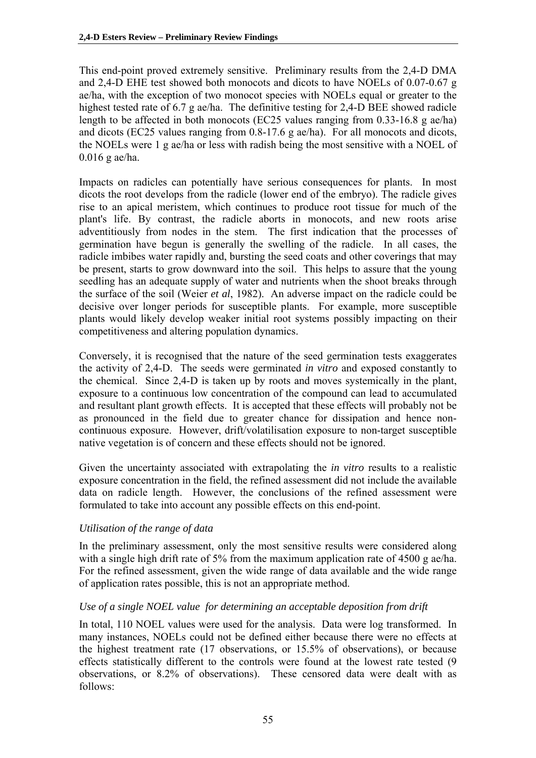This end-point proved extremely sensitive. Preliminary results from the 2,4-D DMA and 2,4-D EHE test showed both monocots and dicots to have NOELs of 0.07-0.67 g ae/ha, with the exception of two monocot species with NOELs equal or greater to the highest tested rate of 6.7 g ae/ha. The definitive testing for 2,4-D BEE showed radicle length to be affected in both monocots (EC25 values ranging from 0.33-16.8 g ae/ha) and dicots (EC25 values ranging from 0.8-17.6 g ae/ha). For all monocots and dicots, the NOELs were 1 g ae/ha or less with radish being the most sensitive with a NOEL of 0.016 g ae/ha.

Impacts on radicles can potentially have serious consequences for plants. In most dicots the root develops from the radicle (lower end of the embryo). The radicle gives rise to an apical meristem, which continues to produce root tissue for much of the plant's life. By contrast, the radicle aborts in monocots, and new roots arise adventitiously from nodes in the stem. The first indication that the processes of germination have begun is generally the swelling of the radicle. In all cases, the radicle imbibes water rapidly and, bursting the seed coats and other coverings that may be present, starts to grow downward into the soil. This helps to assure that the young seedling has an adequate supply of water and nutrients when the shoot breaks through the surface of the soil (Weier *et al*, 1982). An adverse impact on the radicle could be decisive over longer periods for susceptible plants. For example, more susceptible plants would likely develop weaker initial root systems possibly impacting on their competitiveness and altering population dynamics.

Conversely, it is recognised that the nature of the seed germination tests exaggerates the activity of 2,4-D. The seeds were germinated *in vitro* and exposed constantly to the chemical. Since 2,4-D is taken up by roots and moves systemically in the plant, exposure to a continuous low concentration of the compound can lead to accumulated and resultant plant growth effects. It is accepted that these effects will probably not be as pronounced in the field due to greater chance for dissipation and hence noncontinuous exposure. However, drift/volatilisation exposure to non-target susceptible native vegetation is of concern and these effects should not be ignored.

Given the uncertainty associated with extrapolating the *in vitro* results to a realistic exposure concentration in the field, the refined assessment did not include the available data on radicle length. However, the conclusions of the refined assessment were formulated to take into account any possible effects on this end-point.

# *Utilisation of the range of data*

In the preliminary assessment, only the most sensitive results were considered along with a single high drift rate of 5% from the maximum application rate of 4500 g ae/ha. For the refined assessment, given the wide range of data available and the wide range of application rates possible, this is not an appropriate method.

### *Use of a single NOEL value for determining an acceptable deposition from drift*

In total, 110 NOEL values were used for the analysis. Data were log transformed. In many instances, NOELs could not be defined either because there were no effects at the highest treatment rate (17 observations, or 15.5% of observations), or because effects statistically different to the controls were found at the lowest rate tested (9 observations, or 8.2% of observations). These censored data were dealt with as follows: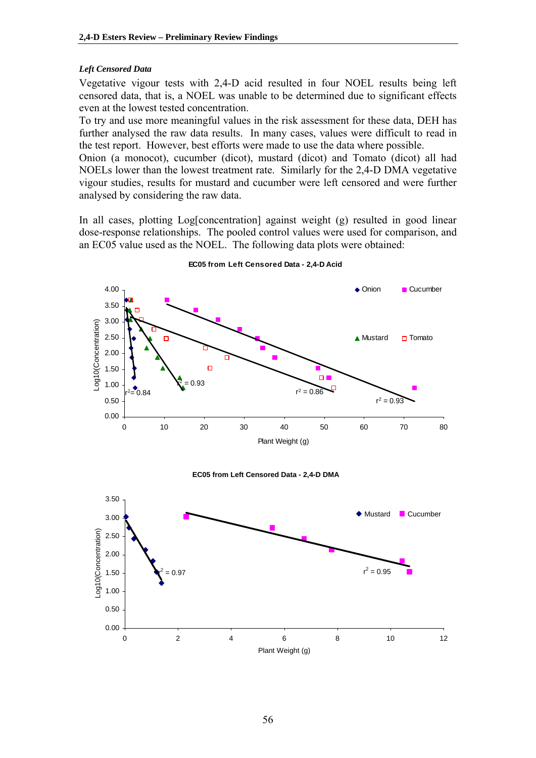#### *Left Censored Data*

Vegetative vigour tests with 2,4-D acid resulted in four NOEL results being left censored data, that is, a NOEL was unable to be determined due to significant effects even at the lowest tested concentration.

To try and use more meaningful values in the risk assessment for these data, DEH has further analysed the raw data results. In many cases, values were difficult to read in the test report. However, best efforts were made to use the data where possible.

Onion (a monocot), cucumber (dicot), mustard (dicot) and Tomato (dicot) all had NOELs lower than the lowest treatment rate. Similarly for the 2,4-D DMA vegetative vigour studies, results for mustard and cucumber were left censored and were further analysed by considering the raw data.

In all cases, plotting Log[concentration] against weight (g) resulted in good linear dose-response relationships. The pooled control values were used for comparison, and an EC05 value used as the NOEL. The following data plots were obtained:



**EC05 from Left Censored Data - 2,4-D Acid**



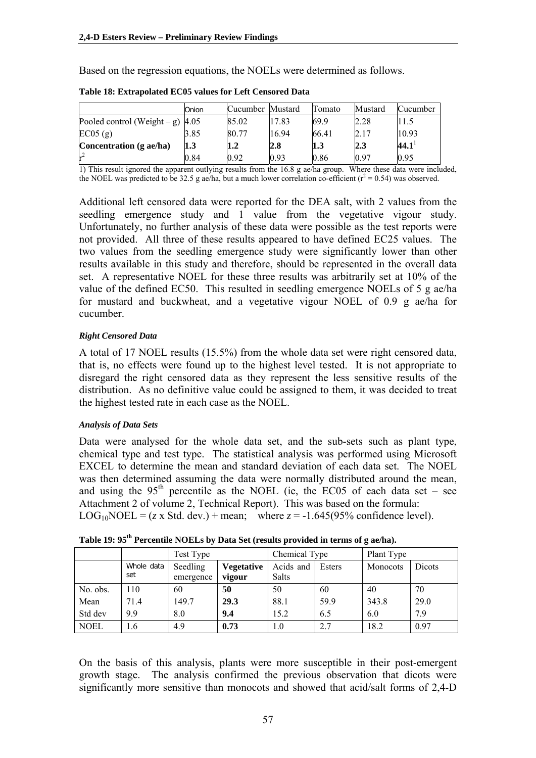Based on the regression equations, the NOELs were determined as follows.

|                                    | Onion | Cucumber Mustard |       | Tomato | Mustard | Cucumber |
|------------------------------------|-------|------------------|-------|--------|---------|----------|
| Pooled control (Weight – g) $4.05$ |       | 85.02            | 17.83 | 69.9   | 2.28    | 11.5     |
| EC05(g)                            | 3.85  | 80.77            | 16.94 | 66.41  | 2.17    | 10.93    |
| Concentration (g ae/ha)            | 1.3   | 1.2              | 2.8   | 1.3    | 2.3     | $44.1^1$ |
|                                    | 0.84  | 0.92             | 0.93  | 0.86   | 0.97    | 0.95     |

|  |  |  |  |  | Table 18: Extrapolated EC05 values for Left Censored Data |
|--|--|--|--|--|-----------------------------------------------------------|
|--|--|--|--|--|-----------------------------------------------------------|

1) This result ignored the apparent outlying results from the 16.8 g ae/ha group. Where these data were included, the NOEL was predicted to be 32.5 g ae/ha, but a much lower correlation co-efficient  $(r^2 = 0.54)$  was observed.

Additional left censored data were reported for the DEA salt, with 2 values from the seedling emergence study and 1 value from the vegetative vigour study. Unfortunately, no further analysis of these data were possible as the test reports were not provided. All three of these results appeared to have defined EC25 values. The two values from the seedling emergence study were significantly lower than other results available in this study and therefore, should be represented in the overall data set. A representative NOEL for these three results was arbitrarily set at 10% of the value of the defined EC50. This resulted in seedling emergence NOELs of 5 g ae/ha for mustard and buckwheat, and a vegetative vigour NOEL of 0.9 g ae/ha for cucumber.

### *Right Censored Data*

A total of 17 NOEL results (15.5%) from the whole data set were right censored data, that is, no effects were found up to the highest level tested. It is not appropriate to disregard the right censored data as they represent the less sensitive results of the distribution. As no definitive value could be assigned to them, it was decided to treat the highest tested rate in each case as the NOEL.

### *Analysis of Data Sets*

Data were analysed for the whole data set, and the sub-sets such as plant type, chemical type and test type. The statistical analysis was performed using Microsoft EXCEL to determine the mean and standard deviation of each data set. The NOEL was then determined assuming the data were normally distributed around the mean, and using the  $95<sup>th</sup>$  percentile as the NOEL (ie, the EC05 of each data set – see Attachment 2 of volume 2, Technical Report). This was based on the formula: LOG<sub>10</sub>NOEL =  $(z \times$  Std. dev.) + mean; where  $z = -1.645(95\%$  confidence level).

|             |                   | Test Type             |                             | Chemical Type             |        | Plant Type |        |
|-------------|-------------------|-----------------------|-----------------------------|---------------------------|--------|------------|--------|
|             | Whole data<br>set | Seedling<br>emergence | <b>Vegetative</b><br>vigour | Acids and<br><b>Salts</b> | Esters | Monocots   | Dicots |
| No. obs.    | $\overline{10}$   | 60                    | 50                          | 50                        | 60     | 40         | 70     |
| Mean        | 71.4              | 149.7                 | 29.3                        | 88.1                      | 59.9   | 343.8      | 29.0   |
| Std dev     | 9.9               | 8.0                   | 9.4                         | 15.2                      | 6.5    | 6.0        | 7.9    |
| <b>NOEL</b> | 1.6               | 4.9                   | 0.73                        | 1.0                       | 2.7    | 18.2       | 0.97   |

Table 19: 95<sup>th</sup> Percentile NOELs by Data Set (results provided in terms of g ae/ha).

On the basis of this analysis, plants were more susceptible in their post-emergent growth stage. The analysis confirmed the previous observation that dicots were significantly more sensitive than monocots and showed that acid/salt forms of 2,4-D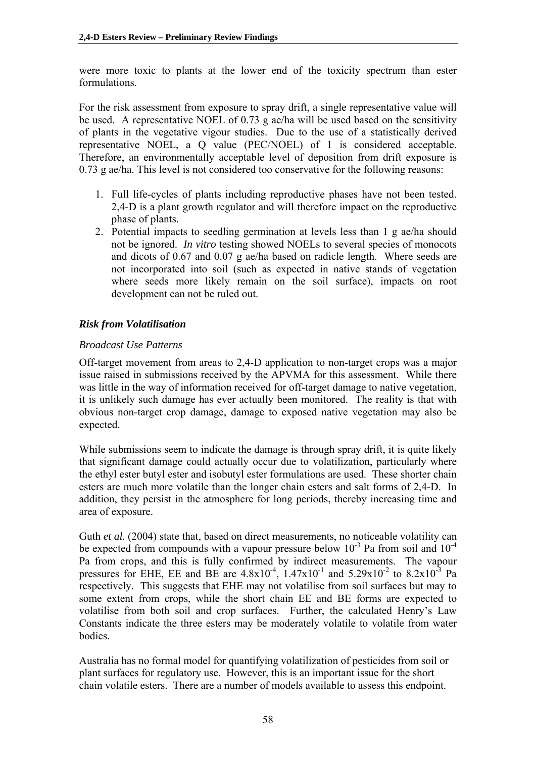were more toxic to plants at the lower end of the toxicity spectrum than ester formulations.

For the risk assessment from exposure to spray drift, a single representative value will be used. A representative NOEL of 0.73 g ae/ha will be used based on the sensitivity of plants in the vegetative vigour studies. Due to the use of a statistically derived representative NOEL, a Q value (PEC/NOEL) of 1 is considered acceptable. Therefore, an environmentally acceptable level of deposition from drift exposure is 0.73 g ae/ha. This level is not considered too conservative for the following reasons:

- 1. Full life-cycles of plants including reproductive phases have not been tested. 2,4-D is a plant growth regulator and will therefore impact on the reproductive phase of plants.
- 2. Potential impacts to seedling germination at levels less than 1 g ae/ha should not be ignored. *In vitro* testing showed NOELs to several species of monocots and dicots of 0.67 and 0.07 g ae/ha based on radicle length. Where seeds are not incorporated into soil (such as expected in native stands of vegetation where seeds more likely remain on the soil surface), impacts on root development can not be ruled out.

# *Risk from Volatilisation*

### *Broadcast Use Patterns*

Off-target movement from areas to 2,4-D application to non-target crops was a major issue raised in submissions received by the APVMA for this assessment. While there was little in the way of information received for off-target damage to native vegetation, it is unlikely such damage has ever actually been monitored. The reality is that with obvious non-target crop damage, damage to exposed native vegetation may also be expected.

While submissions seem to indicate the damage is through spray drift, it is quite likely that significant damage could actually occur due to volatilization, particularly where the ethyl ester butyl ester and isobutyl ester formulations are used. These shorter chain esters are much more volatile than the longer chain esters and salt forms of 2,4-D. In addition, they persist in the atmosphere for long periods, thereby increasing time and area of exposure.

Guth *et al.* (2004) state that, based on direct measurements, no noticeable volatility can be expected from compounds with a vapour pressure below  $10^{-3}$  Pa from soil and  $10^{-4}$ Pa from crops, and this is fully confirmed by indirect measurements. The vapour pressures for EHE, EE and BE are  $4.8x10^{-4}$ ,  $1.47x10^{-1}$  and  $5.29x10^{-2}$  to  $8.2x10^{-3}$  Pa respectively. This suggests that EHE may not volatilise from soil surfaces but may to some extent from crops, while the short chain EE and BE forms are expected to volatilise from both soil and crop surfaces. Further, the calculated Henry's Law Constants indicate the three esters may be moderately volatile to volatile from water bodies.

Australia has no formal model for quantifying volatilization of pesticides from soil or plant surfaces for regulatory use. However, this is an important issue for the short chain volatile esters. There are a number of models available to assess this endpoint.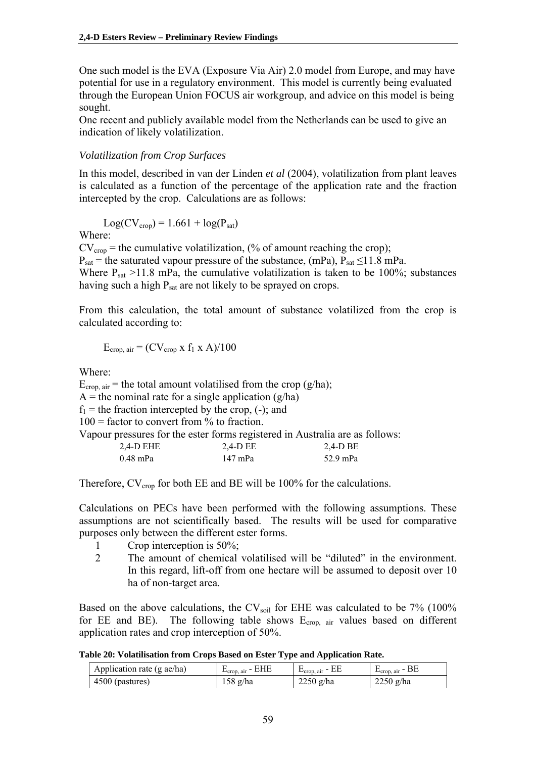One such model is the EVA (Exposure Via Air) 2.0 model from Europe, and may have potential for use in a regulatory environment. This model is currently being evaluated through the European Union FOCUS air workgroup, and advice on this model is being sought.

One recent and publicly available model from the Netherlands can be used to give an indication of likely volatilization.

### *Volatilization from Crop Surfaces*

In this model, described in van der Linden *et al* (2004), volatilization from plant leaves is calculated as a function of the percentage of the application rate and the fraction intercepted by the crop. Calculations are as follows:

 $Log(CV_{\text{crop}}) = 1.661 + log(P_{\text{sat}})$ 

Where:

 $CV_{\text{crop}}$  = the cumulative volatilization, (% of amount reaching the crop);  $P_{\text{sat}}$  = the saturated vapour pressure of the substance, (mPa),  $P_{\text{sat}} \le 11.8$  mPa.

Where  $P_{sat} > 11.8$  mPa, the cumulative volatilization is taken to be 100%; substances having such a high  $P_{sat}$  are not likely to be sprayed on crops.

From this calculation, the total amount of substance volatilized from the crop is calculated according to:

$$
E_{\text{crop, air}} = (CV_{\text{crop}} \times f_1 \times A)/100
$$

Where:

 $E_{\text{crop, air}}$  = the total amount volatilised from the crop (g/ha);  $A =$  the nominal rate for a single application (g/ha)  $f_1$  = the fraction intercepted by the crop, (-); and  $100$  = factor to convert from % to fraction. Vapour pressures for the ester forms registered in Australia are as follows: 2,4-D EHE 2,4-D EE 2,4-D BE

|  | $\sim$ $\sim$ $\sim$ $\sim$ $\sim$ | $\sim$ $\sim$ $\sim$ $\sim$ $\sim$ |
|--|------------------------------------|------------------------------------|
|  |                                    |                                    |
|  |                                    |                                    |
|  |                                    |                                    |
|  |                                    |                                    |
|  |                                    |                                    |

0.48 mPa 147 mPa 52.9 mPa

Therefore,  $CV_{\text{crop}}$  for both EE and BE will be 100% for the calculations.

Calculations on PECs have been performed with the following assumptions. These assumptions are not scientifically based. The results will be used for comparative purposes only between the different ester forms.

- 1 Crop interception is 50%;
- 2 The amount of chemical volatilised will be "diluted" in the environment. In this regard, lift-off from one hectare will be assumed to deposit over 10 ha of non-target area.

Based on the above calculations, the  $CV_{\text{solid}}$  for EHE was calculated to be 7% (100%) for EE and BE). The following table shows  $E_{\text{crop, air}}$  values based on different application rates and crop interception of 50%.

|  | Table 20: Volatilisation from Crops Based on Ester Type and Application Rate. |  |  |  |  |
|--|-------------------------------------------------------------------------------|--|--|--|--|
|  |                                                                               |  |  |  |  |

| Application rate (g ae/ha) | $E_{\text{crop, air}}$ - EHE | $E_{\text{crop, air}} - E E$ | $E_{\text{crop, air}}$ - BE |
|----------------------------|------------------------------|------------------------------|-----------------------------|
| 4500 (pastures)            | 158 g/ha                     | $2250$ g/ha                  | $2250$ g/ha                 |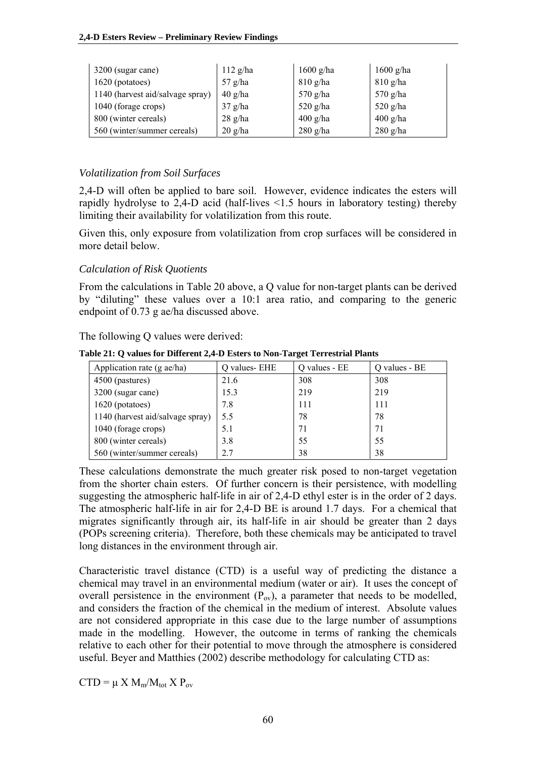#### **2,4-D Esters Review – Preliminary Review Findings**

| 3200 (sugar cane)                | $112$ g/ha | $1600$ g/ha | $1600$ g/ha |
|----------------------------------|------------|-------------|-------------|
| 1620 (potatoes)                  | $57$ g/ha  | $810$ g/ha  | $810$ g/ha  |
| 1140 (harvest aid/salvage spray) | $40$ g/ha  | 570 g/ha    | $570$ g/ha  |
| 1040 (forage crops)              | $37$ g/ha  | 520 g/ha    | $520$ g/ha  |
| 800 (winter cereals)             | $28$ g/ha  | $400$ g/ha  | $400$ g/ha  |
| 560 (winter/summer cereals)      | $20$ g/ha  | $280$ g/ha  | $280$ g/ha  |

### *Volatilization from Soil Surfaces*

2,4-D will often be applied to bare soil. However, evidence indicates the esters will rapidly hydrolyse to 2,4-D acid (half-lives <1.5 hours in laboratory testing) thereby limiting their availability for volatilization from this route.

Given this, only exposure from volatilization from crop surfaces will be considered in more detail below.

### *Calculation of Risk Quotients*

From the calculations in Table 20 above, a Q value for non-target plants can be derived by "diluting" these values over a 10:1 area ratio, and comparing to the generic endpoint of 0.73 g ae/ha discussed above.

The following Q values were derived:

**Table 21: Q values for Different 2,4-D Esters to Non-Target Terrestrial Plants** 

| Application rate (g ae/ha)       | O values- EHE | Q values - EE | Q values - BE |
|----------------------------------|---------------|---------------|---------------|
| 4500 (pastures)                  | 21.6          | 308           | 308           |
| 3200 (sugar cane)                | 15.3          | 219           | 219           |
| 1620 (potatoes)                  | 7.8           | 111           | 111           |
| 1140 (harvest aid/salvage spray) | 5.5           | 78            | 78            |
| 1040 (forage crops)              | 5.1           | 71            | 71            |
| 800 (winter cereals)             | 3.8           | 55            | 55            |
| 560 (winter/summer cereals)      | 2.7           | 38            | 38            |

These calculations demonstrate the much greater risk posed to non-target vegetation from the shorter chain esters. Of further concern is their persistence, with modelling suggesting the atmospheric half-life in air of 2,4-D ethyl ester is in the order of 2 days. The atmospheric half-life in air for 2,4-D BE is around 1.7 days. For a chemical that migrates significantly through air, its half-life in air should be greater than 2 days (POPs screening criteria). Therefore, both these chemicals may be anticipated to travel long distances in the environment through air.

Characteristic travel distance (CTD) is a useful way of predicting the distance a chemical may travel in an environmental medium (water or air). It uses the concept of overall persistence in the environment  $(P_{\alpha\nu})$ , a parameter that needs to be modelled, and considers the fraction of the chemical in the medium of interest. Absolute values are not considered appropriate in this case due to the large number of assumptions made in the modelling. However, the outcome in terms of ranking the chemicals relative to each other for their potential to move through the atmosphere is considered useful. Beyer and Matthies (2002) describe methodology for calculating CTD as:

 $CTD = \mu X M_m/M_{tot} X P_{ov}$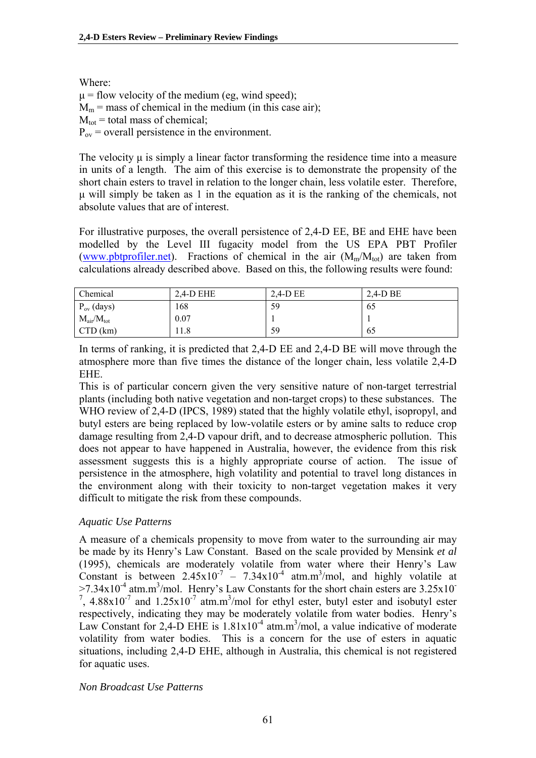Where:  $\mu$  = flow velocity of the medium (eg, wind speed);  $M_m$  = mass of chemical in the medium (in this case air);  $M_{\text{tot}}$  = total mass of chemical;  $P_{ov}$  = overall persistence in the environment.

The velocity μ is simply a linear factor transforming the residence time into a measure in units of a length. The aim of this exercise is to demonstrate the propensity of the short chain esters to travel in relation to the longer chain, less volatile ester. Therefore, μ will simply be taken as 1 in the equation as it is the ranking of the chemicals, not absolute values that are of interest.

For illustrative purposes, the overall persistence of 2,4-D EE, BE and EHE have been modelled by the Level III fugacity model from the US EPA PBT Profiler ([www.pbtprofiler.net\)](http://www.pbtprofiler.net/). Fractions of chemical in the air  $(M_m/M_{tot})$  are taken from calculations already described above. Based on this, the following results were found:

| <b>Chemical</b>           | $2,4$ -D EHE | 2.4-D EE | 2.4-D BE |
|---------------------------|--------------|----------|----------|
| $P_{ov}$ (days)           | 168          | 59       | 65       |
| $M_{\rm air}/M_{\rm tot}$ | 0.07         |          |          |
| $CTD$ (km)                | 11.8         | 59       | 65       |

In terms of ranking, it is predicted that 2,4-D EE and 2,4-D BE will move through the atmosphere more than five times the distance of the longer chain, less volatile 2,4-D EHE.

This is of particular concern given the very sensitive nature of non-target terrestrial plants (including both native vegetation and non-target crops) to these substances. The WHO review of 2,4-D (IPCS, 1989) stated that the highly volatile ethyl, isopropyl, and butyl esters are being replaced by low-volatile esters or by amine salts to reduce crop damage resulting from 2,4-D vapour drift, and to decrease atmospheric pollution. This does not appear to have happened in Australia, however, the evidence from this risk assessment suggests this is a highly appropriate course of action. The issue of persistence in the atmosphere, high volatility and potential to travel long distances in the environment along with their toxicity to non-target vegetation makes it very difficult to mitigate the risk from these compounds.

# *Aquatic Use Patterns*

A measure of a chemicals propensity to move from water to the surrounding air may be made by its Henry's Law Constant. Based on the scale provided by Mensink *et al* (1995), chemicals are moderately volatile from water where their Henry's Law Constant is between  $2.45 \times 10^{-7}$  –  $7.34 \times 10^{-4}$  atm.m<sup>3</sup>/mol, and highly volatile at  $>7.34x10^{-4}$  atm.m<sup>3</sup>/mol. Henry's Law Constants for the short chain esters are 3.25x10<sup>-6</sup> <sup>7</sup>,  $4.88 \times 10^{-7}$  and  $1.25 \times 10^{-7}$  atm.m<sup>3</sup>/mol for ethyl ester, butyl ester and isobutyl ester respectively, indicating they may be moderately volatile from water bodies. Henry's Law Constant for 2,4-D EHE is  $1.81 \times 10^{-4}$  atm.m<sup>3</sup>/mol, a value indicative of moderate volatility from water bodies. This is a concern for the use of esters in aquatic situations, including 2,4-D EHE, although in Australia, this chemical is not registered for aquatic uses.

### *Non Broadcast Use Patterns*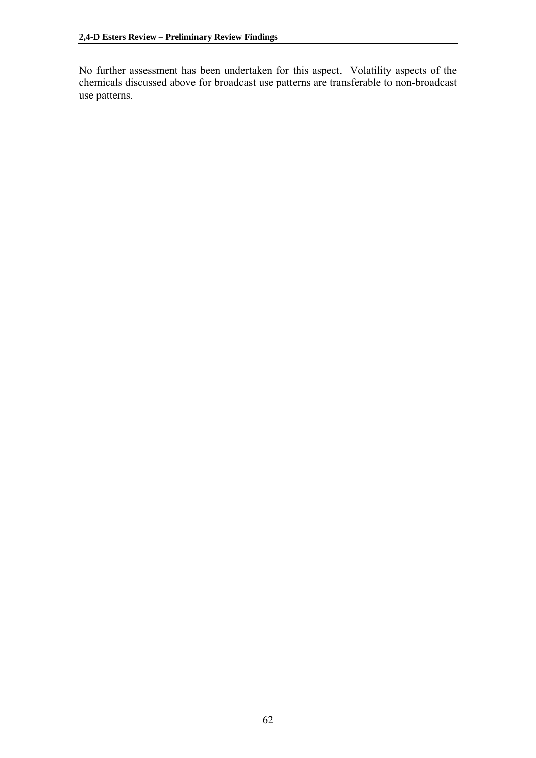No further assessment has been undertaken for this aspect. Volatility aspects of the chemicals discussed above for broadcast use patterns are transferable to non-broadcast use patterns.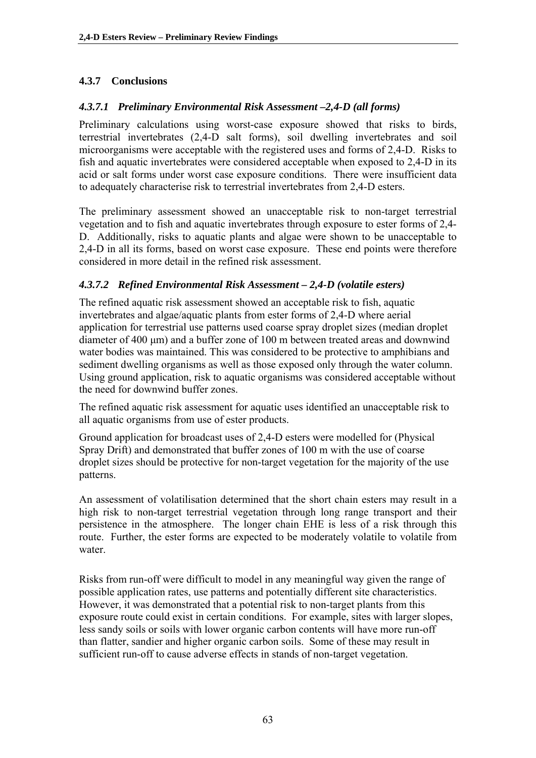# **4.3.7 Conclusions**

# *4.3.7.1 Preliminary Environmental Risk Assessment –2,4-D (all forms)*

Preliminary calculations using worst-case exposure showed that risks to birds, terrestrial invertebrates (2,4-D salt forms), soil dwelling invertebrates and soil microorganisms were acceptable with the registered uses and forms of 2,4-D. Risks to fish and aquatic invertebrates were considered acceptable when exposed to 2,4-D in its acid or salt forms under worst case exposure conditions. There were insufficient data to adequately characterise risk to terrestrial invertebrates from 2,4-D esters.

The preliminary assessment showed an unacceptable risk to non-target terrestrial vegetation and to fish and aquatic invertebrates through exposure to ester forms of 2,4- D. Additionally, risks to aquatic plants and algae were shown to be unacceptable to 2,4-D in all its forms, based on worst case exposure. These end points were therefore considered in more detail in the refined risk assessment.

# *4.3.7.2 Refined Environmental Risk Assessment – 2,4-D (volatile esters)*

The refined aquatic risk assessment showed an acceptable risk to fish, aquatic invertebrates and algae/aquatic plants from ester forms of 2,4-D where aerial application for terrestrial use patterns used coarse spray droplet sizes (median droplet diameter of 400 μm) and a buffer zone of 100 m between treated areas and downwind water bodies was maintained. This was considered to be protective to amphibians and sediment dwelling organisms as well as those exposed only through the water column. Using ground application, risk to aquatic organisms was considered acceptable without the need for downwind buffer zones.

The refined aquatic risk assessment for aquatic uses identified an unacceptable risk to all aquatic organisms from use of ester products.

Ground application for broadcast uses of 2,4-D esters were modelled for (Physical Spray Drift) and demonstrated that buffer zones of 100 m with the use of coarse droplet sizes should be protective for non-target vegetation for the majority of the use patterns.

An assessment of volatilisation determined that the short chain esters may result in a high risk to non-target terrestrial vegetation through long range transport and their persistence in the atmosphere. The longer chain EHE is less of a risk through this route. Further, the ester forms are expected to be moderately volatile to volatile from water.

Risks from run-off were difficult to model in any meaningful way given the range of possible application rates, use patterns and potentially different site characteristics. However, it was demonstrated that a potential risk to non-target plants from this exposure route could exist in certain conditions. For example, sites with larger slopes, less sandy soils or soils with lower organic carbon contents will have more run-off than flatter, sandier and higher organic carbon soils. Some of these may result in sufficient run-off to cause adverse effects in stands of non-target vegetation.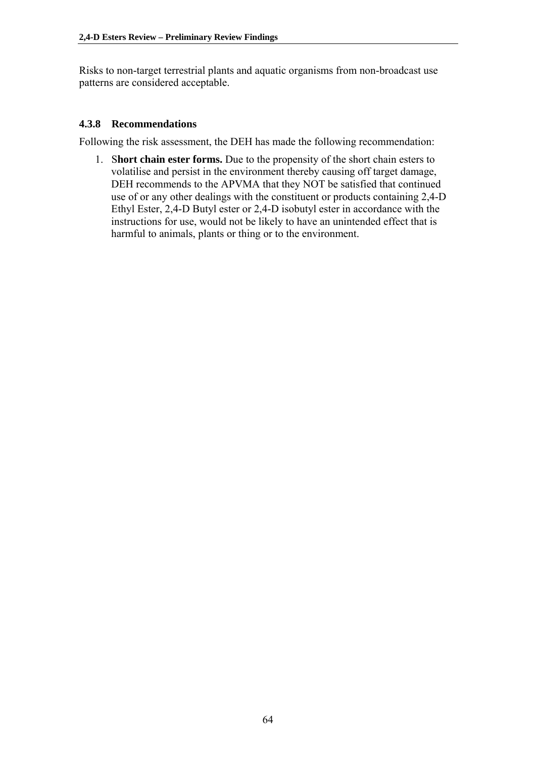Risks to non-target terrestrial plants and aquatic organisms from non-broadcast use patterns are considered acceptable.

### **4.3.8 Recommendations**

Following the risk assessment, the DEH has made the following recommendation:

1. S**hort chain ester forms.** Due to the propensity of the short chain esters to volatilise and persist in the environment thereby causing off target damage, DEH recommends to the APVMA that they NOT be satisfied that continued use of or any other dealings with the constituent or products containing 2,4-D Ethyl Ester, 2,4-D Butyl ester or 2,4-D isobutyl ester in accordance with the instructions for use, would not be likely to have an unintended effect that is harmful to animals, plants or thing or to the environment.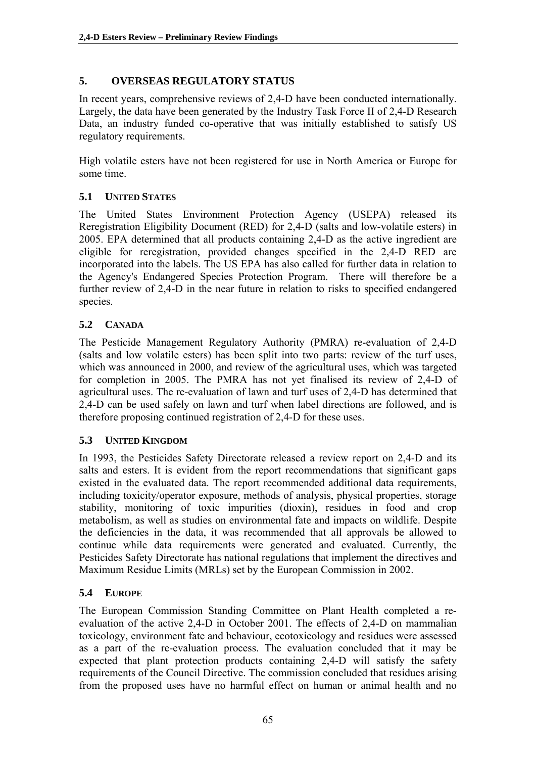# **5. OVERSEAS REGULATORY STATUS**

In recent years, comprehensive reviews of 2,4-D have been conducted internationally. Largely, the data have been generated by the Industry Task Force II of 2,4-D Research Data, an industry funded co-operative that was initially established to satisfy US regulatory requirements.

High volatile esters have not been registered for use in North America or Europe for some time.

# **5.1 UNITED STATES**

The United States Environment Protection Agency (USEPA) released its Reregistration Eligibility Document (RED) for 2,4-D (salts and low-volatile esters) in 2005. EPA determined that all products containing 2,4-D as the active ingredient are eligible for reregistration, provided changes specified in the 2,4-D RED are incorporated into the labels. The US EPA has also called for further data in relation to the Agency's Endangered Species Protection Program. There will therefore be a further review of 2,4-D in the near future in relation to risks to specified endangered species.

# **5.2 CANADA**

The Pesticide Management Regulatory Authority (PMRA) re-evaluation of 2,4-D (salts and low volatile esters) has been split into two parts: review of the turf uses, which was announced in 2000, and review of the agricultural uses, which was targeted for completion in 2005. The PMRA has not yet finalised its review of 2,4-D of agricultural uses. The re-evaluation of lawn and turf uses of 2,4-D has determined that 2,4-D can be used safely on lawn and turf when label directions are followed, and is therefore proposing continued registration of 2,4-D for these uses.

# **5.3 UNITED KINGDOM**

In 1993, the Pesticides Safety Directorate released a review report on 2,4-D and its salts and esters. It is evident from the report recommendations that significant gaps existed in the evaluated data. The report recommended additional data requirements, including toxicity/operator exposure, methods of analysis, physical properties, storage stability, monitoring of toxic impurities (dioxin), residues in food and crop metabolism, as well as studies on environmental fate and impacts on wildlife. Despite the deficiencies in the data, it was recommended that all approvals be allowed to continue while data requirements were generated and evaluated. Currently, the Pesticides Safety Directorate has national regulations that implement the directives and Maximum Residue Limits (MRLs) set by the European Commission in 2002.

# **5.4 EUROPE**

The European Commission Standing Committee on Plant Health completed a reevaluation of the active 2,4-D in October 2001. The effects of 2,4-D on mammalian toxicology, environment fate and behaviour, ecotoxicology and residues were assessed as a part of the re-evaluation process. The evaluation concluded that it may be expected that plant protection products containing 2,4-D will satisfy the safety requirements of the Council Directive. The commission concluded that residues arising from the proposed uses have no harmful effect on human or animal health and no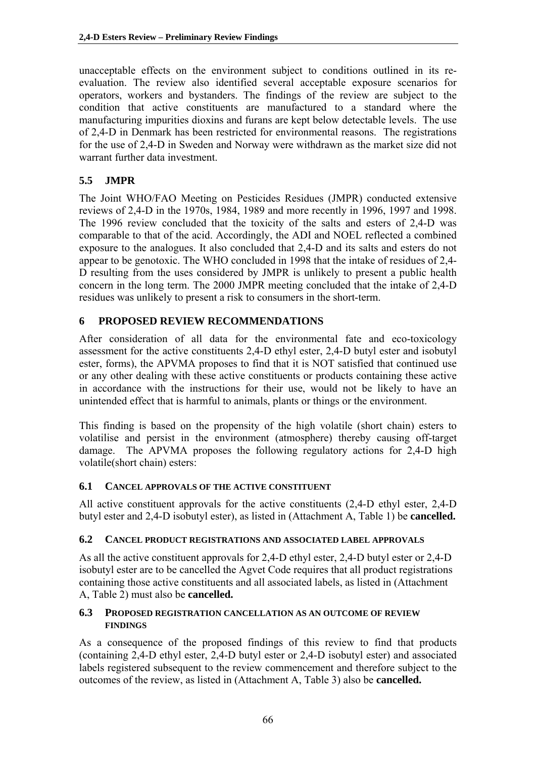unacceptable effects on the environment subject to conditions outlined in its reevaluation. The review also identified several acceptable exposure scenarios for operators, workers and bystanders. The findings of the review are subject to the condition that active constituents are manufactured to a standard where the manufacturing impurities dioxins and furans are kept below detectable levels. The use of 2,4-D in Denmark has been restricted for environmental reasons. The registrations for the use of 2,4-D in Sweden and Norway were withdrawn as the market size did not warrant further data investment.

# **5.5 JMPR**

The Joint WHO/FAO Meeting on Pesticides Residues (JMPR) conducted extensive reviews of 2,4-D in the 1970s, 1984, 1989 and more recently in 1996, 1997 and 1998. The 1996 review concluded that the toxicity of the salts and esters of 2,4-D was comparable to that of the acid. Accordingly, the ADI and NOEL reflected a combined exposure to the analogues. It also concluded that 2,4-D and its salts and esters do not appear to be genotoxic. The WHO concluded in 1998 that the intake of residues of 2,4- D resulting from the uses considered by JMPR is unlikely to present a public health concern in the long term. The 2000 JMPR meeting concluded that the intake of 2,4-D residues was unlikely to present a risk to consumers in the short-term.

# **6 PROPOSED REVIEW RECOMMENDATIONS**

After consideration of all data for the environmental fate and eco-toxicology assessment for the active constituents 2,4-D ethyl ester, 2,4-D butyl ester and isobutyl ester, forms), the APVMA proposes to find that it is NOT satisfied that continued use or any other dealing with these active constituents or products containing these active in accordance with the instructions for their use, would not be likely to have an unintended effect that is harmful to animals, plants or things or the environment.

This finding is based on the propensity of the high volatile (short chain) esters to volatilise and persist in the environment (atmosphere) thereby causing off-target damage. The APVMA proposes the following regulatory actions for 2,4-D high volatile(short chain) esters:

# **6.1 CANCEL APPROVALS OF THE ACTIVE CONSTITUENT**

All active constituent approvals for the active constituents (2,4-D ethyl ester, 2,4-D butyl ester and 2,4-D isobutyl ester), as listed in (Attachment A, Table 1) be **cancelled.**

# **6.2 CANCEL PRODUCT REGISTRATIONS AND ASSOCIATED LABEL APPROVALS**

As all the active constituent approvals for 2,4-D ethyl ester, 2,4-D butyl ester or 2,4-D isobutyl ester are to be cancelled the Agvet Code requires that all product registrations containing those active constituents and all associated labels, as listed in (Attachment A, Table 2) must also be **cancelled.** 

### **6.3 PROPOSED REGISTRATION CANCELLATION AS AN OUTCOME OF REVIEW FINDINGS**

As a consequence of the proposed findings of this review to find that products (containing 2,4-D ethyl ester, 2,4-D butyl ester or 2,4-D isobutyl ester) and associated labels registered subsequent to the review commencement and therefore subject to the outcomes of the review, as listed in (Attachment A, Table 3) also be **cancelled.**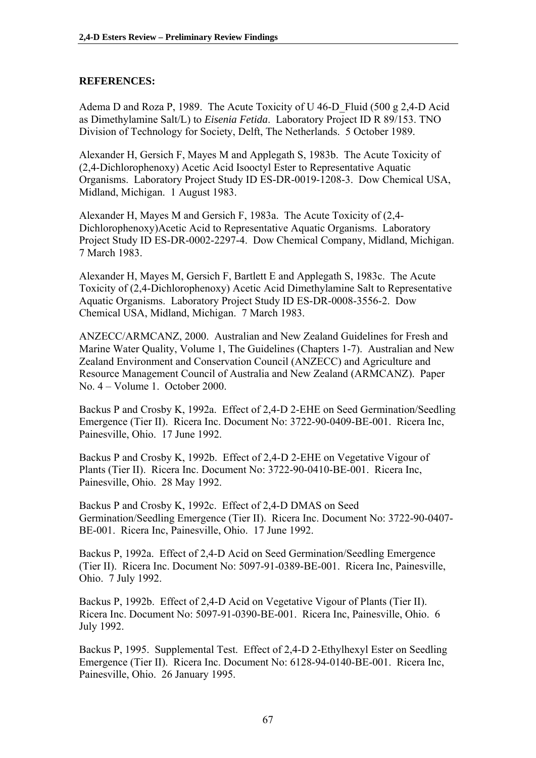### **REFERENCES:**

Adema D and Roza P, 1989. The Acute Toxicity of U 46-D\_Fluid (500 g 2,4-D Acid as Dimethylamine Salt/L) to *Eisenia Fetida*. Laboratory Project ID R 89/153. TNO Division of Technology for Society, Delft, The Netherlands. 5 October 1989.

Alexander H, Gersich F, Mayes M and Applegath S, 1983b. The Acute Toxicity of (2,4-Dichlorophenoxy) Acetic Acid Isooctyl Ester to Representative Aquatic Organisms. Laboratory Project Study ID ES-DR-0019-1208-3. Dow Chemical USA, Midland, Michigan. 1 August 1983.

Alexander H, Mayes M and Gersich F, 1983a. The Acute Toxicity of (2,4- Dichlorophenoxy)Acetic Acid to Representative Aquatic Organisms. Laboratory Project Study ID ES-DR-0002-2297-4. Dow Chemical Company, Midland, Michigan. 7 March 1983.

Alexander H, Mayes M, Gersich F, Bartlett E and Applegath S, 1983c. The Acute Toxicity of (2,4-Dichlorophenoxy) Acetic Acid Dimethylamine Salt to Representative Aquatic Organisms. Laboratory Project Study ID ES-DR-0008-3556-2. Dow Chemical USA, Midland, Michigan. 7 March 1983.

ANZECC/ARMCANZ, 2000. Australian and New Zealand Guidelines for Fresh and Marine Water Quality, Volume 1, The Guidelines (Chapters 1-7). Australian and New Zealand Environment and Conservation Council (ANZECC) and Agriculture and Resource Management Council of Australia and New Zealand (ARMCANZ). Paper No. 4 – Volume 1. October 2000.

Backus P and Crosby K, 1992a. Effect of 2,4-D 2-EHE on Seed Germination/Seedling Emergence (Tier II). Ricera Inc. Document No: 3722-90-0409-BE-001. Ricera Inc, Painesville, Ohio. 17 June 1992.

Backus P and Crosby K, 1992b. Effect of 2,4-D 2-EHE on Vegetative Vigour of Plants (Tier II). Ricera Inc. Document No: 3722-90-0410-BE-001. Ricera Inc, Painesville, Ohio. 28 May 1992.

Backus P and Crosby K, 1992c. Effect of 2,4-D DMAS on Seed Germination/Seedling Emergence (Tier II). Ricera Inc. Document No: 3722-90-0407- BE-001. Ricera Inc, Painesville, Ohio. 17 June 1992.

Backus P, 1992a. Effect of 2,4-D Acid on Seed Germination/Seedling Emergence (Tier II). Ricera Inc. Document No: 5097-91-0389-BE-001. Ricera Inc, Painesville, Ohio. 7 July 1992.

Backus P, 1992b. Effect of 2,4-D Acid on Vegetative Vigour of Plants (Tier II). Ricera Inc. Document No: 5097-91-0390-BE-001. Ricera Inc, Painesville, Ohio. 6 July 1992.

Backus P, 1995. Supplemental Test. Effect of 2,4-D 2-Ethylhexyl Ester on Seedling Emergence (Tier II). Ricera Inc. Document No: 6128-94-0140-BE-001. Ricera Inc, Painesville, Ohio. 26 January 1995.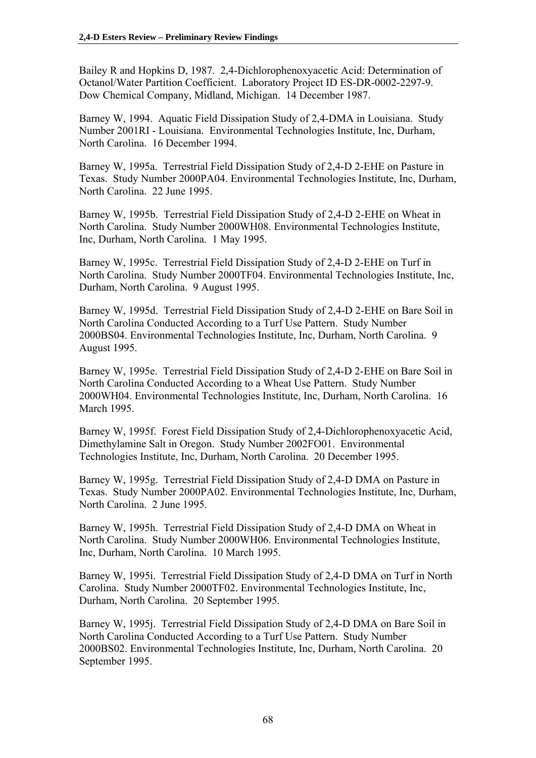Bailey R and Hopkins D, 1987. 2,4-Dichlorophenoxyacetic Acid: Determination of Octanol/Water Partition Coefficient. Laboratory Project ID ES-DR-0002-2297-9. Dow Chemical Company, Midland, Michigan. 14 December 1987.

Barney W, 1994. Aquatic Field Dissipation Study of 2,4-DMA in Louisiana. Study Number 2001RI - Louisiana. Environmental Technologies Institute, Inc, Durham, North Carolina. 16 December 1994.

Barney W, 1995a. Terrestrial Field Dissipation Study of 2,4-D 2-EHE on Pasture in Texas. Study Number 2000PA04. Environmental Technologies Institute, Inc, Durham, North Carolina. 22 June 1995.

Barney W, 1995b. Terrestrial Field Dissipation Study of 2,4-D 2-EHE on Wheat in North Carolina. Study Number 2000WH08. Environmental Technologies Institute, Inc, Durham, North Carolina. 1 May 1995.

Barney W, 1995c. Terrestrial Field Dissipation Study of 2,4-D 2-EHE on Turf in North Carolina. Study Number 2000TF04. Environmental Technologies Institute, Inc, Durham, North Carolina. 9 August 1995.

Barney W, 1995d. Terrestrial Field Dissipation Study of 2,4-D 2-EHE on Bare Soil in North Carolina Conducted According to a Turf Use Pattern. Study Number 2000BS04. Environmental Technologies Institute, Inc, Durham, North Carolina. 9 August 1995.

Barney W, 1995e. Terrestrial Field Dissipation Study of 2,4-D 2-EHE on Bare Soil in North Carolina Conducted According to a Wheat Use Pattern. Study Number 2000WH04. Environmental Technologies Institute, Inc, Durham, North Carolina. 16 March 1995.

Barney W, 1995f. Forest Field Dissipation Study of 2,4-Dichlorophenoxyacetic Acid, Dimethylamine Salt in Oregon. Study Number 2002FO01. Environmental Technologies Institute, Inc, Durham, North Carolina. 20 December 1995.

Barney W, 1995g. Terrestrial Field Dissipation Study of 2,4-D DMA on Pasture in Texas. Study Number 2000PA02. Environmental Technologies Institute, Inc, Durham, North Carolina. 2 June 1995.

Barney W, 1995h. Terrestrial Field Dissipation Study of 2,4-D DMA on Wheat in North Carolina. Study Number 2000WH06. Environmental Technologies Institute, Inc, Durham, North Carolina. 10 March 1995.

Barney W, 1995i. Terrestrial Field Dissipation Study of 2,4-D DMA on Turf in North Carolina. Study Number 2000TF02. Environmental Technologies Institute, Inc, Durham, North Carolina. 20 September 1995.

Barney W, 1995j. Terrestrial Field Dissipation Study of 2,4-D DMA on Bare Soil in North Carolina Conducted According to a Turf Use Pattern. Study Number 2000BS02. Environmental Technologies Institute, Inc, Durham, North Carolina. 20 September 1995.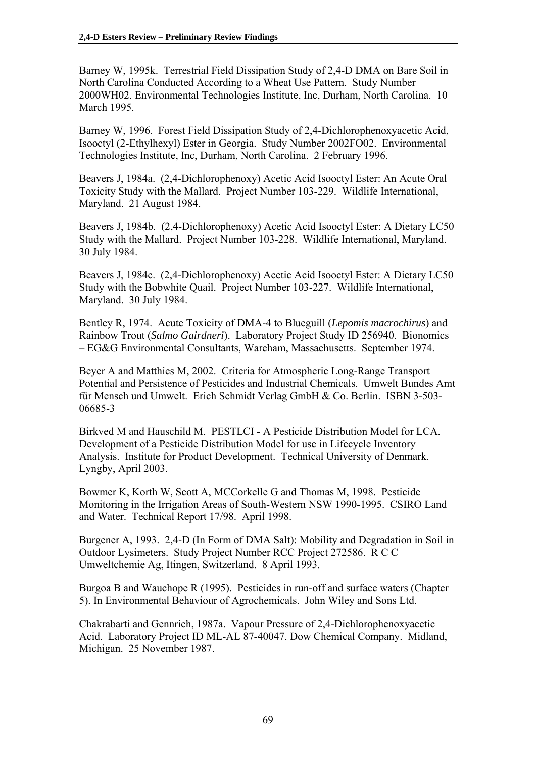Barney W, 1995k. Terrestrial Field Dissipation Study of 2,4-D DMA on Bare Soil in North Carolina Conducted According to a Wheat Use Pattern. Study Number 2000WH02. Environmental Technologies Institute, Inc, Durham, North Carolina. 10 March 1995.

Barney W, 1996. Forest Field Dissipation Study of 2,4-Dichlorophenoxyacetic Acid, Isooctyl (2-Ethylhexyl) Ester in Georgia. Study Number 2002FO02. Environmental Technologies Institute, Inc, Durham, North Carolina. 2 February 1996.

Beavers J, 1984a. (2,4-Dichlorophenoxy) Acetic Acid Isooctyl Ester: An Acute Oral Toxicity Study with the Mallard. Project Number 103-229. Wildlife International, Maryland. 21 August 1984.

Beavers J, 1984b. (2,4-Dichlorophenoxy) Acetic Acid Isooctyl Ester: A Dietary LC50 Study with the Mallard. Project Number 103-228. Wildlife International, Maryland. 30 July 1984.

Beavers J, 1984c. (2,4-Dichlorophenoxy) Acetic Acid Isooctyl Ester: A Dietary LC50 Study with the Bobwhite Quail. Project Number 103-227. Wildlife International, Maryland. 30 July 1984.

Bentley R, 1974. Acute Toxicity of DMA-4 to Blueguill (*Lepomis macrochirus*) and Rainbow Trout (*Salmo Gairdneri*). Laboratory Project Study ID 256940. Bionomics – EG&G Environmental Consultants, Wareham, Massachusetts. September 1974.

Beyer A and Matthies M, 2002. Criteria for Atmospheric Long-Range Transport Potential and Persistence of Pesticides and Industrial Chemicals. Umwelt Bundes Amt für Mensch und Umwelt. Erich Schmidt Verlag GmbH & Co. Berlin. ISBN 3-503- 06685-3

Birkved M and Hauschild M. PESTLCI - A Pesticide Distribution Model for LCA. Development of a Pesticide Distribution Model for use in Lifecycle Inventory Analysis. Institute for Product Development. Technical University of Denmark. Lyngby, April 2003.

Bowmer K, Korth W, Scott A, MCCorkelle G and Thomas M, 1998. Pesticide Monitoring in the Irrigation Areas of South-Western NSW 1990-1995. CSIRO Land and Water. Technical Report 17/98. April 1998.

Burgener A, 1993. 2,4-D (In Form of DMA Salt): Mobility and Degradation in Soil in Outdoor Lysimeters. Study Project Number RCC Project 272586. R C C Umweltchemie Ag, Itingen, Switzerland. 8 April 1993.

Burgoa B and Wauchope R (1995). Pesticides in run-off and surface waters (Chapter 5). In Environmental Behaviour of Agrochemicals. John Wiley and Sons Ltd.

Chakrabarti and Gennrich, 1987a. Vapour Pressure of 2,4-Dichlorophenoxyacetic Acid. Laboratory Project ID ML-AL 87-40047. Dow Chemical Company. Midland, Michigan. 25 November 1987.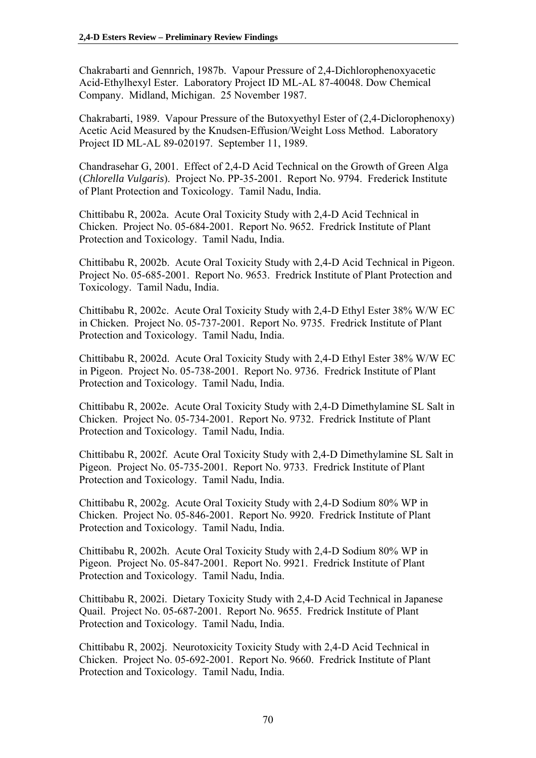Chakrabarti and Gennrich, 1987b. Vapour Pressure of 2,4-Dichlorophenoxyacetic Acid-Ethylhexyl Ester. Laboratory Project ID ML-AL 87-40048. Dow Chemical Company. Midland, Michigan. 25 November 1987.

Chakrabarti, 1989. Vapour Pressure of the Butoxyethyl Ester of (2,4-Diclorophenoxy) Acetic Acid Measured by the Knudsen-Effusion/Weight Loss Method. Laboratory Project ID ML-AL 89-020197. September 11, 1989.

Chandrasehar G, 2001. Effect of 2,4-D Acid Technical on the Growth of Green Alga (*Chlorella Vulgaris*). Project No. PP-35-2001. Report No. 9794. Frederick Institute of Plant Protection and Toxicology. Tamil Nadu, India.

Chittibabu R, 2002a. Acute Oral Toxicity Study with 2,4-D Acid Technical in Chicken. Project No. 05-684-2001. Report No. 9652. Fredrick Institute of Plant Protection and Toxicology. Tamil Nadu, India.

Chittibabu R, 2002b. Acute Oral Toxicity Study with 2,4-D Acid Technical in Pigeon. Project No. 05-685-2001. Report No. 9653. Fredrick Institute of Plant Protection and Toxicology. Tamil Nadu, India.

Chittibabu R, 2002c. Acute Oral Toxicity Study with 2,4-D Ethyl Ester 38% W/W EC in Chicken. Project No. 05-737-2001. Report No. 9735. Fredrick Institute of Plant Protection and Toxicology. Tamil Nadu, India.

Chittibabu R, 2002d. Acute Oral Toxicity Study with 2,4-D Ethyl Ester 38% W/W EC in Pigeon. Project No. 05-738-2001. Report No. 9736. Fredrick Institute of Plant Protection and Toxicology. Tamil Nadu, India.

Chittibabu R, 2002e. Acute Oral Toxicity Study with 2,4-D Dimethylamine SL Salt in Chicken. Project No. 05-734-2001. Report No. 9732. Fredrick Institute of Plant Protection and Toxicology. Tamil Nadu, India.

Chittibabu R, 2002f. Acute Oral Toxicity Study with 2,4-D Dimethylamine SL Salt in Pigeon. Project No. 05-735-2001. Report No. 9733. Fredrick Institute of Plant Protection and Toxicology. Tamil Nadu, India.

Chittibabu R, 2002g. Acute Oral Toxicity Study with 2,4-D Sodium 80% WP in Chicken. Project No. 05-846-2001. Report No. 9920. Fredrick Institute of Plant Protection and Toxicology. Tamil Nadu, India.

Chittibabu R, 2002h. Acute Oral Toxicity Study with 2,4-D Sodium 80% WP in Pigeon. Project No. 05-847-2001. Report No. 9921. Fredrick Institute of Plant Protection and Toxicology. Tamil Nadu, India.

Chittibabu R, 2002i. Dietary Toxicity Study with 2,4-D Acid Technical in Japanese Quail. Project No. 05-687-2001. Report No. 9655. Fredrick Institute of Plant Protection and Toxicology. Tamil Nadu, India.

Chittibabu R, 2002j. Neurotoxicity Toxicity Study with 2,4-D Acid Technical in Chicken. Project No. 05-692-2001. Report No. 9660. Fredrick Institute of Plant Protection and Toxicology. Tamil Nadu, India.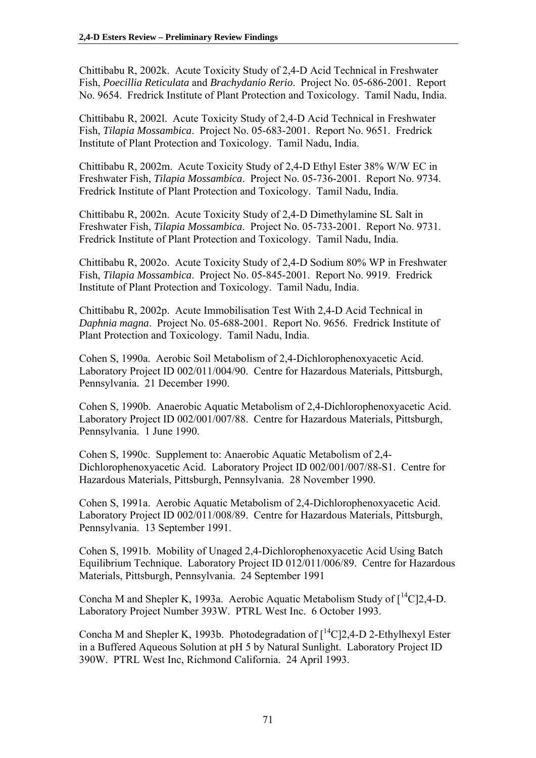Chittibabu R, 2002k. Acute Toxicity Study of 2,4-D Acid Technical in Freshwater Fish, *Poecillia Reticulata* and *Brachydanio Rerio*. Project No. 05-686-2001. Report No. 9654. Fredrick Institute of Plant Protection and Toxicology. Tamil Nadu, India.

Chittibabu R, 2002l. Acute Toxicity Study of 2,4-D Acid Technical in Freshwater Fish, *Tilapia Mossambica*. Project No. 05-683-2001. Report No. 9651. Fredrick Institute of Plant Protection and Toxicology. Tamil Nadu, India.

Chittibabu R, 2002m. Acute Toxicity Study of 2,4-D Ethyl Ester 38% W/W EC in Freshwater Fish, *Tilapia Mossambica*. Project No. 05-736-2001. Report No. 9734. Fredrick Institute of Plant Protection and Toxicology. Tamil Nadu, India.

Chittibabu R, 2002n. Acute Toxicity Study of 2,4-D Dimethylamine SL Salt in Freshwater Fish, *Tilapia Mossambica*. Project No. 05-733-2001. Report No. 9731. Fredrick Institute of Plant Protection and Toxicology. Tamil Nadu, India.

Chittibabu R, 2002o. Acute Toxicity Study of 2,4-D Sodium 80% WP in Freshwater Fish, *Tilapia Mossambica*. Project No. 05-845-2001. Report No. 9919. Fredrick Institute of Plant Protection and Toxicology. Tamil Nadu, India.

Chittibabu R, 2002p. Acute Immobilisation Test With 2,4-D Acid Technical in *Daphnia magna*. Project No. 05-688-2001. Report No. 9656. Fredrick Institute of Plant Protection and Toxicology. Tamil Nadu, India.

Cohen S, 1990a. Aerobic Soil Metabolism of 2,4-Dichlorophenoxyacetic Acid. Laboratory Project ID 002/011/004/90. Centre for Hazardous Materials, Pittsburgh, Pennsylvania. 21 December 1990.

Cohen S, 1990b. Anaerobic Aquatic Metabolism of 2,4-Dichlorophenoxyacetic Acid. Laboratory Project ID 002/001/007/88. Centre for Hazardous Materials, Pittsburgh, Pennsylvania. 1 June 1990.

Cohen S, 1990c. Supplement to: Anaerobic Aquatic Metabolism of 2,4- Dichlorophenoxyacetic Acid. Laboratory Project ID 002/001/007/88-S1. Centre for Hazardous Materials, Pittsburgh, Pennsylvania. 28 November 1990.

Cohen S, 1991a. Aerobic Aquatic Metabolism of 2,4-Dichlorophenoxyacetic Acid. Laboratory Project ID 002/011/008/89. Centre for Hazardous Materials, Pittsburgh, Pennsylvania. 13 September 1991.

Cohen S, 1991b. Mobility of Unaged 2,4-Dichlorophenoxyacetic Acid Using Batch Equilibrium Technique. Laboratory Project ID 012/011/006/89. Centre for Hazardous Materials, Pittsburgh, Pennsylvania. 24 September 1991

Concha M and Shepler K, 1993a. Aerobic Aquatic Metabolism Study of  $\lceil {^{14}C}\rceil$ 2,4-D. Laboratory Project Number 393W. PTRL West Inc. 6 October 1993.

Concha M and Shepler K, 1993b. Photodegradation of  $\int_1^{14}C[2,4-D]$  2-Ethylhexyl Ester in a Buffered Aqueous Solution at pH 5 by Natural Sunlight. Laboratory Project ID 390W. PTRL West Inc, Richmond California. 24 April 1993.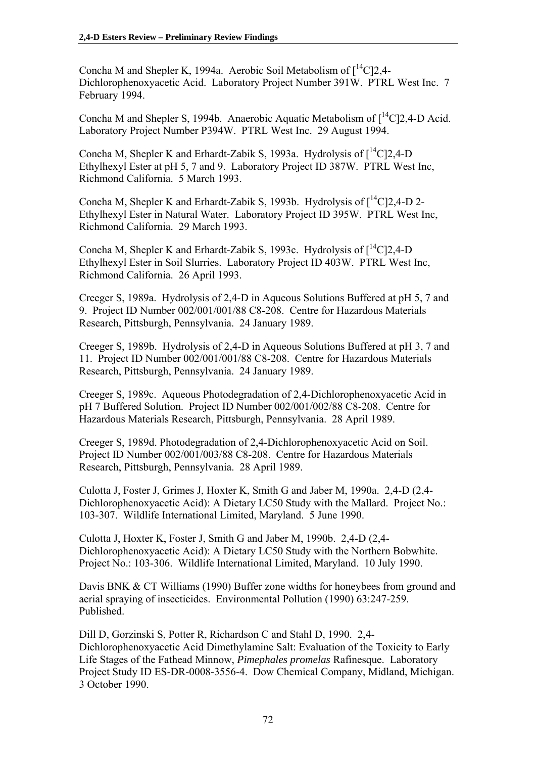Concha M and Shepler K, 1994a. Aerobic Soil Metabolism of  $\int_1^{14}C|2,4-$ Dichlorophenoxyacetic Acid. Laboratory Project Number 391W. PTRL West Inc. 7 February 1994.

Concha M and Shepler S, 1994b. Anaerobic Aquatic Metabolism of  $\int_1^{14}C[2,4-D \text{ Acid.}]$ Laboratory Project Number P394W. PTRL West Inc. 29 August 1994.

Concha M, Shepler K and Erhardt-Zabik S, 1993a. Hydrolysis of  $\int^{14}$ Cl2.4-D Ethylhexyl Ester at pH 5, 7 and 9. Laboratory Project ID 387W. PTRL West Inc, Richmond California. 5 March 1993.

Concha M, Shepler K and Erhardt-Zabik S, 1993b. Hydrolysis of  $\int_1^{14}C|2,4-D$  2-Ethylhexyl Ester in Natural Water. Laboratory Project ID 395W. PTRL West Inc, Richmond California. 29 March 1993.

Concha M, Shepler K and Erhardt-Zabik S, 1993c. Hydrolysis of  $\int^{14}C|2,4-D$ Ethylhexyl Ester in Soil Slurries. Laboratory Project ID 403W. PTRL West Inc, Richmond California. 26 April 1993.

Creeger S, 1989a. Hydrolysis of 2,4-D in Aqueous Solutions Buffered at pH 5, 7 and 9. Project ID Number 002/001/001/88 C8-208. Centre for Hazardous Materials Research, Pittsburgh, Pennsylvania. 24 January 1989.

Creeger S, 1989b. Hydrolysis of 2,4-D in Aqueous Solutions Buffered at pH 3, 7 and 11. Project ID Number 002/001/001/88 C8-208. Centre for Hazardous Materials Research, Pittsburgh, Pennsylvania. 24 January 1989.

Creeger S, 1989c. Aqueous Photodegradation of 2,4-Dichlorophenoxyacetic Acid in pH 7 Buffered Solution. Project ID Number 002/001/002/88 C8-208. Centre for Hazardous Materials Research, Pittsburgh, Pennsylvania. 28 April 1989.

Creeger S, 1989d. Photodegradation of 2,4-Dichlorophenoxyacetic Acid on Soil. Project ID Number 002/001/003/88 C8-208. Centre for Hazardous Materials Research, Pittsburgh, Pennsylvania. 28 April 1989.

Culotta J, Foster J, Grimes J, Hoxter K, Smith G and Jaber M, 1990a. 2,4-D (2,4- Dichlorophenoxyacetic Acid): A Dietary LC50 Study with the Mallard. Project No.: 103-307. Wildlife International Limited, Maryland. 5 June 1990.

Culotta J, Hoxter K, Foster J, Smith G and Jaber M, 1990b. 2,4-D (2,4- Dichlorophenoxyacetic Acid): A Dietary LC50 Study with the Northern Bobwhite. Project No.: 103-306. Wildlife International Limited, Maryland. 10 July 1990.

Davis BNK & CT Williams (1990) Buffer zone widths for honeybees from ground and aerial spraying of insecticides. Environmental Pollution (1990) 63:247-259. Published.

Dill D, Gorzinski S, Potter R, Richardson C and Stahl D, 1990. 2,4- Dichlorophenoxyacetic Acid Dimethylamine Salt: Evaluation of the Toxicity to Early Life Stages of the Fathead Minnow, *Pimephales promelas* Rafinesque. Laboratory Project Study ID ES-DR-0008-3556-4. Dow Chemical Company, Midland, Michigan. 3 October 1990.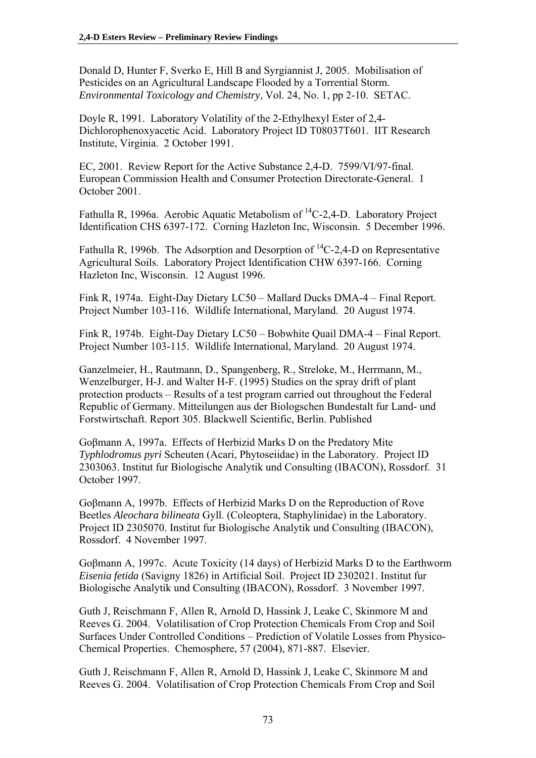Donald D, Hunter F, Sverko E, Hill B and Syrgiannist J, 2005. Mobilisation of Pesticides on an Agricultural Landscape Flooded by a Torrential Storm. *Environmental Toxicology and Chemistry*, Vol. 24, No. 1, pp 2-10. SETAC.

Doyle R, 1991. Laboratory Volatility of the 2-Ethylhexyl Ester of 2,4- Dichlorophenoxyacetic Acid. Laboratory Project ID T08037T601. IIT Research Institute, Virginia. 2 October 1991.

EC, 2001. Review Report for the Active Substance 2,4-D. 7599/VI/97-final. European Commission Health and Consumer Protection Directorate-General. 1 October 2001.

Fathulla R, 1996a. Aerobic Aquatic Metabolism of  ${}^{14}C-2.4-D$ . Laboratory Project Identification CHS 6397-172. Corning Hazleton Inc, Wisconsin. 5 December 1996.

Fathulla R, 1996b. The Adsorption and Desorption of  ${}^{14}C-2$ , 4-D on Representative Agricultural Soils. Laboratory Project Identification CHW 6397-166. Corning Hazleton Inc, Wisconsin. 12 August 1996.

Fink R, 1974a. Eight-Day Dietary LC50 – Mallard Ducks DMA-4 – Final Report. Project Number 103-116. Wildlife International, Maryland. 20 August 1974.

Fink R, 1974b. Eight-Day Dietary LC50 – Bobwhite Quail DMA-4 – Final Report. Project Number 103-115. Wildlife International, Maryland. 20 August 1974.

Ganzelmeier, H., Rautmann, D., Spangenberg, R., Streloke, M., Herrmann, M., Wenzelburger, H-J. and Walter H-F. (1995) Studies on the spray drift of plant protection products – Results of a test program carried out throughout the Federal Republic of Germany. Mitteilungen aus der Biologschen Bundestalt fur Land- und Forstwirtschaft. Report 305. Blackwell Scientific, Berlin. Published

Goβmann A, 1997a. Effects of Herbizid Marks D on the Predatory Mite *Typhlodromus pyri* Scheuten (Acari, Phytoseiidae) in the Laboratory. Project ID 2303063. Institut fur Biologische Analytik und Consulting (IBACON), Rossdorf. 31 October 1997.

Goβmann A, 1997b. Effects of Herbizid Marks D on the Reproduction of Rove Beetles *Aleochara bilineata* Gyll. (Coleoptera, Staphylinidae) in the Laboratory. Project ID 2305070. Institut fur Biologische Analytik und Consulting (IBACON), Rossdorf. 4 November 1997.

Goβmann A, 1997c. Acute Toxicity (14 days) of Herbizid Marks D to the Earthworm *Eisenia fetida* (Savigny 1826) in Artificial Soil. Project ID 2302021. Institut fur Biologische Analytik und Consulting (IBACON), Rossdorf. 3 November 1997.

Guth J, Reischmann F, Allen R, Arnold D, Hassink J, Leake C, Skinmore M and Reeves G. 2004. Volatilisation of Crop Protection Chemicals From Crop and Soil Surfaces Under Controlled Conditions – Prediction of Volatile Losses from Physico-Chemical Properties. Chemosphere, 57 (2004), 871-887. Elsevier.

Guth J, Reischmann F, Allen R, Arnold D, Hassink J, Leake C, Skinmore M and Reeves G. 2004. Volatilisation of Crop Protection Chemicals From Crop and Soil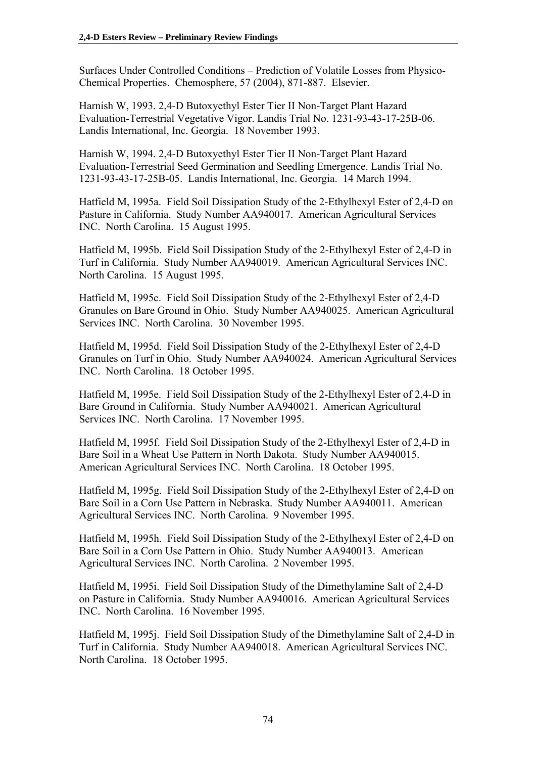Surfaces Under Controlled Conditions – Prediction of Volatile Losses from Physico-Chemical Properties. Chemosphere, 57 (2004), 871-887. Elsevier.

Harnish W, 1993. 2,4-D Butoxyethyl Ester Tier II Non-Target Plant Hazard Evaluation-Terrestrial Vegetative Vigor. Landis Trial No. 1231-93-43-17-25B-06. Landis International, Inc. Georgia. 18 November 1993.

Harnish W, 1994. 2,4-D Butoxyethyl Ester Tier II Non-Target Plant Hazard Evaluation-Terrestrial Seed Germination and Seedling Emergence. Landis Trial No. 1231-93-43-17-25B-05. Landis International, Inc. Georgia. 14 March 1994.

Hatfield M, 1995a. Field Soil Dissipation Study of the 2-Ethylhexyl Ester of 2,4-D on Pasture in California. Study Number AA940017. American Agricultural Services INC. North Carolina. 15 August 1995.

Hatfield M, 1995b. Field Soil Dissipation Study of the 2-Ethylhexyl Ester of 2,4-D in Turf in California. Study Number AA940019. American Agricultural Services INC. North Carolina. 15 August 1995.

Hatfield M, 1995c. Field Soil Dissipation Study of the 2-Ethylhexyl Ester of 2,4-D Granules on Bare Ground in Ohio. Study Number AA940025. American Agricultural Services INC. North Carolina. 30 November 1995.

Hatfield M, 1995d. Field Soil Dissipation Study of the 2-Ethylhexyl Ester of 2,4-D Granules on Turf in Ohio. Study Number AA940024. American Agricultural Services INC. North Carolina. 18 October 1995.

Hatfield M, 1995e. Field Soil Dissipation Study of the 2-Ethylhexyl Ester of 2,4-D in Bare Ground in California. Study Number AA940021. American Agricultural Services INC. North Carolina. 17 November 1995.

Hatfield M, 1995f. Field Soil Dissipation Study of the 2-Ethylhexyl Ester of 2,4-D in Bare Soil in a Wheat Use Pattern in North Dakota. Study Number AA940015. American Agricultural Services INC. North Carolina. 18 October 1995.

Hatfield M, 1995g. Field Soil Dissipation Study of the 2-Ethylhexyl Ester of 2,4-D on Bare Soil in a Corn Use Pattern in Nebraska. Study Number AA940011. American Agricultural Services INC. North Carolina. 9 November 1995.

Hatfield M, 1995h. Field Soil Dissipation Study of the 2-Ethylhexyl Ester of 2,4-D on Bare Soil in a Corn Use Pattern in Ohio. Study Number AA940013. American Agricultural Services INC. North Carolina. 2 November 1995.

Hatfield M, 1995i. Field Soil Dissipation Study of the Dimethylamine Salt of 2,4-D on Pasture in California. Study Number AA940016. American Agricultural Services INC. North Carolina. 16 November 1995.

Hatfield M, 1995j. Field Soil Dissipation Study of the Dimethylamine Salt of 2,4-D in Turf in California. Study Number AA940018. American Agricultural Services INC. North Carolina. 18 October 1995.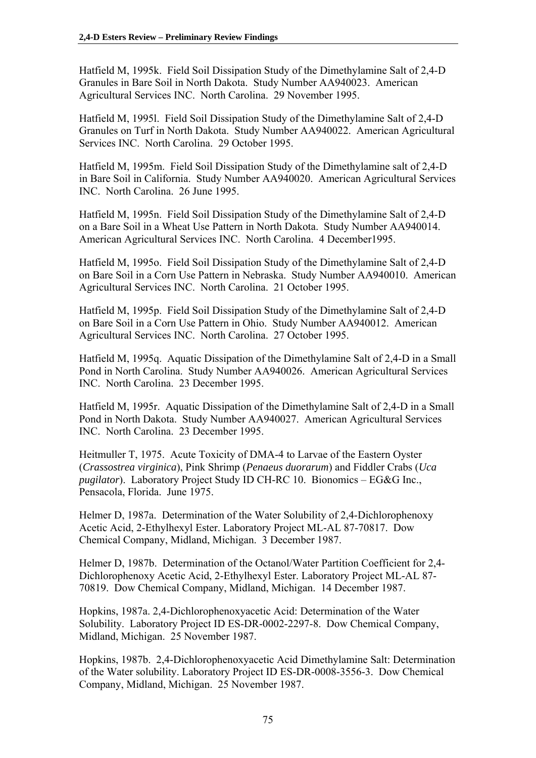Hatfield M, 1995k. Field Soil Dissipation Study of the Dimethylamine Salt of 2,4-D Granules in Bare Soil in North Dakota. Study Number AA940023. American Agricultural Services INC. North Carolina. 29 November 1995.

Hatfield M, 1995l. Field Soil Dissipation Study of the Dimethylamine Salt of 2,4-D Granules on Turf in North Dakota. Study Number AA940022. American Agricultural Services INC. North Carolina. 29 October 1995.

Hatfield M, 1995m. Field Soil Dissipation Study of the Dimethylamine salt of 2,4-D in Bare Soil in California. Study Number AA940020. American Agricultural Services INC. North Carolina. 26 June 1995.

Hatfield M, 1995n. Field Soil Dissipation Study of the Dimethylamine Salt of 2,4-D on a Bare Soil in a Wheat Use Pattern in North Dakota. Study Number AA940014. American Agricultural Services INC. North Carolina. 4 December1995.

Hatfield M, 1995o. Field Soil Dissipation Study of the Dimethylamine Salt of 2,4-D on Bare Soil in a Corn Use Pattern in Nebraska. Study Number AA940010. American Agricultural Services INC. North Carolina. 21 October 1995.

Hatfield M, 1995p. Field Soil Dissipation Study of the Dimethylamine Salt of 2,4-D on Bare Soil in a Corn Use Pattern in Ohio. Study Number AA940012. American Agricultural Services INC. North Carolina. 27 October 1995.

Hatfield M, 1995q. Aquatic Dissipation of the Dimethylamine Salt of 2,4-D in a Small Pond in North Carolina. Study Number AA940026. American Agricultural Services INC. North Carolina. 23 December 1995.

Hatfield M, 1995r. Aquatic Dissipation of the Dimethylamine Salt of 2,4-D in a Small Pond in North Dakota. Study Number AA940027. American Agricultural Services INC. North Carolina. 23 December 1995.

Heitmuller T, 1975. Acute Toxicity of DMA-4 to Larvae of the Eastern Oyster (*Crassostrea virginica*), Pink Shrimp (*Penaeus duorarum*) and Fiddler Crabs (*Uca pugilator*). Laboratory Project Study ID CH-RC 10. Bionomics – EG&G Inc., Pensacola, Florida. June 1975.

Helmer D, 1987a. Determination of the Water Solubility of 2,4-Dichlorophenoxy Acetic Acid, 2-Ethylhexyl Ester. Laboratory Project ML-AL 87-70817. Dow Chemical Company, Midland, Michigan. 3 December 1987.

Helmer D, 1987b. Determination of the Octanol/Water Partition Coefficient for 2,4- Dichlorophenoxy Acetic Acid, 2-Ethylhexyl Ester. Laboratory Project ML-AL 87- 70819. Dow Chemical Company, Midland, Michigan. 14 December 1987.

Hopkins, 1987a. 2,4-Dichlorophenoxyacetic Acid: Determination of the Water Solubility. Laboratory Project ID ES-DR-0002-2297-8. Dow Chemical Company, Midland, Michigan. 25 November 1987.

Hopkins, 1987b. 2,4-Dichlorophenoxyacetic Acid Dimethylamine Salt: Determination of the Water solubility. Laboratory Project ID ES-DR-0008-3556-3. Dow Chemical Company, Midland, Michigan. 25 November 1987.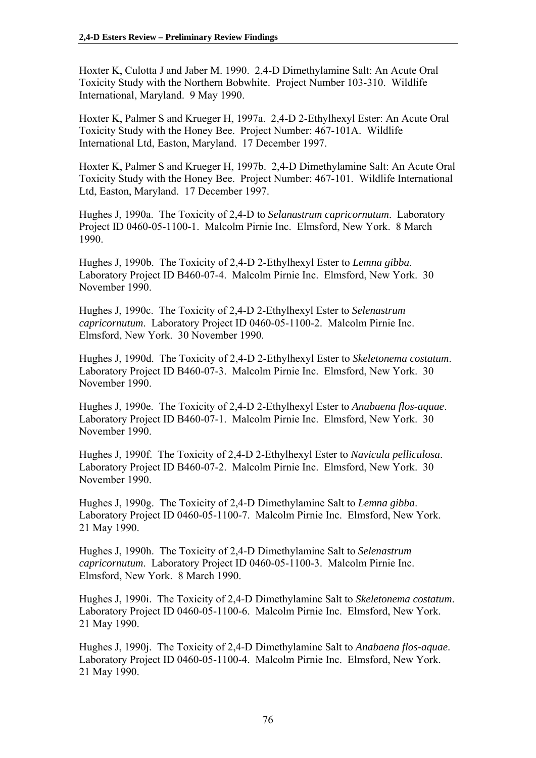Hoxter K, Culotta J and Jaber M. 1990. 2,4-D Dimethylamine Salt: An Acute Oral Toxicity Study with the Northern Bobwhite. Project Number 103-310. Wildlife International, Maryland. 9 May 1990.

Hoxter K, Palmer S and Krueger H, 1997a. 2,4-D 2-Ethylhexyl Ester: An Acute Oral Toxicity Study with the Honey Bee. Project Number: 467-101A. Wildlife International Ltd, Easton, Maryland. 17 December 1997.

Hoxter K, Palmer S and Krueger H, 1997b. 2,4-D Dimethylamine Salt: An Acute Oral Toxicity Study with the Honey Bee. Project Number: 467-101. Wildlife International Ltd, Easton, Maryland. 17 December 1997.

Hughes J, 1990a. The Toxicity of 2,4-D to *Selanastrum capricornutum*. Laboratory Project ID 0460-05-1100-1. Malcolm Pirnie Inc. Elmsford, New York. 8 March 1990.

Hughes J, 1990b. The Toxicity of 2,4-D 2-Ethylhexyl Ester to *Lemna gibba*. Laboratory Project ID B460-07-4. Malcolm Pirnie Inc. Elmsford, New York. 30 November 1990.

Hughes J, 1990c. The Toxicity of 2,4-D 2-Ethylhexyl Ester to *Selenastrum capricornutum*. Laboratory Project ID 0460-05-1100-2. Malcolm Pirnie Inc. Elmsford, New York. 30 November 1990.

Hughes J, 1990d. The Toxicity of 2,4-D 2-Ethylhexyl Ester to *Skeletonema costatum*. Laboratory Project ID B460-07-3. Malcolm Pirnie Inc. Elmsford, New York. 30 November 1990.

Hughes J, 1990e. The Toxicity of 2,4-D 2-Ethylhexyl Ester to *Anabaena flos-aquae*. Laboratory Project ID B460-07-1. Malcolm Pirnie Inc. Elmsford, New York. 30 November 1990.

Hughes J, 1990f. The Toxicity of 2,4-D 2-Ethylhexyl Ester to *Navicula pelliculosa*. Laboratory Project ID B460-07-2. Malcolm Pirnie Inc. Elmsford, New York. 30 November 1990.

Hughes J, 1990g. The Toxicity of 2,4-D Dimethylamine Salt to *Lemna gibba*. Laboratory Project ID 0460-05-1100-7. Malcolm Pirnie Inc. Elmsford, New York. 21 May 1990.

Hughes J, 1990h. The Toxicity of 2,4-D Dimethylamine Salt to *Selenastrum capricornutum*. Laboratory Project ID 0460-05-1100-3. Malcolm Pirnie Inc. Elmsford, New York. 8 March 1990.

Hughes J, 1990i. The Toxicity of 2,4-D Dimethylamine Salt to *Skeletonema costatum*. Laboratory Project ID 0460-05-1100-6. Malcolm Pirnie Inc. Elmsford, New York. 21 May 1990.

Hughes J, 1990j. The Toxicity of 2,4-D Dimethylamine Salt to *Anabaena flos-aquae*. Laboratory Project ID 0460-05-1100-4. Malcolm Pirnie Inc. Elmsford, New York. 21 May 1990.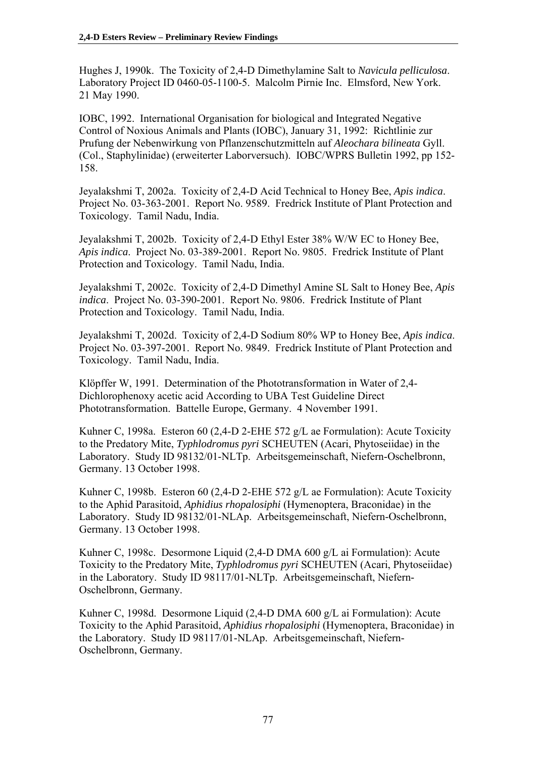Hughes J, 1990k. The Toxicity of 2,4-D Dimethylamine Salt to *Navicula pelliculosa*. Laboratory Project ID 0460-05-1100-5. Malcolm Pirnie Inc. Elmsford, New York. 21 May 1990.

IOBC, 1992. International Organisation for biological and Integrated Negative Control of Noxious Animals and Plants (IOBC), January 31, 1992: Richtlinie zur Prufung der Nebenwirkung von Pflanzenschutzmitteln auf *Aleochara bilineata* Gyll. (Col., Staphylinidae) (erweiterter Laborversuch). IOBC/WPRS Bulletin 1992, pp 152- 158.

Jeyalakshmi T, 2002a. Toxicity of 2,4-D Acid Technical to Honey Bee, *Apis indica*. Project No. 03-363-2001. Report No. 9589. Fredrick Institute of Plant Protection and Toxicology. Tamil Nadu, India.

Jeyalakshmi T, 2002b. Toxicity of 2,4-D Ethyl Ester 38% W/W EC to Honey Bee, *Apis indica*. Project No. 03-389-2001. Report No. 9805. Fredrick Institute of Plant Protection and Toxicology. Tamil Nadu, India.

Jeyalakshmi T, 2002c. Toxicity of 2,4-D Dimethyl Amine SL Salt to Honey Bee, *Apis indica*. Project No. 03-390-2001. Report No. 9806. Fredrick Institute of Plant Protection and Toxicology. Tamil Nadu, India.

Jeyalakshmi T, 2002d. Toxicity of 2,4-D Sodium 80% WP to Honey Bee, *Apis indica*. Project No. 03-397-2001. Report No. 9849. Fredrick Institute of Plant Protection and Toxicology. Tamil Nadu, India.

Klöpffer W, 1991. Determination of the Phototransformation in Water of 2,4- Dichlorophenoxy acetic acid According to UBA Test Guideline Direct Phototransformation. Battelle Europe, Germany. 4 November 1991.

Kuhner C, 1998a. Esteron 60 (2,4-D 2-EHE 572 g/L ae Formulation): Acute Toxicity to the Predatory Mite, *Typhlodromus pyri* SCHEUTEN (Acari, Phytoseiidae) in the Laboratory. Study ID 98132/01-NLTp. Arbeitsgemeinschaft, Niefern-Oschelbronn, Germany. 13 October 1998.

Kuhner C, 1998b. Esteron 60 (2,4-D 2-EHE 572 g/L ae Formulation): Acute Toxicity to the Aphid Parasitoid, *Aphidius rhopalosiphi* (Hymenoptera, Braconidae) in the Laboratory. Study ID 98132/01-NLAp. Arbeitsgemeinschaft, Niefern-Oschelbronn, Germany. 13 October 1998.

Kuhner C, 1998c. Desormone Liquid (2,4-D DMA 600 g/L ai Formulation): Acute Toxicity to the Predatory Mite, *Typhlodromus pyri* SCHEUTEN (Acari, Phytoseiidae) in the Laboratory. Study ID 98117/01-NLTp. Arbeitsgemeinschaft, Niefern-Oschelbronn, Germany.

Kuhner C, 1998d. Desormone Liquid (2,4-D DMA 600 g/L ai Formulation): Acute Toxicity to the Aphid Parasitoid, *Aphidius rhopalosiphi* (Hymenoptera, Braconidae) in the Laboratory. Study ID 98117/01-NLAp. Arbeitsgemeinschaft, Niefern-Oschelbronn, Germany.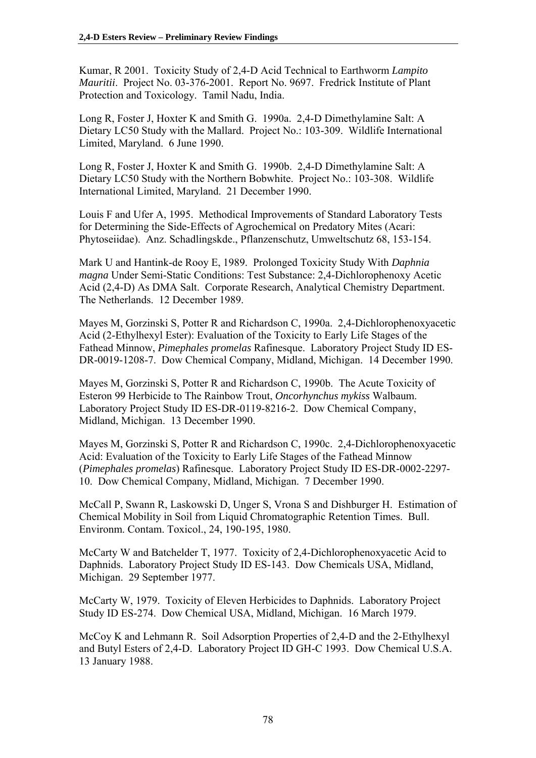Kumar, R 2001. Toxicity Study of 2,4-D Acid Technical to Earthworm *Lampito Mauritii*. Project No. 03-376-2001. Report No. 9697. Fredrick Institute of Plant Protection and Toxicology. Tamil Nadu, India.

Long R, Foster J, Hoxter K and Smith G. 1990a. 2,4-D Dimethylamine Salt: A Dietary LC50 Study with the Mallard. Project No.: 103-309. Wildlife International Limited, Maryland. 6 June 1990.

Long R, Foster J, Hoxter K and Smith G. 1990b. 2,4-D Dimethylamine Salt: A Dietary LC50 Study with the Northern Bobwhite. Project No.: 103-308. Wildlife International Limited, Maryland. 21 December 1990.

Louis F and Ufer A, 1995. Methodical Improvements of Standard Laboratory Tests for Determining the Side-Effects of Agrochemical on Predatory Mites (Acari: Phytoseiidae). Anz. Schadlingskde., Pflanzenschutz, Umweltschutz 68, 153-154.

Mark U and Hantink-de Rooy E, 1989. Prolonged Toxicity Study With *Daphnia magna* Under Semi-Static Conditions: Test Substance: 2,4-Dichlorophenoxy Acetic Acid (2,4-D) As DMA Salt. Corporate Research, Analytical Chemistry Department. The Netherlands. 12 December 1989.

Mayes M, Gorzinski S, Potter R and Richardson C, 1990a. 2,4-Dichlorophenoxyacetic Acid (2-Ethylhexyl Ester): Evaluation of the Toxicity to Early Life Stages of the Fathead Minnow, *Pimephales promelas* Rafinesque. Laboratory Project Study ID ES-DR-0019-1208-7. Dow Chemical Company, Midland, Michigan. 14 December 1990.

Mayes M, Gorzinski S, Potter R and Richardson C, 1990b. The Acute Toxicity of Esteron 99 Herbicide to The Rainbow Trout, *Oncorhynchus mykiss* Walbaum. Laboratory Project Study ID ES-DR-0119-8216-2. Dow Chemical Company, Midland, Michigan. 13 December 1990.

Mayes M, Gorzinski S, Potter R and Richardson C, 1990c. 2,4-Dichlorophenoxyacetic Acid: Evaluation of the Toxicity to Early Life Stages of the Fathead Minnow (*Pimephales promelas*) Rafinesque. Laboratory Project Study ID ES-DR-0002-2297- 10. Dow Chemical Company, Midland, Michigan. 7 December 1990.

McCall P, Swann R, Laskowski D, Unger S, Vrona S and Dishburger H. Estimation of Chemical Mobility in Soil from Liquid Chromatographic Retention Times. Bull. Environm. Contam. Toxicol., 24, 190-195, 1980.

McCarty W and Batchelder T, 1977. Toxicity of 2,4-Dichlorophenoxyacetic Acid to Daphnids. Laboratory Project Study ID ES-143. Dow Chemicals USA, Midland, Michigan. 29 September 1977.

McCarty W, 1979. Toxicity of Eleven Herbicides to Daphnids. Laboratory Project Study ID ES-274. Dow Chemical USA, Midland, Michigan. 16 March 1979.

McCoy K and Lehmann R. Soil Adsorption Properties of 2,4-D and the 2-Ethylhexyl and Butyl Esters of 2,4-D. Laboratory Project ID GH-C 1993. Dow Chemical U.S.A. 13 January 1988.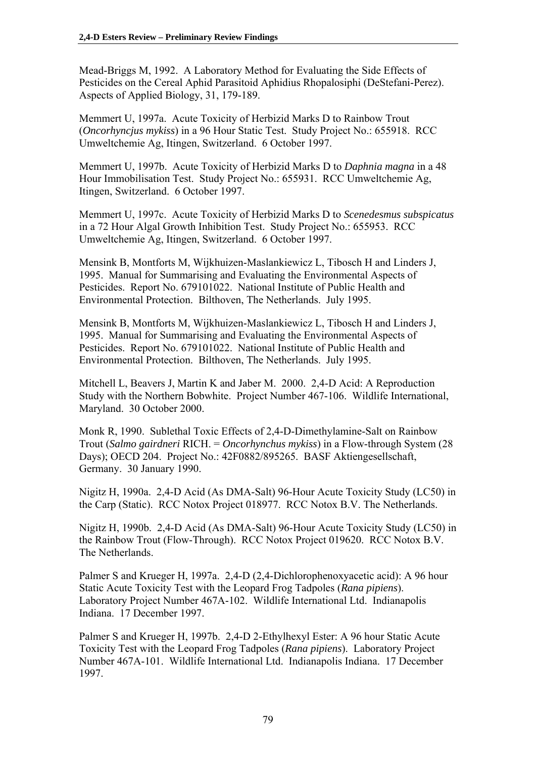Mead-Briggs M, 1992. A Laboratory Method for Evaluating the Side Effects of Pesticides on the Cereal Aphid Parasitoid Aphidius Rhopalosiphi (DeStefani-Perez). Aspects of Applied Biology, 31, 179-189.

Memmert U, 1997a. Acute Toxicity of Herbizid Marks D to Rainbow Trout (*Oncorhyncjus mykiss*) in a 96 Hour Static Test. Study Project No.: 655918. RCC Umweltchemie Ag, Itingen, Switzerland. 6 October 1997.

Memmert U, 1997b. Acute Toxicity of Herbizid Marks D to *Daphnia magna* in a 48 Hour Immobilisation Test. Study Project No.: 655931. RCC Umweltchemie Ag, Itingen, Switzerland. 6 October 1997.

Memmert U, 1997c. Acute Toxicity of Herbizid Marks D to *Scenedesmus subspicatus* in a 72 Hour Algal Growth Inhibition Test. Study Project No.: 655953. RCC Umweltchemie Ag, Itingen, Switzerland. 6 October 1997.

Mensink B, Montforts M, Wijkhuizen-Maslankiewicz L, Tibosch H and Linders J, 1995. Manual for Summarising and Evaluating the Environmental Aspects of Pesticides. Report No. 679101022. National Institute of Public Health and Environmental Protection. Bilthoven, The Netherlands. July 1995.

Mensink B, Montforts M, Wijkhuizen-Maslankiewicz L, Tibosch H and Linders J, 1995. Manual for Summarising and Evaluating the Environmental Aspects of Pesticides. Report No. 679101022. National Institute of Public Health and Environmental Protection. Bilthoven, The Netherlands. July 1995.

Mitchell L, Beavers J, Martin K and Jaber M. 2000. 2,4-D Acid: A Reproduction Study with the Northern Bobwhite. Project Number 467-106. Wildlife International, Maryland. 30 October 2000.

Monk R, 1990. Sublethal Toxic Effects of 2,4-D-Dimethylamine-Salt on Rainbow Trout (*Salmo gairdneri* RICH. = *Oncorhynchus mykiss*) in a Flow-through System (28 Days); OECD 204. Project No.: 42F0882/895265. BASF Aktiengesellschaft, Germany. 30 January 1990.

Nigitz H, 1990a. 2,4-D Acid (As DMA-Salt) 96-Hour Acute Toxicity Study (LC50) in the Carp (Static). RCC Notox Project 018977. RCC Notox B.V. The Netherlands.

Nigitz H, 1990b. 2,4-D Acid (As DMA-Salt) 96-Hour Acute Toxicity Study (LC50) in the Rainbow Trout (Flow-Through). RCC Notox Project 019620. RCC Notox B.V. The Netherlands.

Palmer S and Krueger H, 1997a. 2,4-D (2,4-Dichlorophenoxyacetic acid): A 96 hour Static Acute Toxicity Test with the Leopard Frog Tadpoles (*Rana pipiens*). Laboratory Project Number 467A-102. Wildlife International Ltd. Indianapolis Indiana. 17 December 1997.

Palmer S and Krueger H, 1997b. 2,4-D 2-Ethylhexyl Ester: A 96 hour Static Acute Toxicity Test with the Leopard Frog Tadpoles (*Rana pipiens*). Laboratory Project Number 467A-101. Wildlife International Ltd. Indianapolis Indiana. 17 December 1997.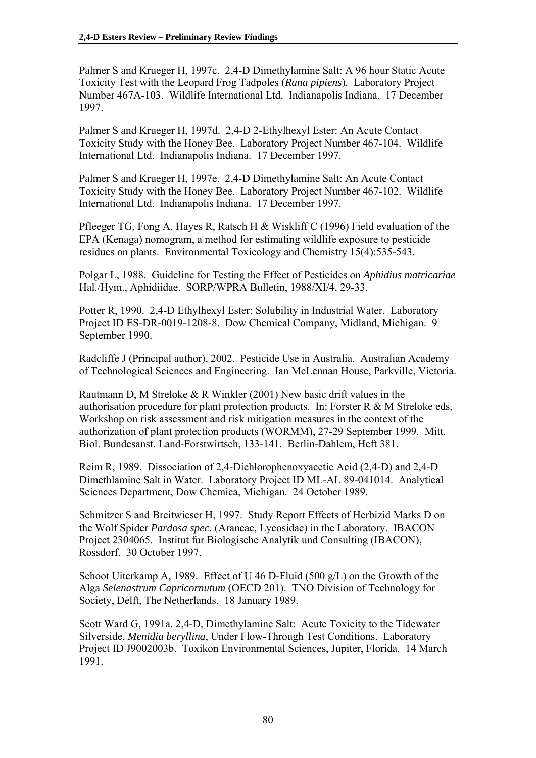Palmer S and Krueger H, 1997c. 2,4-D Dimethylamine Salt: A 96 hour Static Acute Toxicity Test with the Leopard Frog Tadpoles (*Rana pipiens*). Laboratory Project Number 467A-103. Wildlife International Ltd. Indianapolis Indiana. 17 December 1997.

Palmer S and Krueger H, 1997d. 2,4-D 2-Ethylhexyl Ester: An Acute Contact Toxicity Study with the Honey Bee. Laboratory Project Number 467-104. Wildlife International Ltd. Indianapolis Indiana. 17 December 1997.

Palmer S and Krueger H, 1997e. 2,4-D Dimethylamine Salt: An Acute Contact Toxicity Study with the Honey Bee. Laboratory Project Number 467-102. Wildlife International Ltd. Indianapolis Indiana. 17 December 1997.

Pfleeger TG, Fong A, Hayes R, Ratsch H & Wiskliff C (1996) Field evaluation of the EPA (Kenaga) nomogram, a method for estimating wildlife exposure to pesticide residues on plants. Environmental Toxicology and Chemistry 15(4):535-543.

Polgar L, 1988. Guideline for Testing the Effect of Pesticides on *Aphidius matricariae* Hal./Hym., Aphidiidae. SORP/WPRA Bulletin, 1988/XI/4, 29-33.

Potter R, 1990. 2,4-D Ethylhexyl Ester: Solubility in Industrial Water. Laboratory Project ID ES-DR-0019-1208-8. Dow Chemical Company, Midland, Michigan. 9 September 1990.

Radcliffe J (Principal author), 2002. Pesticide Use in Australia. Australian Academy of Technological Sciences and Engineering. Ian McLennan House, Parkville, Victoria.

Rautmann D, M Streloke & R Winkler (2001) New basic drift values in the authorisation procedure for plant protection products. In: Forster R & M Streloke eds, Workshop on risk assessment and risk mitigation measures in the context of the authorization of plant protection products (WORMM), 27-29 September 1999. Mitt. Biol. Bundesanst. Land-Forstwirtsch, 133-141. Berlin-Dahlem, Heft 381.

Reim R, 1989. Dissociation of 2,4-Dichlorophenoxyacetic Acid (2,4-D) and 2,4-D Dimethlamine Salt in Water. Laboratory Project ID ML-AL 89-041014. Analytical Sciences Department, Dow Chemica, Michigan. 24 October 1989.

Schmitzer S and Breitwieser H, 1997. Study Report Effects of Herbizid Marks D on the Wolf Spider *Pardosa spec.* (Araneae, Lycosidae) in the Laboratory. IBACON Project 2304065. Institut fur Biologische Analytik und Consulting (IBACON), Rossdorf. 30 October 1997.

Schoot Uiterkamp A, 1989. Effect of U 46 D-Fluid (500 g/L) on the Growth of the Alga *Selenastrum Capricornutum* (OECD 201). TNO Division of Technology for Society, Delft, The Netherlands. 18 January 1989.

Scott Ward G, 1991a. 2,4-D, Dimethylamine Salt: Acute Toxicity to the Tidewater Silverside, *Menidia beryllina*, Under Flow-Through Test Conditions. Laboratory Project ID J9002003b. Toxikon Environmental Sciences, Jupiter, Florida. 14 March 1991.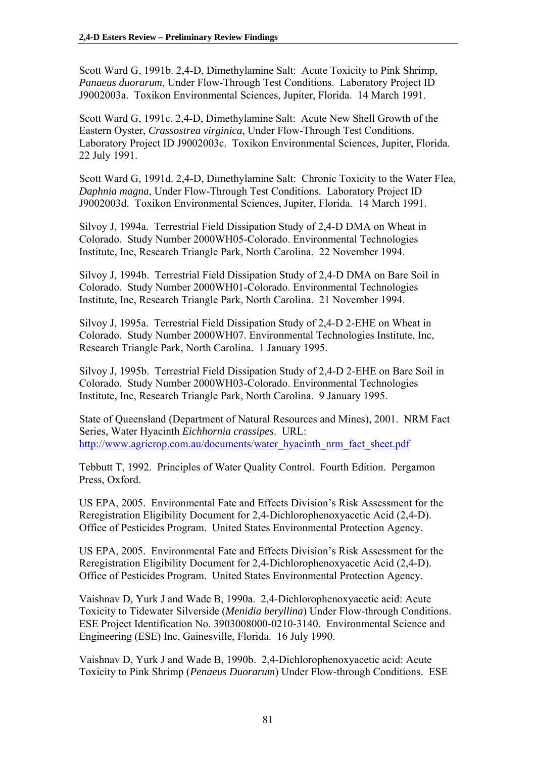Scott Ward G, 1991b. 2,4-D, Dimethylamine Salt: Acute Toxicity to Pink Shrimp, *Panaeus duorarum*, Under Flow-Through Test Conditions. Laboratory Project ID J9002003a. Toxikon Environmental Sciences, Jupiter, Florida. 14 March 1991.

Scott Ward G, 1991c. 2,4-D, Dimethylamine Salt: Acute New Shell Growth of the Eastern Oyster, *Crassostrea virginica*, Under Flow-Through Test Conditions. Laboratory Project ID J9002003c. Toxikon Environmental Sciences, Jupiter, Florida. 22 July 1991.

Scott Ward G, 1991d. 2,4-D, Dimethylamine Salt: Chronic Toxicity to the Water Flea, *Daphnia magna*, Under Flow-Through Test Conditions. Laboratory Project ID J9002003d. Toxikon Environmental Sciences, Jupiter, Florida. 14 March 1991.

Silvoy J, 1994a. Terrestrial Field Dissipation Study of 2,4-D DMA on Wheat in Colorado. Study Number 2000WH05-Colorado. Environmental Technologies Institute, Inc, Research Triangle Park, North Carolina. 22 November 1994.

Silvoy J, 1994b. Terrestrial Field Dissipation Study of 2,4-D DMA on Bare Soil in Colorado. Study Number 2000WH01-Colorado. Environmental Technologies Institute, Inc, Research Triangle Park, North Carolina. 21 November 1994.

Silvoy J, 1995a. Terrestrial Field Dissipation Study of 2,4-D 2-EHE on Wheat in Colorado. Study Number 2000WH07. Environmental Technologies Institute, Inc, Research Triangle Park, North Carolina. 1 January 1995.

Silvoy J, 1995b. Terrestrial Field Dissipation Study of 2,4-D 2-EHE on Bare Soil in Colorado. Study Number 2000WH03-Colorado. Environmental Technologies Institute, Inc, Research Triangle Park, North Carolina. 9 January 1995.

State of Queensland (Department of Natural Resources and Mines), 2001. NRM Fact Series, Water Hyacinth *Eichhornia crassipes*. URL: [http://www.agricrop.com.au/documents/water\\_hyacinth\\_nrm\\_fact\\_sheet.pdf](http://www.agricrop.com.au/documents/water_hyacinth_nrm_fact_sheet.pdf)

Tebbutt T, 1992. Principles of Water Quality Control. Fourth Edition. Pergamon Press, Oxford.

US EPA, 2005. Environmental Fate and Effects Division's Risk Assessment for the Reregistration Eligibility Document for 2,4-Dichlorophenoxyacetic Acid (2,4-D). Office of Pesticides Program. United States Environmental Protection Agency.

US EPA, 2005. Environmental Fate and Effects Division's Risk Assessment for the Reregistration Eligibility Document for 2,4-Dichlorophenoxyacetic Acid (2,4-D). Office of Pesticides Program. United States Environmental Protection Agency.

Vaishnav D, Yurk J and Wade B, 1990a. 2,4-Dichlorophenoxyacetic acid: Acute Toxicity to Tidewater Silverside (*Menidia beryllina*) Under Flow-through Conditions. ESE Project Identification No. 3903008000-0210-3140. Environmental Science and Engineering (ESE) Inc, Gainesville, Florida. 16 July 1990.

Vaishnav D, Yurk J and Wade B, 1990b. 2,4-Dichlorophenoxyacetic acid: Acute Toxicity to Pink Shrimp (*Penaeus Duorarum*) Under Flow-through Conditions. ESE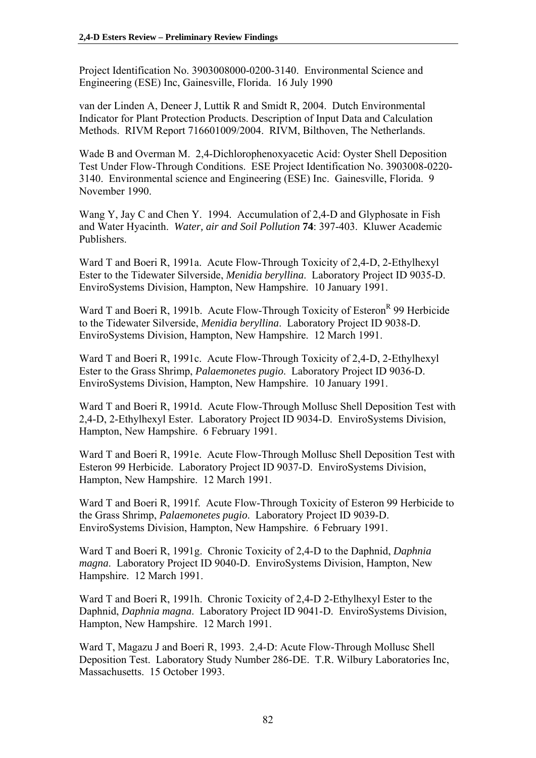Project Identification No. 3903008000-0200-3140. Environmental Science and Engineering (ESE) Inc, Gainesville, Florida. 16 July 1990

van der Linden A, Deneer J, Luttik R and Smidt R, 2004. Dutch Environmental Indicator for Plant Protection Products. Description of Input Data and Calculation Methods. RIVM Report 716601009/2004. RIVM, Bilthoven, The Netherlands.

Wade B and Overman M. 2,4-Dichlorophenoxyacetic Acid: Oyster Shell Deposition Test Under Flow-Through Conditions. ESE Project Identification No. 3903008-0220- 3140. Environmental science and Engineering (ESE) Inc. Gainesville, Florida. 9 November 1990.

Wang Y, Jay C and Chen Y. 1994. Accumulation of 2,4-D and Glyphosate in Fish and Water Hyacinth. *Water, air and Soil Pollution* **74**: 397-403. Kluwer Academic Publishers.

Ward T and Boeri R, 1991a. Acute Flow-Through Toxicity of 2,4-D, 2-Ethylhexyl Ester to the Tidewater Silverside, *Menidia beryllina*. Laboratory Project ID 9035-D. EnviroSystems Division, Hampton, New Hampshire. 10 January 1991.

Ward T and Boeri R, 1991b. Acute Flow-Through Toxicity of Esteron<sup>R</sup> 99 Herbicide to the Tidewater Silverside, *Menidia beryllina*. Laboratory Project ID 9038-D. EnviroSystems Division, Hampton, New Hampshire. 12 March 1991.

Ward T and Boeri R, 1991c. Acute Flow-Through Toxicity of 2,4-D, 2-Ethylhexyl Ester to the Grass Shrimp, *Palaemonetes pugio*. Laboratory Project ID 9036-D. EnviroSystems Division, Hampton, New Hampshire. 10 January 1991.

Ward T and Boeri R, 1991d. Acute Flow-Through Mollusc Shell Deposition Test with 2,4-D, 2-Ethylhexyl Ester. Laboratory Project ID 9034-D. EnviroSystems Division, Hampton, New Hampshire. 6 February 1991.

Ward T and Boeri R, 1991e. Acute Flow-Through Mollusc Shell Deposition Test with Esteron 99 Herbicide. Laboratory Project ID 9037-D. EnviroSystems Division, Hampton, New Hampshire. 12 March 1991.

Ward T and Boeri R, 1991f. Acute Flow-Through Toxicity of Esteron 99 Herbicide to the Grass Shrimp, *Palaemonetes pugio*. Laboratory Project ID 9039-D. EnviroSystems Division, Hampton, New Hampshire. 6 February 1991.

Ward T and Boeri R, 1991g. Chronic Toxicity of 2,4-D to the Daphnid, *Daphnia magna*. Laboratory Project ID 9040-D. EnviroSystems Division, Hampton, New Hampshire. 12 March 1991.

Ward T and Boeri R, 1991h. Chronic Toxicity of 2,4-D 2-Ethylhexyl Ester to the Daphnid, *Daphnia magna*. Laboratory Project ID 9041-D. EnviroSystems Division, Hampton, New Hampshire. 12 March 1991.

Ward T, Magazu J and Boeri R, 1993. 2,4-D: Acute Flow-Through Mollusc Shell Deposition Test. Laboratory Study Number 286-DE. T.R. Wilbury Laboratories Inc, Massachusetts. 15 October 1993.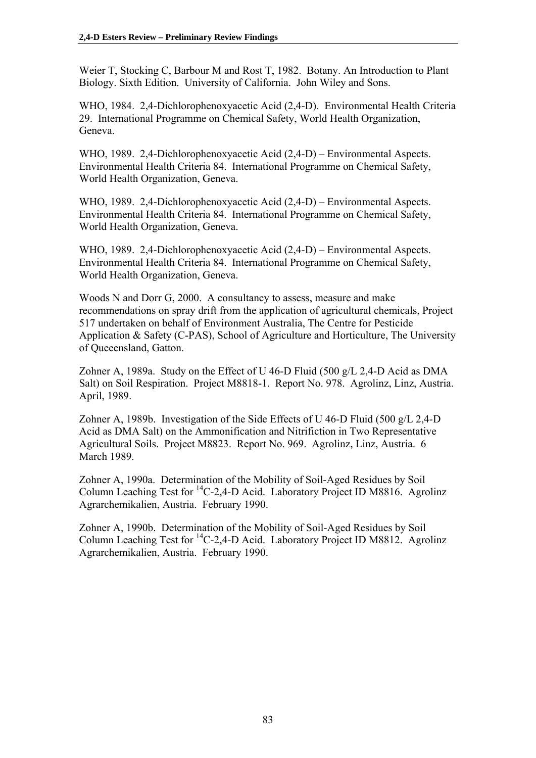Weier T, Stocking C, Barbour M and Rost T, 1982. Botany. An Introduction to Plant Biology. Sixth Edition. University of California. John Wiley and Sons.

WHO, 1984. 2,4-Dichlorophenoxyacetic Acid (2,4-D). Environmental Health Criteria 29. International Programme on Chemical Safety, World Health Organization, Geneva.

WHO, 1989. 2,4-Dichlorophenoxyacetic Acid (2,4-D) – Environmental Aspects. Environmental Health Criteria 84. International Programme on Chemical Safety, World Health Organization, Geneva.

WHO, 1989. 2,4-Dichlorophenoxyacetic Acid (2,4-D) – Environmental Aspects. Environmental Health Criteria 84. International Programme on Chemical Safety, World Health Organization, Geneva.

WHO, 1989. 2,4-Dichlorophenoxyacetic Acid (2,4-D) – Environmental Aspects. Environmental Health Criteria 84. International Programme on Chemical Safety, World Health Organization, Geneva.

Woods N and Dorr G, 2000. A consultancy to assess, measure and make recommendations on spray drift from the application of agricultural chemicals, Project 517 undertaken on behalf of Environment Australia, The Centre for Pesticide Application & Safety (C-PAS), School of Agriculture and Horticulture, The University of Queeensland, Gatton.

Zohner A, 1989a. Study on the Effect of U 46-D Fluid (500 g/L 2,4-D Acid as DMA Salt) on Soil Respiration. Project M8818-1. Report No. 978. Agrolinz, Linz, Austria. April, 1989.

Zohner A, 1989b. Investigation of the Side Effects of U 46-D Fluid (500 g/L 2,4-D) Acid as DMA Salt) on the Ammonification and Nitrifiction in Two Representative Agricultural Soils. Project M8823. Report No. 969. Agrolinz, Linz, Austria. 6 March 1989.

Zohner A, 1990a. Determination of the Mobility of Soil-Aged Residues by Soil Column Leaching Test for  ${}^{14}C-2.4-D$  Acid. Laboratory Project ID M8816. Agrolinz Agrarchemikalien, Austria. February 1990.

Zohner A, 1990b. Determination of the Mobility of Soil-Aged Residues by Soil Column Leaching Test for  ${}^{14}C-2.4-D$  Acid. Laboratory Project ID M8812. Agrolinz Agrarchemikalien, Austria. February 1990.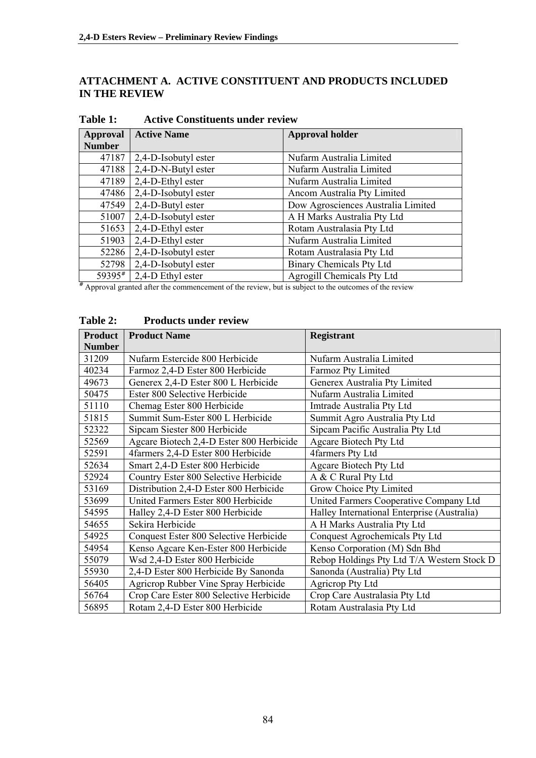## **ATTACHMENT A. ACTIVE CONSTITUENT AND PRODUCTS INCLUDED IN THE REVIEW**

| Approval      | <b>Active Name</b>   | <b>Approval holder</b>             |
|---------------|----------------------|------------------------------------|
| <b>Number</b> |                      |                                    |
| 47187         | 2,4-D-Isobutyl ester | Nufarm Australia Limited           |
| 47188         | 2,4-D-N-Butyl ester  | Nufarm Australia Limited           |
| 47189         | 2,4-D-Ethyl ester    | Nufarm Australia Limited           |
| 47486         | 2,4-D-Isobutyl ester | Ancom Australia Pty Limited        |
| 47549         | 2,4-D-Butyl ester    | Dow Agrosciences Australia Limited |
| 51007         | 2,4-D-Isobutyl ester | A H Marks Australia Pty Ltd        |
| 51653         | 2,4-D-Ethyl ester    | Rotam Australasia Pty Ltd          |
| 51903         | 2,4-D-Ethyl ester    | Nufarm Australia Limited           |
| 52286         | 2,4-D-Isobutyl ester | Rotam Australasia Pty Ltd          |
| 52798         | 2,4-D-Isobutyl ester | <b>Binary Chemicals Pty Ltd</b>    |
| 59395#        | 2,4-D Ethyl ester    | Agrogill Chemicals Pty Ltd         |

**Table 1: Active Constituents under review** 

 $*$  Approval granted after the commencement of the review, but is subject to the outcomes of the review

| <b>Product</b> | <b>Product Name</b>                      | <b>Registrant</b>                           |
|----------------|------------------------------------------|---------------------------------------------|
| <b>Number</b>  |                                          |                                             |
| 31209          | Nufarm Estercide 800 Herbicide           | Nufarm Australia Limited                    |
| 40234          | Farmoz 2,4-D Ester 800 Herbicide         | Farmoz Pty Limited                          |
| 49673          | Generex 2,4-D Ester 800 L Herbicide      | Generex Australia Pty Limited               |
| 50475          | Ester 800 Selective Herbicide            | Nufarm Australia Limited                    |
| 51110          | Chemag Ester 800 Herbicide               | Imtrade Australia Pty Ltd                   |
| 51815          | Summit Sum-Ester 800 L Herbicide         | Summit Agro Australia Pty Ltd               |
| 52322          | Sipcam Siester 800 Herbicide             | Sipcam Pacific Australia Pty Ltd            |
| 52569          | Ageare Biotech 2,4-D Ester 800 Herbicide | Agcare Biotech Pty Ltd                      |
| 52591          | 4farmers 2,4-D Ester 800 Herbicide       | 4farmers Pty Ltd                            |
| 52634          | Smart 2,4-D Ester 800 Herbicide          | Agcare Biotech Pty Ltd                      |
| 52924          | Country Ester 800 Selective Herbicide    | A & C Rural Pty Ltd                         |
| 53169          | Distribution 2,4-D Ester 800 Herbicide   | Grow Choice Pty Limited                     |
| 53699          | United Farmers Ester 800 Herbicide       | United Farmers Cooperative Company Ltd      |
| 54595          | Halley 2,4-D Ester 800 Herbicide         | Halley International Enterprise (Australia) |
| 54655          | Sekira Herbicide                         | A H Marks Australia Pty Ltd                 |
| 54925          | Conquest Ester 800 Selective Herbicide   | Conquest Agrochemicals Pty Ltd              |
| 54954          | Kenso Agcare Ken-Ester 800 Herbicide     | Kenso Corporation (M) Sdn Bhd               |
| 55079          | Wsd 2,4-D Ester 800 Herbicide            | Rebop Holdings Pty Ltd T/A Western Stock D  |
| 55930          | 2,4-D Ester 800 Herbicide By Sanonda     | Sanonda (Australia) Pty Ltd                 |
| 56405          | Agricrop Rubber Vine Spray Herbicide     | <b>Agricrop Pty Ltd</b>                     |
| 56764          | Crop Care Ester 800 Selective Herbicide  | Crop Care Australasia Pty Ltd               |
| 56895          | Rotam 2,4-D Ester 800 Herbicide          | Rotam Australasia Pty Ltd                   |

## **Table 2: Products under review**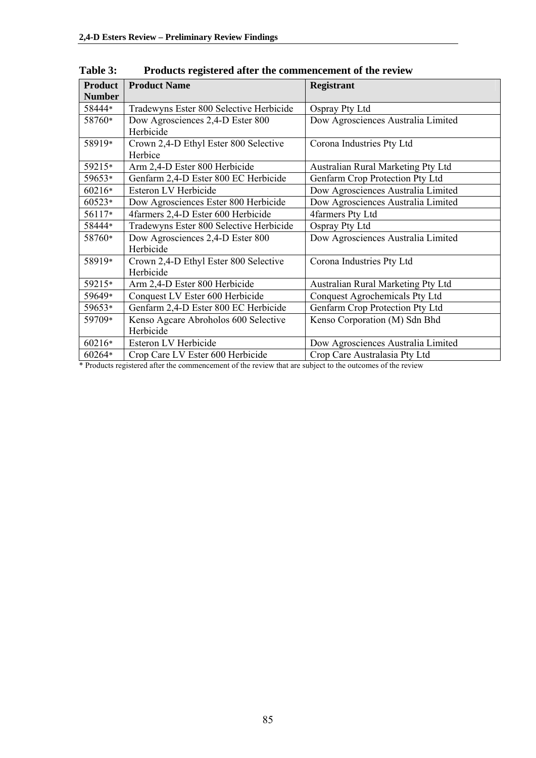| <b>Product</b> | <b>Product Name</b>                     | <b>Registrant</b>                  |
|----------------|-----------------------------------------|------------------------------------|
| <b>Number</b>  |                                         |                                    |
| 58444*         | Tradewyns Ester 800 Selective Herbicide | Ospray Pty Ltd                     |
| 58760*         | Dow Agrosciences 2,4-D Ester 800        | Dow Agrosciences Australia Limited |
|                | Herbicide                               |                                    |
| 58919*         | Crown 2,4-D Ethyl Ester 800 Selective   | Corona Industries Pty Ltd          |
|                | Herbice                                 |                                    |
| 59215*         | Arm 2,4-D Ester 800 Herbicide           | Australian Rural Marketing Pty Ltd |
| 59653*         | Genfarm 2,4-D Ester 800 EC Herbicide    | Genfarm Crop Protection Pty Ltd    |
| 60216*         | Esteron LV Herbicide                    | Dow Agrosciences Australia Limited |
| 60523*         | Dow Agrosciences Ester 800 Herbicide    | Dow Agrosciences Australia Limited |
| 56117*         | 4farmers 2,4-D Ester 600 Herbicide      | 4farmers Pty Ltd                   |
| 58444*         | Tradewyns Ester 800 Selective Herbicide | Ospray Pty Ltd                     |
| 58760*         | Dow Agrosciences 2,4-D Ester 800        | Dow Agrosciences Australia Limited |
|                | Herbicide                               |                                    |
| 58919*         | Crown 2,4-D Ethyl Ester 800 Selective   | Corona Industries Pty Ltd          |
|                | Herbicide                               |                                    |
| 59215*         | Arm 2,4-D Ester 800 Herbicide           | Australian Rural Marketing Pty Ltd |
| 59649*         | Conquest LV Ester 600 Herbicide         | Conquest Agrochemicals Pty Ltd     |
| 59653*         | Genfarm 2,4-D Ester 800 EC Herbicide    | Genfarm Crop Protection Pty Ltd    |
| 59709*         | Kenso Agcare Abroholos 600 Selective    | Kenso Corporation (M) Sdn Bhd      |
|                | Herbicide                               |                                    |
| 60216*         | Esteron LV Herbicide                    | Dow Agrosciences Australia Limited |
| 60264*         | Crop Care LV Ester 600 Herbicide        | Crop Care Australasia Pty Ltd      |

**Table 3: Products registered after the commencement of the review** 

\* Products registered after the commencement of the review that are subject to the outcomes of the review